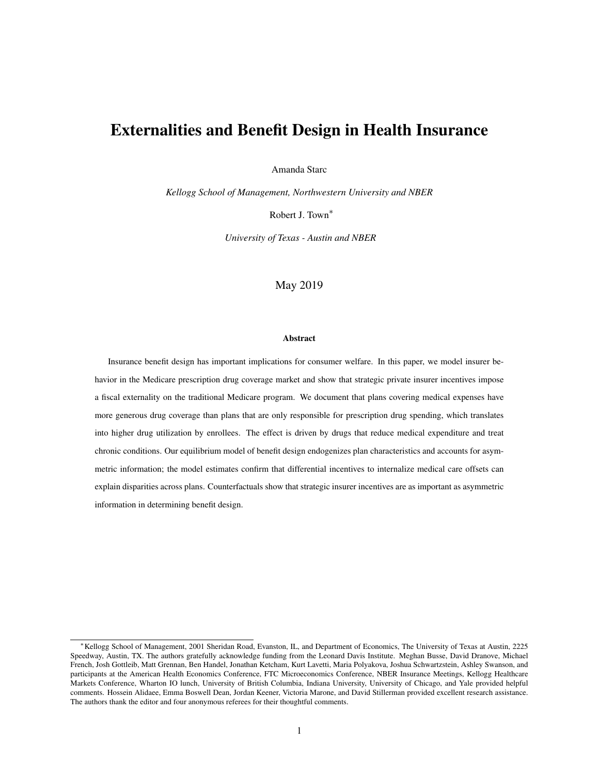# Externalities and Benefit Design in Health Insurance

Amanda Starc

*Kellogg School of Management, Northwestern University and NBER*

Robert J. Town<sup>∗</sup>

*University of Texas - Austin and NBER*

### May 2019

#### Abstract

Insurance benefit design has important implications for consumer welfare. In this paper, we model insurer behavior in the Medicare prescription drug coverage market and show that strategic private insurer incentives impose a fiscal externality on the traditional Medicare program. We document that plans covering medical expenses have more generous drug coverage than plans that are only responsible for prescription drug spending, which translates into higher drug utilization by enrollees. The effect is driven by drugs that reduce medical expenditure and treat chronic conditions. Our equilibrium model of benefit design endogenizes plan characteristics and accounts for asymmetric information; the model estimates confirm that differential incentives to internalize medical care offsets can explain disparities across plans. Counterfactuals show that strategic insurer incentives are as important as asymmetric information in determining benefit design.

<sup>∗</sup>Kellogg School of Management, 2001 Sheridan Road, Evanston, IL, and Department of Economics, The University of Texas at Austin, 2225 Speedway, Austin, TX. The authors gratefully acknowledge funding from the Leonard Davis Institute. Meghan Busse, David Dranove, Michael French, Josh Gottleib, Matt Grennan, Ben Handel, Jonathan Ketcham, Kurt Lavetti, Maria Polyakova, Joshua Schwartzstein, Ashley Swanson, and participants at the American Health Economics Conference, FTC Microeconomics Conference, NBER Insurance Meetings, Kellogg Healthcare Markets Conference, Wharton IO lunch, University of British Columbia, Indiana University, University of Chicago, and Yale provided helpful comments. Hossein Alidaee, Emma Boswell Dean, Jordan Keener, Victoria Marone, and David Stillerman provided excellent research assistance. The authors thank the editor and four anonymous referees for their thoughtful comments.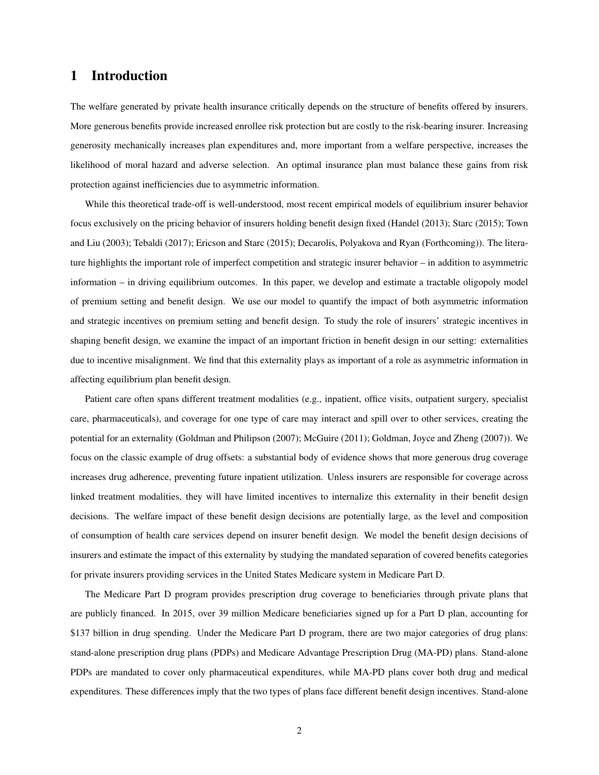# 1 Introduction

The welfare generated by private health insurance critically depends on the structure of benefits offered by insurers. More generous benefits provide increased enrollee risk protection but are costly to the risk-bearing insurer. Increasing generosity mechanically increases plan expenditures and, more important from a welfare perspective, increases the likelihood of moral hazard and adverse selection. An optimal insurance plan must balance these gains from risk protection against inefficiencies due to asymmetric information.

While this theoretical trade-off is well-understood, most recent empirical models of equilibrium insurer behavior focus exclusively on the pricing behavior of insurers holding benefit design fixed (Handel (2013); Starc (2015); Town and Liu (2003); Tebaldi (2017); Ericson and Starc (2015); Decarolis, Polyakova and Ryan (Forthcoming)). The literature highlights the important role of imperfect competition and strategic insurer behavior – in addition to asymmetric information – in driving equilibrium outcomes. In this paper, we develop and estimate a tractable oligopoly model of premium setting and benefit design. We use our model to quantify the impact of both asymmetric information and strategic incentives on premium setting and benefit design. To study the role of insurers' strategic incentives in shaping benefit design, we examine the impact of an important friction in benefit design in our setting: externalities due to incentive misalignment. We find that this externality plays as important of a role as asymmetric information in affecting equilibrium plan benefit design.

Patient care often spans different treatment modalities (e.g., inpatient, office visits, outpatient surgery, specialist care, pharmaceuticals), and coverage for one type of care may interact and spill over to other services, creating the potential for an externality (Goldman and Philipson (2007); McGuire (2011); Goldman, Joyce and Zheng (2007)). We focus on the classic example of drug offsets: a substantial body of evidence shows that more generous drug coverage increases drug adherence, preventing future inpatient utilization. Unless insurers are responsible for coverage across linked treatment modalities, they will have limited incentives to internalize this externality in their benefit design decisions. The welfare impact of these benefit design decisions are potentially large, as the level and composition of consumption of health care services depend on insurer benefit design. We model the benefit design decisions of insurers and estimate the impact of this externality by studying the mandated separation of covered benefits categories for private insurers providing services in the United States Medicare system in Medicare Part D.

The Medicare Part D program provides prescription drug coverage to beneficiaries through private plans that are publicly financed. In 2015, over 39 million Medicare beneficiaries signed up for a Part D plan, accounting for \$137 billion in drug spending. Under the Medicare Part D program, there are two major categories of drug plans: stand-alone prescription drug plans (PDPs) and Medicare Advantage Prescription Drug (MA-PD) plans. Stand-alone PDPs are mandated to cover only pharmaceutical expenditures, while MA-PD plans cover both drug and medical expenditures. These differences imply that the two types of plans face different benefit design incentives. Stand-alone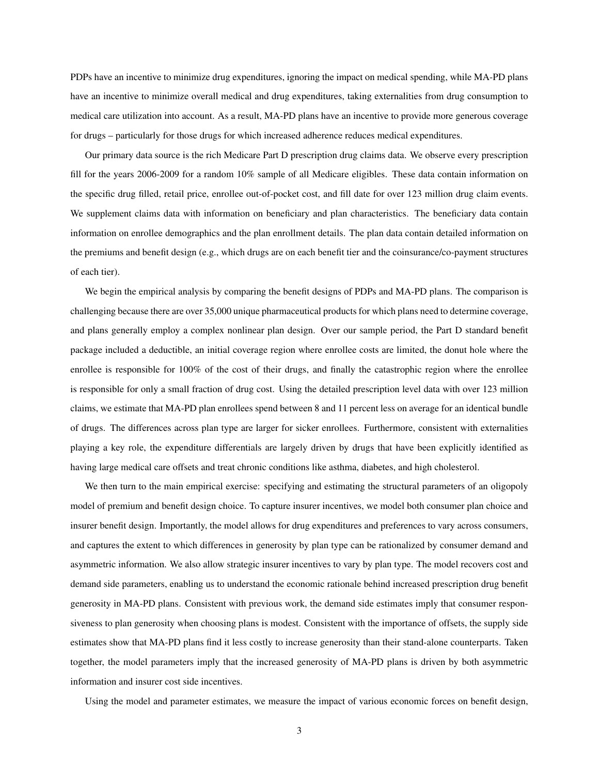PDPs have an incentive to minimize drug expenditures, ignoring the impact on medical spending, while MA-PD plans have an incentive to minimize overall medical and drug expenditures, taking externalities from drug consumption to medical care utilization into account. As a result, MA-PD plans have an incentive to provide more generous coverage for drugs – particularly for those drugs for which increased adherence reduces medical expenditures.

Our primary data source is the rich Medicare Part D prescription drug claims data. We observe every prescription fill for the years 2006-2009 for a random 10% sample of all Medicare eligibles. These data contain information on the specific drug filled, retail price, enrollee out-of-pocket cost, and fill date for over 123 million drug claim events. We supplement claims data with information on beneficiary and plan characteristics. The beneficiary data contain information on enrollee demographics and the plan enrollment details. The plan data contain detailed information on the premiums and benefit design (e.g., which drugs are on each benefit tier and the coinsurance/co-payment structures of each tier).

We begin the empirical analysis by comparing the benefit designs of PDPs and MA-PD plans. The comparison is challenging because there are over 35,000 unique pharmaceutical products for which plans need to determine coverage, and plans generally employ a complex nonlinear plan design. Over our sample period, the Part D standard benefit package included a deductible, an initial coverage region where enrollee costs are limited, the donut hole where the enrollee is responsible for 100% of the cost of their drugs, and finally the catastrophic region where the enrollee is responsible for only a small fraction of drug cost. Using the detailed prescription level data with over 123 million claims, we estimate that MA-PD plan enrollees spend between 8 and 11 percent less on average for an identical bundle of drugs. The differences across plan type are larger for sicker enrollees. Furthermore, consistent with externalities playing a key role, the expenditure differentials are largely driven by drugs that have been explicitly identified as having large medical care offsets and treat chronic conditions like asthma, diabetes, and high cholesterol.

We then turn to the main empirical exercise: specifying and estimating the structural parameters of an oligopoly model of premium and benefit design choice. To capture insurer incentives, we model both consumer plan choice and insurer benefit design. Importantly, the model allows for drug expenditures and preferences to vary across consumers, and captures the extent to which differences in generosity by plan type can be rationalized by consumer demand and asymmetric information. We also allow strategic insurer incentives to vary by plan type. The model recovers cost and demand side parameters, enabling us to understand the economic rationale behind increased prescription drug benefit generosity in MA-PD plans. Consistent with previous work, the demand side estimates imply that consumer responsiveness to plan generosity when choosing plans is modest. Consistent with the importance of offsets, the supply side estimates show that MA-PD plans find it less costly to increase generosity than their stand-alone counterparts. Taken together, the model parameters imply that the increased generosity of MA-PD plans is driven by both asymmetric information and insurer cost side incentives.

Using the model and parameter estimates, we measure the impact of various economic forces on benefit design,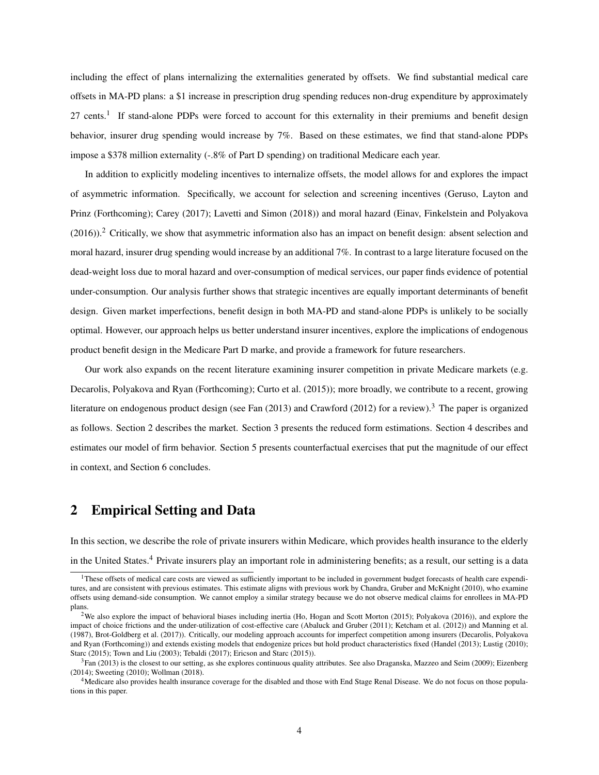including the effect of plans internalizing the externalities generated by offsets. We find substantial medical care offsets in MA-PD plans: a \$1 increase in prescription drug spending reduces non-drug expenditure by approximately 27 cents.<sup>1</sup> If stand-alone PDPs were forced to account for this externality in their premiums and benefit design behavior, insurer drug spending would increase by 7%. Based on these estimates, we find that stand-alone PDPs impose a \$378 million externality (-.8% of Part D spending) on traditional Medicare each year.

In addition to explicitly modeling incentives to internalize offsets, the model allows for and explores the impact of asymmetric information. Specifically, we account for selection and screening incentives (Geruso, Layton and Prinz (Forthcoming); Carey (2017); Lavetti and Simon (2018)) and moral hazard (Einav, Finkelstein and Polyakova  $(2016)$ .<sup>2</sup> Critically, we show that asymmetric information also has an impact on benefit design: absent selection and moral hazard, insurer drug spending would increase by an additional 7%. In contrast to a large literature focused on the dead-weight loss due to moral hazard and over-consumption of medical services, our paper finds evidence of potential under-consumption. Our analysis further shows that strategic incentives are equally important determinants of benefit design. Given market imperfections, benefit design in both MA-PD and stand-alone PDPs is unlikely to be socially optimal. However, our approach helps us better understand insurer incentives, explore the implications of endogenous product benefit design in the Medicare Part D marke, and provide a framework for future researchers.

Our work also expands on the recent literature examining insurer competition in private Medicare markets (e.g. Decarolis, Polyakova and Ryan (Forthcoming); Curto et al. (2015)); more broadly, we contribute to a recent, growing literature on endogenous product design (see Fan  $(2013)$  and Crawford  $(2012)$  for a review).<sup>3</sup> The paper is organized as follows. Section 2 describes the market. Section 3 presents the reduced form estimations. Section 4 describes and estimates our model of firm behavior. Section 5 presents counterfactual exercises that put the magnitude of our effect in context, and Section 6 concludes.

# 2 Empirical Setting and Data

In this section, we describe the role of private insurers within Medicare, which provides health insurance to the elderly in the United States.<sup>4</sup> Private insurers play an important role in administering benefits; as a result, our setting is a data

<sup>&</sup>lt;sup>1</sup>These offsets of medical care costs are viewed as sufficiently important to be included in government budget forecasts of health care expenditures, and are consistent with previous estimates. This estimate aligns with previous work by Chandra, Gruber and McKnight (2010), who examine offsets using demand-side consumption. We cannot employ a similar strategy because we do not observe medical claims for enrollees in MA-PD plans.

<sup>&</sup>lt;sup>2</sup>We also explore the impact of behavioral biases including inertia (Ho, Hogan and Scott Morton (2015); Polyakova (2016)), and explore the impact of choice frictions and the under-utilization of cost-effective care (Abaluck and Gruber (2011); Ketcham et al. (2012)) and Manning et al. (1987), Brot-Goldberg et al. (2017)). Critically, our modeling approach accounts for imperfect competition among insurers (Decarolis, Polyakova and Ryan (Forthcoming)) and extends existing models that endogenize prices but hold product characteristics fixed (Handel (2013); Lustig (2010); Starc (2015); Town and Liu (2003); Tebaldi (2017); Ericson and Starc (2015)).

 ${}^{3}$ Fan (2013) is the closest to our setting, as she explores continuous quality attributes. See also Draganska, Mazzeo and Seim (2009); Eizenberg (2014); Sweeting (2010); Wollman (2018).

<sup>4</sup>Medicare also provides health insurance coverage for the disabled and those with End Stage Renal Disease. We do not focus on those populations in this paper.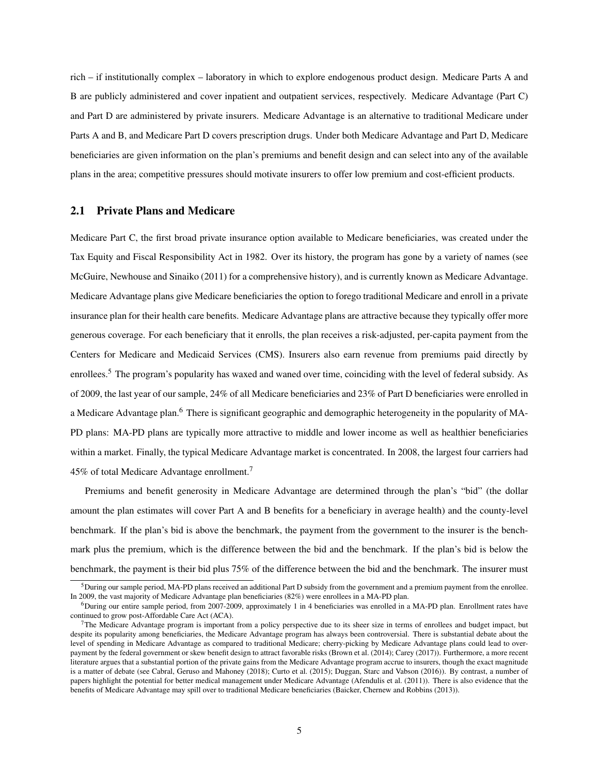rich – if institutionally complex – laboratory in which to explore endogenous product design. Medicare Parts A and B are publicly administered and cover inpatient and outpatient services, respectively. Medicare Advantage (Part C) and Part D are administered by private insurers. Medicare Advantage is an alternative to traditional Medicare under Parts A and B, and Medicare Part D covers prescription drugs. Under both Medicare Advantage and Part D, Medicare beneficiaries are given information on the plan's premiums and benefit design and can select into any of the available plans in the area; competitive pressures should motivate insurers to offer low premium and cost-efficient products.

### 2.1 Private Plans and Medicare

Medicare Part C, the first broad private insurance option available to Medicare beneficiaries, was created under the Tax Equity and Fiscal Responsibility Act in 1982. Over its history, the program has gone by a variety of names (see McGuire, Newhouse and Sinaiko (2011) for a comprehensive history), and is currently known as Medicare Advantage. Medicare Advantage plans give Medicare beneficiaries the option to forego traditional Medicare and enroll in a private insurance plan for their health care benefits. Medicare Advantage plans are attractive because they typically offer more generous coverage. For each beneficiary that it enrolls, the plan receives a risk-adjusted, per-capita payment from the Centers for Medicare and Medicaid Services (CMS). Insurers also earn revenue from premiums paid directly by enrollees.<sup>5</sup> The program's popularity has waxed and waned over time, coinciding with the level of federal subsidy. As of 2009, the last year of our sample, 24% of all Medicare beneficiaries and 23% of Part D beneficiaries were enrolled in a Medicare Advantage plan.<sup>6</sup> There is significant geographic and demographic heterogeneity in the popularity of MA-PD plans: MA-PD plans are typically more attractive to middle and lower income as well as healthier beneficiaries within a market. Finally, the typical Medicare Advantage market is concentrated. In 2008, the largest four carriers had 45% of total Medicare Advantage enrollment.<sup>7</sup>

Premiums and benefit generosity in Medicare Advantage are determined through the plan's "bid" (the dollar amount the plan estimates will cover Part A and B benefits for a beneficiary in average health) and the county-level benchmark. If the plan's bid is above the benchmark, the payment from the government to the insurer is the benchmark plus the premium, which is the difference between the bid and the benchmark. If the plan's bid is below the benchmark, the payment is their bid plus 75% of the difference between the bid and the benchmark. The insurer must

 $<sup>5</sup>During$  our sample period, MA-PD plans received an additional Part D subsidy from the government and a premium payment from the enrollee.</sup> In 2009, the vast majority of Medicare Advantage plan beneficiaries (82%) were enrollees in a MA-PD plan.

 $6$ During our entire sample period, from 2007-2009, approximately 1 in 4 beneficiaries was enrolled in a MA-PD plan. Enrollment rates have continued to grow post-Affordable Care Act (ACA).

 $7$ The Medicare Advantage program is important from a policy perspective due to its sheer size in terms of enrollees and budget impact, but despite its popularity among beneficiaries, the Medicare Advantage program has always been controversial. There is substantial debate about the level of spending in Medicare Advantage as compared to traditional Medicare; cherry-picking by Medicare Advantage plans could lead to overpayment by the federal government or skew benefit design to attract favorable risks (Brown et al. (2014); Carey (2017)). Furthermore, a more recent literature argues that a substantial portion of the private gains from the Medicare Advantage program accrue to insurers, though the exact magnitude is a matter of debate (see Cabral, Geruso and Mahoney (2018); Curto et al. (2015); Duggan, Starc and Vabson (2016)). By contrast, a number of papers highlight the potential for better medical management under Medicare Advantage (Afendulis et al. (2011)). There is also evidence that the benefits of Medicare Advantage may spill over to traditional Medicare beneficiaries (Baicker, Chernew and Robbins (2013)).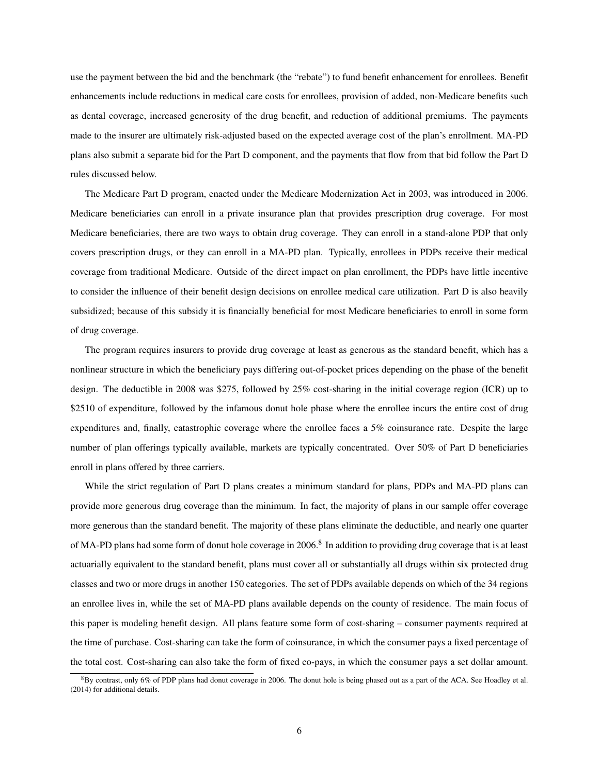use the payment between the bid and the benchmark (the "rebate") to fund benefit enhancement for enrollees. Benefit enhancements include reductions in medical care costs for enrollees, provision of added, non-Medicare benefits such as dental coverage, increased generosity of the drug benefit, and reduction of additional premiums. The payments made to the insurer are ultimately risk-adjusted based on the expected average cost of the plan's enrollment. MA-PD plans also submit a separate bid for the Part D component, and the payments that flow from that bid follow the Part D rules discussed below.

The Medicare Part D program, enacted under the Medicare Modernization Act in 2003, was introduced in 2006. Medicare beneficiaries can enroll in a private insurance plan that provides prescription drug coverage. For most Medicare beneficiaries, there are two ways to obtain drug coverage. They can enroll in a stand-alone PDP that only covers prescription drugs, or they can enroll in a MA-PD plan. Typically, enrollees in PDPs receive their medical coverage from traditional Medicare. Outside of the direct impact on plan enrollment, the PDPs have little incentive to consider the influence of their benefit design decisions on enrollee medical care utilization. Part D is also heavily subsidized; because of this subsidy it is financially beneficial for most Medicare beneficiaries to enroll in some form of drug coverage.

The program requires insurers to provide drug coverage at least as generous as the standard benefit, which has a nonlinear structure in which the beneficiary pays differing out-of-pocket prices depending on the phase of the benefit design. The deductible in 2008 was \$275, followed by 25% cost-sharing in the initial coverage region (ICR) up to \$2510 of expenditure, followed by the infamous donut hole phase where the enrollee incurs the entire cost of drug expenditures and, finally, catastrophic coverage where the enrollee faces a 5% coinsurance rate. Despite the large number of plan offerings typically available, markets are typically concentrated. Over 50% of Part D beneficiaries enroll in plans offered by three carriers.

While the strict regulation of Part D plans creates a minimum standard for plans, PDPs and MA-PD plans can provide more generous drug coverage than the minimum. In fact, the majority of plans in our sample offer coverage more generous than the standard benefit. The majority of these plans eliminate the deductible, and nearly one quarter of MA-PD plans had some form of donut hole coverage in 2006.<sup>8</sup> In addition to providing drug coverage that is at least actuarially equivalent to the standard benefit, plans must cover all or substantially all drugs within six protected drug classes and two or more drugs in another 150 categories. The set of PDPs available depends on which of the 34 regions an enrollee lives in, while the set of MA-PD plans available depends on the county of residence. The main focus of this paper is modeling benefit design. All plans feature some form of cost-sharing – consumer payments required at the time of purchase. Cost-sharing can take the form of coinsurance, in which the consumer pays a fixed percentage of the total cost. Cost-sharing can also take the form of fixed co-pays, in which the consumer pays a set dollar amount.

 $8By$  contrast, only 6% of PDP plans had donut coverage in 2006. The donut hole is being phased out as a part of the ACA. See Hoadley et al. (2014) for additional details.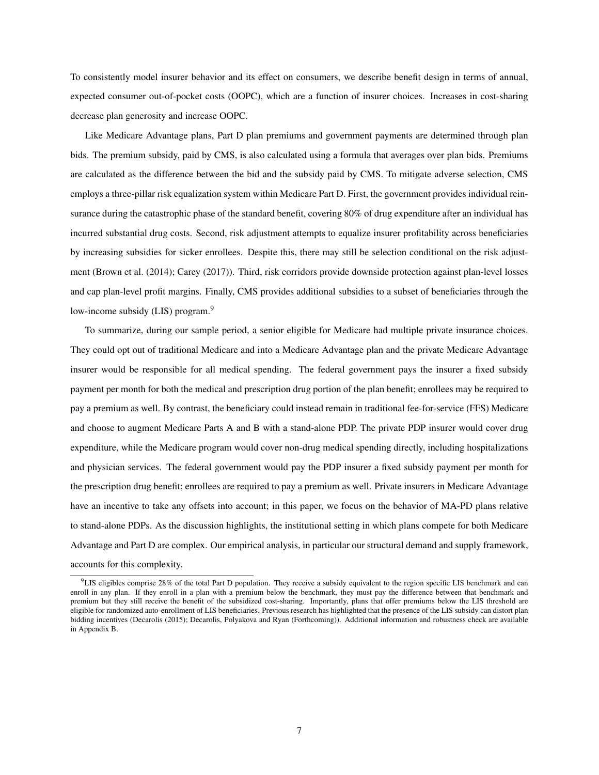To consistently model insurer behavior and its effect on consumers, we describe benefit design in terms of annual, expected consumer out-of-pocket costs (OOPC), which are a function of insurer choices. Increases in cost-sharing decrease plan generosity and increase OOPC.

Like Medicare Advantage plans, Part D plan premiums and government payments are determined through plan bids. The premium subsidy, paid by CMS, is also calculated using a formula that averages over plan bids. Premiums are calculated as the difference between the bid and the subsidy paid by CMS. To mitigate adverse selection, CMS employs a three-pillar risk equalization system within Medicare Part D. First, the government provides individual reinsurance during the catastrophic phase of the standard benefit, covering 80% of drug expenditure after an individual has incurred substantial drug costs. Second, risk adjustment attempts to equalize insurer profitability across beneficiaries by increasing subsidies for sicker enrollees. Despite this, there may still be selection conditional on the risk adjustment (Brown et al. (2014); Carey (2017)). Third, risk corridors provide downside protection against plan-level losses and cap plan-level profit margins. Finally, CMS provides additional subsidies to a subset of beneficiaries through the low-income subsidy (LIS) program.<sup>9</sup>

To summarize, during our sample period, a senior eligible for Medicare had multiple private insurance choices. They could opt out of traditional Medicare and into a Medicare Advantage plan and the private Medicare Advantage insurer would be responsible for all medical spending. The federal government pays the insurer a fixed subsidy payment per month for both the medical and prescription drug portion of the plan benefit; enrollees may be required to pay a premium as well. By contrast, the beneficiary could instead remain in traditional fee-for-service (FFS) Medicare and choose to augment Medicare Parts A and B with a stand-alone PDP. The private PDP insurer would cover drug expenditure, while the Medicare program would cover non-drug medical spending directly, including hospitalizations and physician services. The federal government would pay the PDP insurer a fixed subsidy payment per month for the prescription drug benefit; enrollees are required to pay a premium as well. Private insurers in Medicare Advantage have an incentive to take any offsets into account; in this paper, we focus on the behavior of MA-PD plans relative to stand-alone PDPs. As the discussion highlights, the institutional setting in which plans compete for both Medicare Advantage and Part D are complex. Our empirical analysis, in particular our structural demand and supply framework, accounts for this complexity.

<sup>&</sup>lt;sup>9</sup>LIS eligibles comprise 28% of the total Part D population. They receive a subsidy equivalent to the region specific LIS benchmark and can enroll in any plan. If they enroll in a plan with a premium below the benchmark, they must pay the difference between that benchmark and premium but they still receive the benefit of the subsidized cost-sharing. Importantly, plans that offer premiums below the LIS threshold are eligible for randomized auto-enrollment of LIS beneficiaries. Previous research has highlighted that the presence of the LIS subsidy can distort plan bidding incentives (Decarolis (2015); Decarolis, Polyakova and Ryan (Forthcoming)). Additional information and robustness check are available in Appendix B.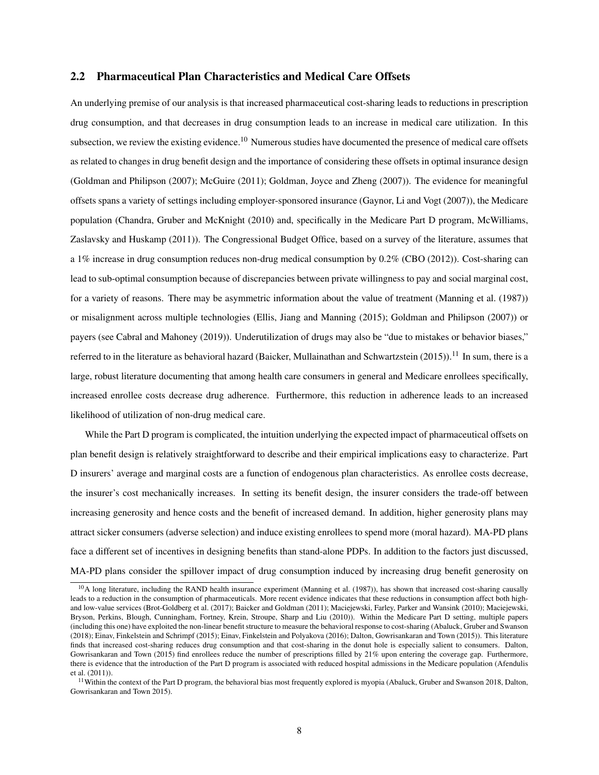### 2.2 Pharmaceutical Plan Characteristics and Medical Care Offsets

An underlying premise of our analysis is that increased pharmaceutical cost-sharing leads to reductions in prescription drug consumption, and that decreases in drug consumption leads to an increase in medical care utilization. In this subsection, we review the existing evidence.<sup>10</sup> Numerous studies have documented the presence of medical care offsets as related to changes in drug benefit design and the importance of considering these offsets in optimal insurance design (Goldman and Philipson (2007); McGuire (2011); Goldman, Joyce and Zheng (2007)). The evidence for meaningful offsets spans a variety of settings including employer-sponsored insurance (Gaynor, Li and Vogt (2007)), the Medicare population (Chandra, Gruber and McKnight (2010) and, specifically in the Medicare Part D program, McWilliams, Zaslavsky and Huskamp (2011)). The Congressional Budget Office, based on a survey of the literature, assumes that a 1% increase in drug consumption reduces non-drug medical consumption by 0.2% (CBO (2012)). Cost-sharing can lead to sub-optimal consumption because of discrepancies between private willingness to pay and social marginal cost, for a variety of reasons. There may be asymmetric information about the value of treatment (Manning et al. (1987)) or misalignment across multiple technologies (Ellis, Jiang and Manning (2015); Goldman and Philipson (2007)) or payers (see Cabral and Mahoney (2019)). Underutilization of drugs may also be "due to mistakes or behavior biases," referred to in the literature as behavioral hazard (Baicker, Mullainathan and Schwartzstein (2015)).<sup>11</sup> In sum, there is a large, robust literature documenting that among health care consumers in general and Medicare enrollees specifically, increased enrollee costs decrease drug adherence. Furthermore, this reduction in adherence leads to an increased likelihood of utilization of non-drug medical care.

While the Part D program is complicated, the intuition underlying the expected impact of pharmaceutical offsets on plan benefit design is relatively straightforward to describe and their empirical implications easy to characterize. Part D insurers' average and marginal costs are a function of endogenous plan characteristics. As enrollee costs decrease, the insurer's cost mechanically increases. In setting its benefit design, the insurer considers the trade-off between increasing generosity and hence costs and the benefit of increased demand. In addition, higher generosity plans may attract sicker consumers (adverse selection) and induce existing enrollees to spend more (moral hazard). MA-PD plans face a different set of incentives in designing benefits than stand-alone PDPs. In addition to the factors just discussed, MA-PD plans consider the spillover impact of drug consumption induced by increasing drug benefit generosity on

 $10$ A long literature, including the RAND health insurance experiment (Manning et al. (1987)), has shown that increased cost-sharing causally leads to a reduction in the consumption of pharmaceuticals. More recent evidence indicates that these reductions in consumption affect both highand low-value services (Brot-Goldberg et al. (2017); Baicker and Goldman (2011); Maciejewski, Farley, Parker and Wansink (2010); Maciejewski, Bryson, Perkins, Blough, Cunningham, Fortney, Krein, Stroupe, Sharp and Liu (2010)). Within the Medicare Part D setting, multiple papers (including this one) have exploited the non-linear benefit structure to measure the behavioral response to cost-sharing (Abaluck, Gruber and Swanson (2018); Einav, Finkelstein and Schrimpf (2015); Einav, Finkelstein and Polyakova (2016); Dalton, Gowrisankaran and Town (2015)). This literature finds that increased cost-sharing reduces drug consumption and that cost-sharing in the donut hole is especially salient to consumers. Dalton, Gowrisankaran and Town (2015) find enrollees reduce the number of prescriptions filled by 21% upon entering the coverage gap. Furthermore, there is evidence that the introduction of the Part D program is associated with reduced hospital admissions in the Medicare population (Afendulis et al. (2011)).

 $11$ Within the context of the Part D program, the behavioral bias most frequently explored is myopia (Abaluck, Gruber and Swanson 2018, Dalton, Gowrisankaran and Town 2015).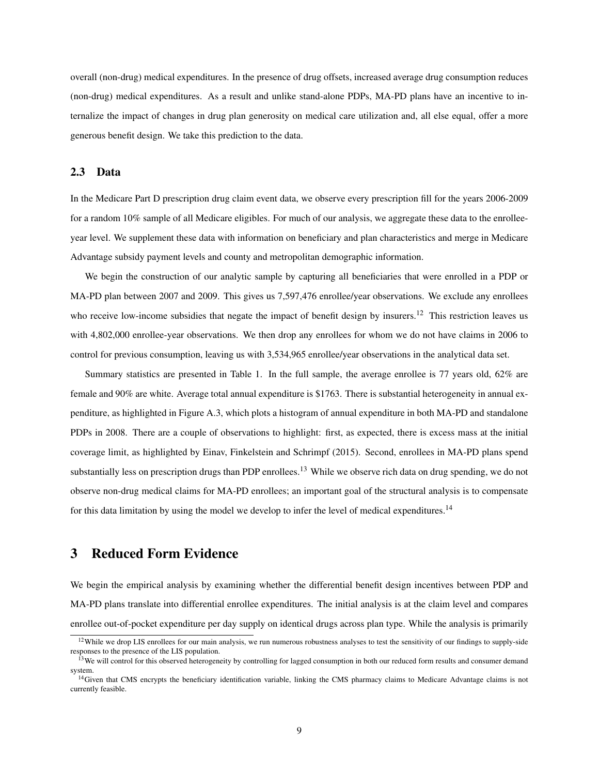overall (non-drug) medical expenditures. In the presence of drug offsets, increased average drug consumption reduces (non-drug) medical expenditures. As a result and unlike stand-alone PDPs, MA-PD plans have an incentive to internalize the impact of changes in drug plan generosity on medical care utilization and, all else equal, offer a more generous benefit design. We take this prediction to the data.

## 2.3 Data

In the Medicare Part D prescription drug claim event data, we observe every prescription fill for the years 2006-2009 for a random 10% sample of all Medicare eligibles. For much of our analysis, we aggregate these data to the enrolleeyear level. We supplement these data with information on beneficiary and plan characteristics and merge in Medicare Advantage subsidy payment levels and county and metropolitan demographic information.

We begin the construction of our analytic sample by capturing all beneficiaries that were enrolled in a PDP or MA-PD plan between 2007 and 2009. This gives us 7,597,476 enrollee/year observations. We exclude any enrollees who receive low-income subsidies that negate the impact of benefit design by insurers.<sup>12</sup> This restriction leaves us with 4,802,000 enrollee-year observations. We then drop any enrollees for whom we do not have claims in 2006 to control for previous consumption, leaving us with 3,534,965 enrollee/year observations in the analytical data set.

Summary statistics are presented in Table 1. In the full sample, the average enrollee is 77 years old, 62% are female and 90% are white. Average total annual expenditure is \$1763. There is substantial heterogeneity in annual expenditure, as highlighted in Figure A.3, which plots a histogram of annual expenditure in both MA-PD and standalone PDPs in 2008. There are a couple of observations to highlight: first, as expected, there is excess mass at the initial coverage limit, as highlighted by Einav, Finkelstein and Schrimpf (2015). Second, enrollees in MA-PD plans spend substantially less on prescription drugs than PDP enrollees.<sup>13</sup> While we observe rich data on drug spending, we do not observe non-drug medical claims for MA-PD enrollees; an important goal of the structural analysis is to compensate for this data limitation by using the model we develop to infer the level of medical expenditures.<sup>14</sup>

# 3 Reduced Form Evidence

We begin the empirical analysis by examining whether the differential benefit design incentives between PDP and MA-PD plans translate into differential enrollee expenditures. The initial analysis is at the claim level and compares enrollee out-of-pocket expenditure per day supply on identical drugs across plan type. While the analysis is primarily

 $12$ While we drop LIS enrollees for our main analysis, we run numerous robustness analyses to test the sensitivity of our findings to supply-side responses to the presence of the LIS population.

<sup>&</sup>lt;sup>13</sup>We will control for this observed heterogeneity by controlling for lagged consumption in both our reduced form results and consumer demand system.

<sup>&</sup>lt;sup>14</sup>Given that CMS encrypts the beneficiary identification variable, linking the CMS pharmacy claims to Medicare Advantage claims is not currently feasible.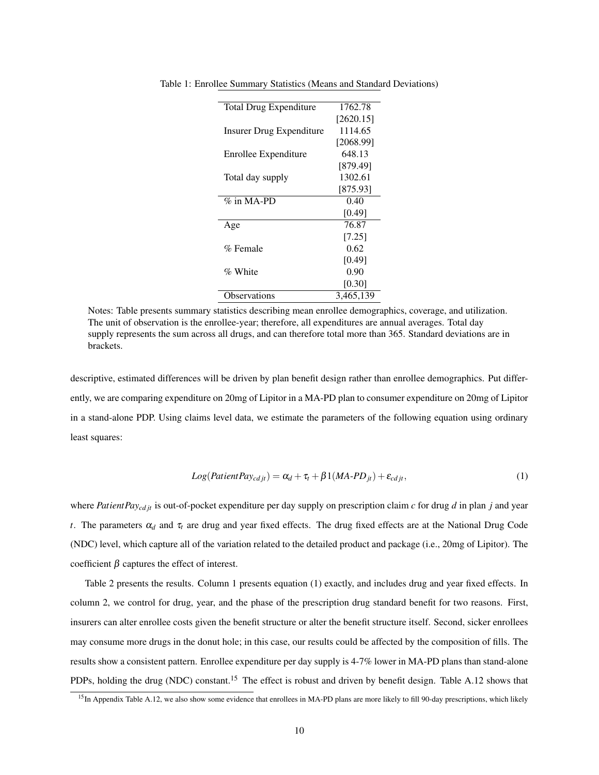| <b>Total Drug Expenditure</b> | 1762.78   |
|-------------------------------|-----------|
|                               | [2620.15] |
| Insurer Drug Expenditure      | 1114.65   |
|                               | [2068.99] |
| Enrollee Expenditure          | 648.13    |
|                               | [879.49]  |
| Total day supply              | 1302.61   |
|                               | [875.93]  |
| $\%$ in MA-PD                 | 0.40      |
|                               | [0.49]    |
| Age                           | 76.87     |
|                               | [7.25]    |
| % Female                      | 0.62      |
|                               | [0.49]    |
| % White                       | 0.90      |
|                               | [0.30]    |
| Observations                  | 3,465,139 |

Table 1: Enrollee Summary Statistics (Means and Standard Deviations)

Notes: Table presents summary statistics describing mean enrollee demographics, coverage, and utilization. The unit of observation is the enrollee-year; therefore, all expenditures are annual averages. Total day supply represents the sum across all drugs, and can therefore total more than 365. Standard deviations are in brackets.

descriptive, estimated differences will be driven by plan benefit design rather than enrollee demographics. Put differently, we are comparing expenditure on 20mg of Lipitor in a MA-PD plan to consumer expenditure on 20mg of Lipitor in a stand-alone PDP. Using claims level data, we estimate the parameters of the following equation using ordinary least squares:

$$
Log(Patient Pay_{cdjt}) = \alpha_d + \tau_t + \beta 1(MA-PD_{jt}) + \varepsilon_{cdjt},
$$
\n(1)

where *PatientPaycd jt* is out-of-pocket expenditure per day supply on prescription claim *c* for drug *d* in plan *j* and year *t*. The parameters  $\alpha_d$  and  $\tau_t$  are drug and year fixed effects. The drug fixed effects are at the National Drug Code (NDC) level, which capture all of the variation related to the detailed product and package (i.e., 20mg of Lipitor). The coefficient  $\beta$  captures the effect of interest.

Table 2 presents the results. Column 1 presents equation (1) exactly, and includes drug and year fixed effects. In column 2, we control for drug, year, and the phase of the prescription drug standard benefit for two reasons. First, insurers can alter enrollee costs given the benefit structure or alter the benefit structure itself. Second, sicker enrollees may consume more drugs in the donut hole; in this case, our results could be affected by the composition of fills. The results show a consistent pattern. Enrollee expenditure per day supply is 4-7% lower in MA-PD plans than stand-alone PDPs, holding the drug (NDC) constant.<sup>15</sup> The effect is robust and driven by benefit design. Table A.12 shows that

<sup>&</sup>lt;sup>15</sup>In Appendix Table A.12, we also show some evidence that enrollees in MA-PD plans are more likely to fill 90-day prescriptions, which likely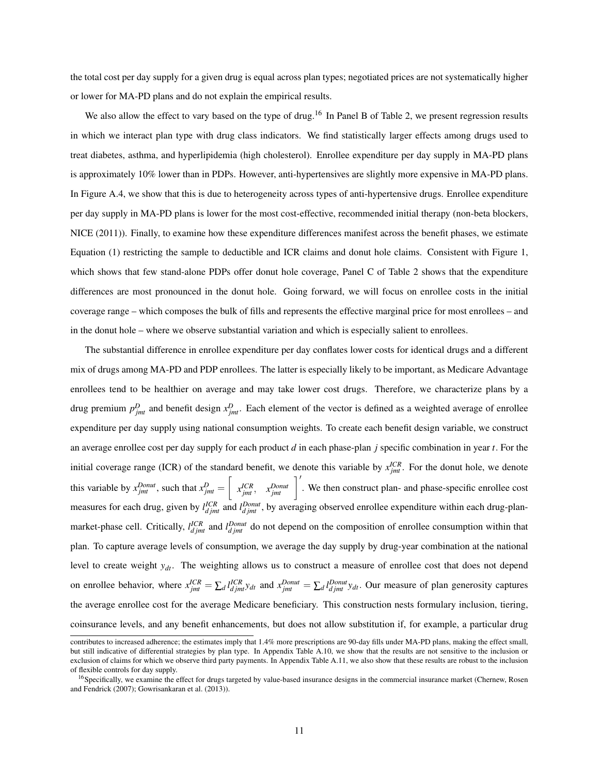the total cost per day supply for a given drug is equal across plan types; negotiated prices are not systematically higher or lower for MA-PD plans and do not explain the empirical results.

We also allow the effect to vary based on the type of drug.<sup>16</sup> In Panel B of Table 2, we present regression results in which we interact plan type with drug class indicators. We find statistically larger effects among drugs used to treat diabetes, asthma, and hyperlipidemia (high cholesterol). Enrollee expenditure per day supply in MA-PD plans is approximately 10% lower than in PDPs. However, anti-hypertensives are slightly more expensive in MA-PD plans. In Figure A.4, we show that this is due to heterogeneity across types of anti-hypertensive drugs. Enrollee expenditure per day supply in MA-PD plans is lower for the most cost-effective, recommended initial therapy (non-beta blockers, NICE (2011)). Finally, to examine how these expenditure differences manifest across the benefit phases, we estimate Equation (1) restricting the sample to deductible and ICR claims and donut hole claims. Consistent with Figure 1, which shows that few stand-alone PDPs offer donut hole coverage, Panel C of Table 2 shows that the expenditure differences are most pronounced in the donut hole. Going forward, we will focus on enrollee costs in the initial coverage range – which composes the bulk of fills and represents the effective marginal price for most enrollees – and in the donut hole – where we observe substantial variation and which is especially salient to enrollees.

The substantial difference in enrollee expenditure per day conflates lower costs for identical drugs and a different mix of drugs among MA-PD and PDP enrollees. The latter is especially likely to be important, as Medicare Advantage enrollees tend to be healthier on average and may take lower cost drugs. Therefore, we characterize plans by a drug premium  $p_{jmt}^D$  and benefit design  $x_{jmt}^D$ . Each element of the vector is defined as a weighted average of enrollee expenditure per day supply using national consumption weights. To create each benefit design variable, we construct an average enrollee cost per day supply for each product *d* in each phase-plan *j* specific combination in year *t*. For the initial coverage range (ICR) of the standard benefit, we denote this variable by  $x_{jmt}^{ICR}$ . For the donut hole, we denote this variable by  $x_{jmt}^{Donut}$ , such that  $x_{jmt}^D = \begin{bmatrix} 1 & 0 \\ 0 & 0 \end{bmatrix}$  $x_{jmt}^{ICR}$ ,  $x_{jmt}^{Donut}$   $\Big]$ . We then construct plan- and phase-specific enrollee cost measures for each drug, given by  $l_{djmt}^{ICR}$  and  $l_{djmt}^{Donut}$ , by averaging observed enrollee expenditure within each drug-planmarket-phase cell. Critically,  $l_{djmt}^{ICR}$  and  $l_{djmt}^{Donut}$  do not depend on the composition of enrollee consumption within that plan. To capture average levels of consumption, we average the day supply by drug-year combination at the national level to create weight *ydt*. The weighting allows us to construct a measure of enrollee cost that does not depend on enrollee behavior, where  $x_{jmt}^{ICR} = \sum_d l_{djmt}^{ICR} y_{dt}$  and  $x_{jmt}^{Donut} = \sum_d l_{djmt}^{Donut} y_{dt}$ . Our measure of plan generosity captures the average enrollee cost for the average Medicare beneficiary. This construction nests formulary inclusion, tiering, coinsurance levels, and any benefit enhancements, but does not allow substitution if, for example, a particular drug

contributes to increased adherence; the estimates imply that 1.4% more prescriptions are 90-day fills under MA-PD plans, making the effect small, but still indicative of differential strategies by plan type. In Appendix Table A.10, we show that the results are not sensitive to the inclusion or exclusion of claims for which we observe third party payments. In Appendix Table A.11, we also show that these results are robust to the inclusion of flexible controls for day supply.

<sup>&</sup>lt;sup>16</sup>Specifically, we examine the effect for drugs targeted by value-based insurance designs in the commercial insurance market (Chernew, Rosen and Fendrick (2007); Gowrisankaran et al. (2013)).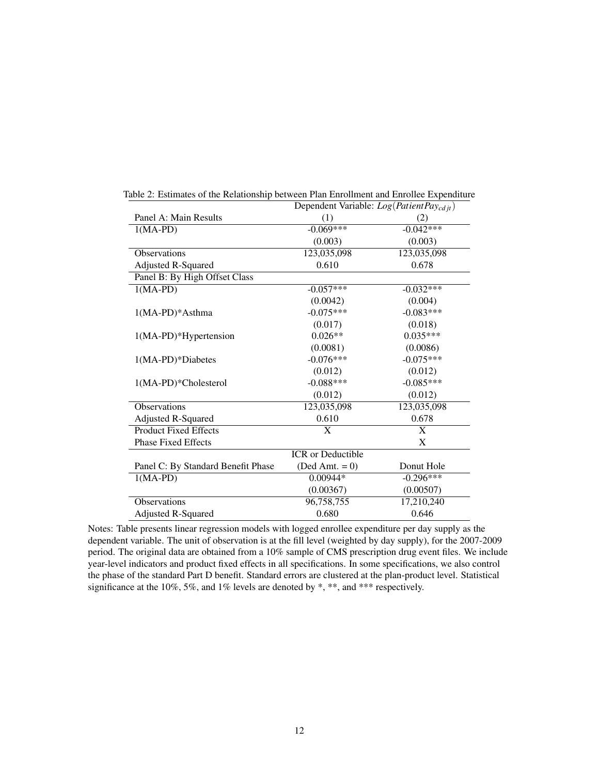|                                    | $D$ CpChucht variable. $Log(1$ artem t a $y_{cd}$ if $T$ |             |  |  |
|------------------------------------|----------------------------------------------------------|-------------|--|--|
| Panel A: Main Results              | (1)                                                      | (2)         |  |  |
| $1(MA-PD)$                         | $-0.069***$                                              | $-0.042***$ |  |  |
|                                    | (0.003)                                                  | (0.003)     |  |  |
| <b>Observations</b>                | 123,035,098                                              | 123,035,098 |  |  |
| <b>Adjusted R-Squared</b>          | 0.610                                                    | 0.678       |  |  |
| Panel B: By High Offset Class      |                                                          |             |  |  |
| $1(MA-PD)$                         | $-0.057***$                                              | $-0.032***$ |  |  |
|                                    | (0.0042)                                                 | (0.004)     |  |  |
| $1(MA-PD)*Asthma$                  | $-0.075***$                                              | $-0.083***$ |  |  |
|                                    | (0.017)                                                  | (0.018)     |  |  |
| 1(MA-PD)*Hypertension              | $0.026**$                                                | $0.035***$  |  |  |
|                                    | (0.0081)                                                 | (0.0086)    |  |  |
| 1(MA-PD)*Diabetes                  | $-0.076***$                                              | $-0.075***$ |  |  |
|                                    | (0.012)                                                  | (0.012)     |  |  |
| 1(MA-PD)*Cholesterol               | $-0.088***$                                              | $-0.085***$ |  |  |
|                                    | (0.012)                                                  | (0.012)     |  |  |
| <b>Observations</b>                | 123,035,098                                              | 123,035,098 |  |  |
| Adjusted R-Squared                 | 0.610                                                    | 0.678       |  |  |
| <b>Product Fixed Effects</b>       | X                                                        | X           |  |  |
| <b>Phase Fixed Effects</b>         |                                                          | X           |  |  |
|                                    | <b>ICR</b> or Deductible                                 |             |  |  |
| Panel C: By Standard Benefit Phase | $(Ded Amt. = 0)$                                         | Donut Hole  |  |  |
| $1(MA-PD)$                         | 0.00944*                                                 | $-0.296***$ |  |  |
|                                    | (0.00367)                                                | (0.00507)   |  |  |
| Observations                       | 96,758,755                                               | 17,210,240  |  |  |
| <b>Adjusted R-Squared</b>          | 0.680                                                    | 0.646       |  |  |

Table 2: Estimates of the Relationship between Plan Enrollment and Enrollee Expenditure Dependent Variable: *Log*(*PatientPaycd jt*)

Notes: Table presents linear regression models with logged enrollee expenditure per day supply as the dependent variable. The unit of observation is at the fill level (weighted by day supply), for the 2007-2009 period. The original data are obtained from a 10% sample of CMS prescription drug event files. We include year-level indicators and product fixed effects in all specifications. In some specifications, we also control the phase of the standard Part D benefit. Standard errors are clustered at the plan-product level. Statistical significance at the 10%, 5%, and 1% levels are denoted by  $*, **$ , and  $***$  respectively.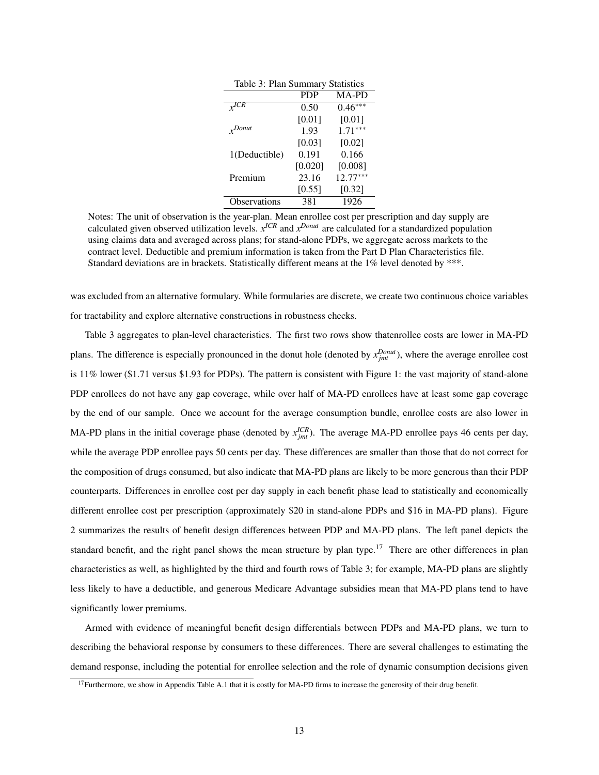| Table 3: Plan Summary Statistics |            |            |  |  |  |  |
|----------------------------------|------------|------------|--|--|--|--|
|                                  | <b>PDP</b> | MA-PD      |  |  |  |  |
|                                  | 0.50       | $0.46***$  |  |  |  |  |
|                                  | [0.01]     | [0.01]     |  |  |  |  |
| $v$ Donut                        | 1.93       | $1.71***$  |  |  |  |  |
|                                  | [0.03]     | [0.02]     |  |  |  |  |
| 1(Deductible)                    | 0.191      | 0.166      |  |  |  |  |
|                                  | [0.020]    | [0.008]    |  |  |  |  |
| Premium                          | 23.16      | $12.77***$ |  |  |  |  |
|                                  | [0.55]     | [0.32]     |  |  |  |  |
| <b>Observations</b>              | 381        | 1926       |  |  |  |  |

Notes: The unit of observation is the year-plan. Mean enrollee cost per prescription and day supply are calculated given observed utilization levels.  $x^{ICR}$  and  $x^{Donut}$  are calculated for a standardized population using claims data and averaged across plans; for stand-alone PDPs, we aggregate across markets to the contract level. Deductible and premium information is taken from the Part D Plan Characteristics file. Standard deviations are in brackets. Statistically different means at the 1% level denoted by \*\*\*.

was excluded from an alternative formulary. While formularies are discrete, we create two continuous choice variables for tractability and explore alternative constructions in robustness checks.

Table 3 aggregates to plan-level characteristics. The first two rows show thatenrollee costs are lower in MA-PD plans. The difference is especially pronounced in the donut hole (denoted by  $x_{jmt}^{Dont}$ ), where the average enrollee cost is 11% lower (\$1.71 versus \$1.93 for PDPs). The pattern is consistent with Figure 1: the vast majority of stand-alone PDP enrollees do not have any gap coverage, while over half of MA-PD enrollees have at least some gap coverage by the end of our sample. Once we account for the average consumption bundle, enrollee costs are also lower in MA-PD plans in the initial coverage phase (denoted by  $x_{jmt}^{ICR}$ ). The average MA-PD enrollee pays 46 cents per day, while the average PDP enrollee pays 50 cents per day. These differences are smaller than those that do not correct for the composition of drugs consumed, but also indicate that MA-PD plans are likely to be more generous than their PDP counterparts. Differences in enrollee cost per day supply in each benefit phase lead to statistically and economically different enrollee cost per prescription (approximately \$20 in stand-alone PDPs and \$16 in MA-PD plans). Figure 2 summarizes the results of benefit design differences between PDP and MA-PD plans. The left panel depicts the standard benefit, and the right panel shows the mean structure by plan type.<sup>17</sup> There are other differences in plan characteristics as well, as highlighted by the third and fourth rows of Table 3; for example, MA-PD plans are slightly less likely to have a deductible, and generous Medicare Advantage subsidies mean that MA-PD plans tend to have significantly lower premiums.

Armed with evidence of meaningful benefit design differentials between PDPs and MA-PD plans, we turn to describing the behavioral response by consumers to these differences. There are several challenges to estimating the demand response, including the potential for enrollee selection and the role of dynamic consumption decisions given

 $17$ Furthermore, we show in Appendix Table A.1 that it is costly for MA-PD firms to increase the generosity of their drug benefit.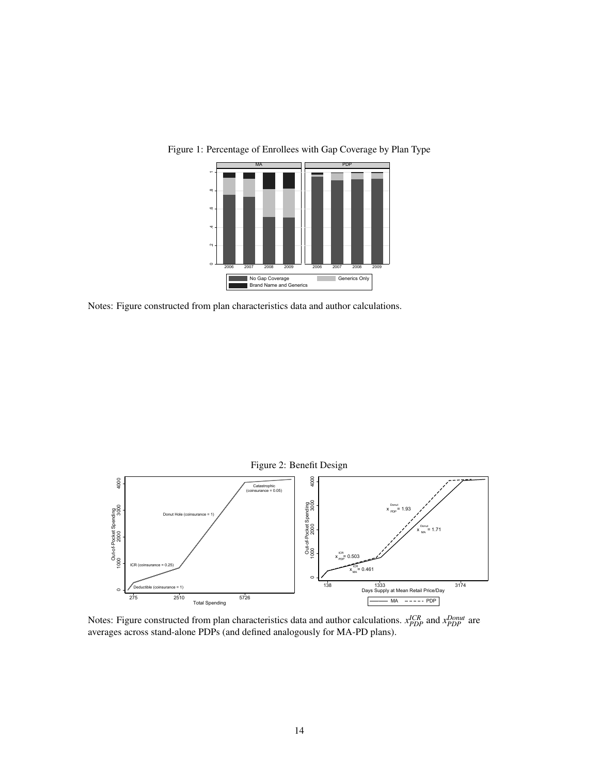

Figure 1: Percentage of Enrollees with Gap Coverage by Plan Type

Notes: Figure constructed from plan characteristics data and author calculations.



Notes: Figure constructed from plan characteristics data and author calculations.  $x_{PDP}^{ICR}$  and  $x_{PDP}^{Dount}$  are averages across stand-alone PDPs (and defined analogously for MA-PD plans).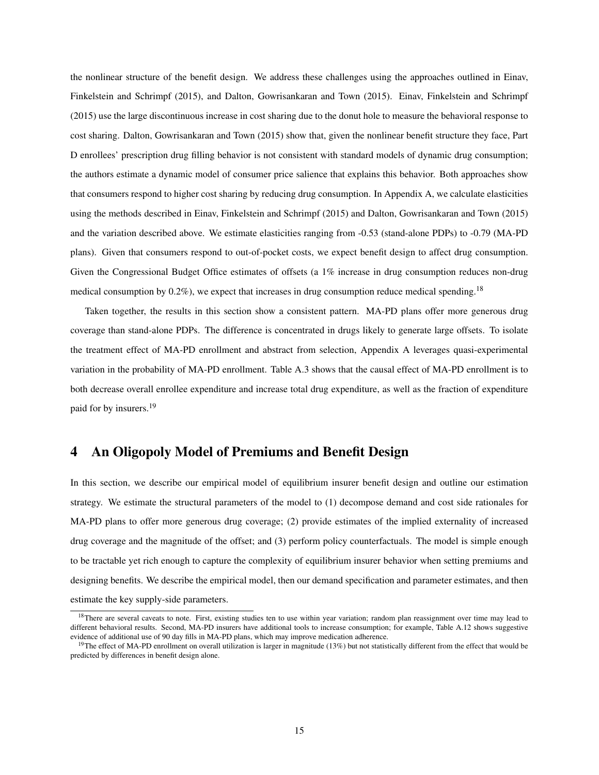the nonlinear structure of the benefit design. We address these challenges using the approaches outlined in Einav, Finkelstein and Schrimpf (2015), and Dalton, Gowrisankaran and Town (2015). Einav, Finkelstein and Schrimpf (2015) use the large discontinuous increase in cost sharing due to the donut hole to measure the behavioral response to cost sharing. Dalton, Gowrisankaran and Town (2015) show that, given the nonlinear benefit structure they face, Part D enrollees' prescription drug filling behavior is not consistent with standard models of dynamic drug consumption; the authors estimate a dynamic model of consumer price salience that explains this behavior. Both approaches show that consumers respond to higher cost sharing by reducing drug consumption. In Appendix A, we calculate elasticities using the methods described in Einav, Finkelstein and Schrimpf (2015) and Dalton, Gowrisankaran and Town (2015) and the variation described above. We estimate elasticities ranging from -0.53 (stand-alone PDPs) to -0.79 (MA-PD plans). Given that consumers respond to out-of-pocket costs, we expect benefit design to affect drug consumption. Given the Congressional Budget Office estimates of offsets (a 1% increase in drug consumption reduces non-drug medical consumption by 0.2%), we expect that increases in drug consumption reduce medical spending.<sup>18</sup>

Taken together, the results in this section show a consistent pattern. MA-PD plans offer more generous drug coverage than stand-alone PDPs. The difference is concentrated in drugs likely to generate large offsets. To isolate the treatment effect of MA-PD enrollment and abstract from selection, Appendix A leverages quasi-experimental variation in the probability of MA-PD enrollment. Table A.3 shows that the causal effect of MA-PD enrollment is to both decrease overall enrollee expenditure and increase total drug expenditure, as well as the fraction of expenditure paid for by insurers.<sup>19</sup>

# 4 An Oligopoly Model of Premiums and Benefit Design

In this section, we describe our empirical model of equilibrium insurer benefit design and outline our estimation strategy. We estimate the structural parameters of the model to (1) decompose demand and cost side rationales for MA-PD plans to offer more generous drug coverage; (2) provide estimates of the implied externality of increased drug coverage and the magnitude of the offset; and (3) perform policy counterfactuals. The model is simple enough to be tractable yet rich enough to capture the complexity of equilibrium insurer behavior when setting premiums and designing benefits. We describe the empirical model, then our demand specification and parameter estimates, and then estimate the key supply-side parameters.

<sup>&</sup>lt;sup>18</sup>There are several caveats to note. First, existing studies ten to use within year variation; random plan reassignment over time may lead to different behavioral results. Second, MA-PD insurers have additional tools to increase consumption; for example, Table A.12 shows suggestive evidence of additional use of 90 day fills in MA-PD plans, which may improve medication adherence.

<sup>&</sup>lt;sup>19</sup>The effect of MA-PD enrollment on overall utilization is larger in magnitude (13%) but not statistically different from the effect that would be predicted by differences in benefit design alone.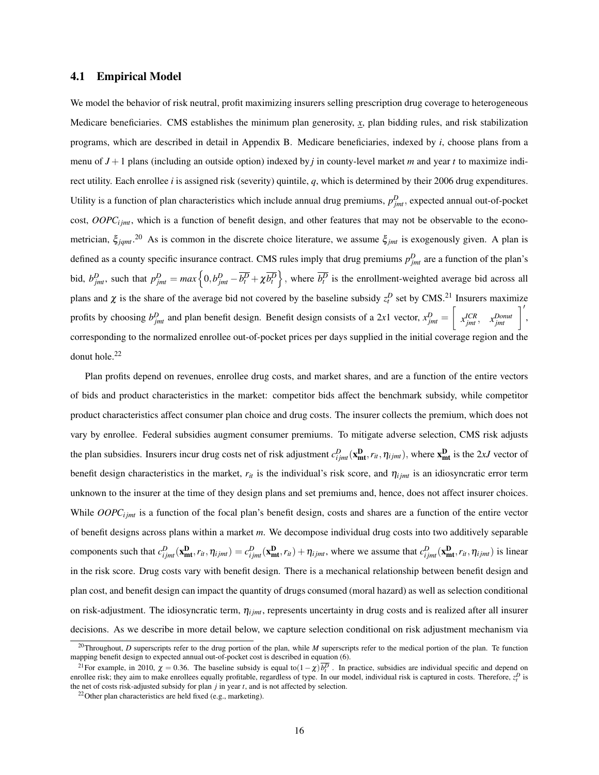#### 4.1 Empirical Model

We model the behavior of risk neutral, profit maximizing insurers selling prescription drug coverage to heterogeneous Medicare beneficiaries. CMS establishes the minimum plan generosity, *x*, plan bidding rules, and risk stabilization programs, which are described in detail in Appendix B. Medicare beneficiaries, indexed by *i*, choose plans from a menu of *J* +1 plans (including an outside option) indexed by *j* in county-level market *m* and year *t* to maximize indirect utility. Each enrollee *i* is assigned risk (severity) quintile, *q*, which is determined by their 2006 drug expenditures. Utility is a function of plan characteristics which include annual drug premiums,  $p_{jmt}^D$ , expected annual out-of-pocket cost, OOPC<sub>ijmt</sub>, which is a function of benefit design, and other features that may not be observable to the econometrician, ξ*jqmt*. <sup>20</sup> As is common in the discrete choice literature, we assume ξ*jmt* is exogenously given. A plan is defined as a county specific insurance contract. CMS rules imply that drug premiums  $p_{jmt}^D$  are a function of the plan's bid,  $b_{jmt}^D$ , such that  $p_{jmt}^D = max \left\{ 0, b_{jmt}^D - \overline{b_t^D} + \chi \overline{b_t^D} \right\}$ , where  $\overline{b_t^D}$  is the enrollment-weighted average bid across all plans and  $\chi$  is the share of the average bid not covered by the baseline subsidy  $z_t^D$  set by CMS.<sup>21</sup> Insurers maximize profits by choosing  $b_{jmt}^D$  and plan benefit design. Benefit design consists of a 2*x*1 vector,  $x_{jmt}^D = \left[$  $\left[ \begin{array}{c} x^{ICR} \\ y^{int} \end{array} \right],$ corresponding to the normalized enrollee out-of-pocket prices per days supplied in the initial coverage region and the donut hole.<sup>22</sup>

Plan profits depend on revenues, enrollee drug costs, and market shares, and are a function of the entire vectors of bids and product characteristics in the market: competitor bids affect the benchmark subsidy, while competitor product characteristics affect consumer plan choice and drug costs. The insurer collects the premium, which does not vary by enrollee. Federal subsidies augment consumer premiums. To mitigate adverse selection, CMS risk adjusts the plan subsidies. Insurers incur drug costs net of risk adjustment  $c_{ijmt}^D(\mathbf{x}_{mt}^D, r_{it}, \eta_{ijmt})$ , where  $\mathbf{x}_{mt}^D$  is the 2*xJ* vector of benefit design characteristics in the market,  $r_{it}$  is the individual's risk score, and  $\eta_{ijmt}$  is an idiosyncratic error term unknown to the insurer at the time of they design plans and set premiums and, hence, does not affect insurer choices. While  $OOPC<sub>ijmt</sub>$  is a function of the focal plan's benefit design, costs and shares are a function of the entire vector of benefit designs across plans within a market *m*. We decompose individual drug costs into two additively separable components such that  $c_{ijmt}^D(\mathbf{x_{mt}^D}, r_{it}, \eta_{ijmt}) = c_{ijmt}^D(\mathbf{x_{mt}^D}, r_{it}) + \eta_{ijmt}$ , where we assume that  $c_{ijmt}^D(\mathbf{x_{mt}^D}, r_{it}, \eta_{ijmt})$  is linear in the risk score. Drug costs vary with benefit design. There is a mechanical relationship between benefit design and plan cost, and benefit design can impact the quantity of drugs consumed (moral hazard) as well as selection conditional on risk-adjustment. The idiosyncratic term,  $\eta_{ijmt}$ , represents uncertainty in drug costs and is realized after all insurer decisions. As we describe in more detail below, we capture selection conditional on risk adjustment mechanism via

<sup>&</sup>lt;sup>20</sup>Throughout, *D* superscripts refer to the drug portion of the plan, while *M* superscripts refer to the medical portion of the plan. Te function mapping benefit design to expected annual out-of-pocket cost is described in equation (6).

<sup>&</sup>lt;sup>21</sup> For example, in 2010,  $\chi = 0.36$ . The baseline subsidy is equal to( $1 - \chi$ ) $\overline{b_p^D}$ . In practice, subsidies are individual specific and depend on enrollee risk; they aim to make enrollees equally profitable, regardless of type. In our model, individual risk is captured in costs. Therefore,  $z_t^D$  is the net of costs risk-adjusted subsidy for plan *j* in year *t*, and is not affected by selection.

<sup>22</sup>Other plan characteristics are held fixed (e.g., marketing).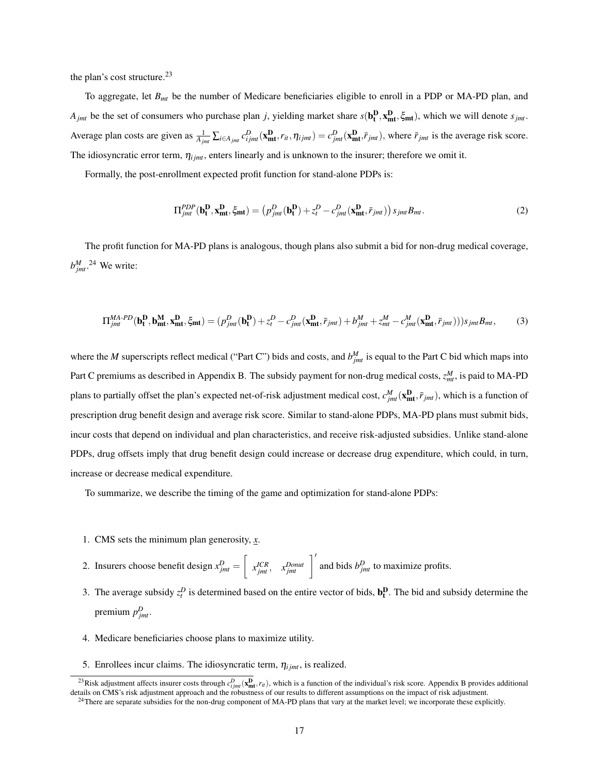the plan's cost structure. $^{23}$ 

To aggregate, let *Bmt* be the number of Medicare beneficiaries eligible to enroll in a PDP or MA-PD plan, and *A*<sub>*jmt*</sub> be the set of consumers who purchase plan *j*, yielding market share  $s(\mathbf{b}_t^D, \mathbf{x}_{mt}^D, \xi_{mt})$ , which we will denote  $s_{jmt}$ . Average plan costs are given as  $\frac{1}{A_{jmt}} \sum_{i \in A_{jmt}} c_{ijmt}^D(\mathbf{x_{mt}^D}, r_{it}, \eta_{ijmt}) = c_{jmt}^D(\mathbf{x_{mt}^D}, \bar{r}_{jmt}),$  where  $\bar{r}_{jmt}$  is the average risk score. The idiosyncratic error term,  $\eta_{ijmt}$ , enters linearly and is unknown to the insurer; therefore we omit it.

Formally, the post-enrollment expected profit function for stand-alone PDPs is:

$$
\Pi_{jmt}^{PDP}(\mathbf{b_t^D}, \mathbf{x_{mt}^D}, \xi_{mt}) = (p_{jmt}^D(\mathbf{b_t^D}) + z_t^D - c_{jmt}^D(\mathbf{x_{mt}^D}, \bar{r}_{jmt})) s_{jmt} B_{mt}.
$$
\n(2)

The profit function for MA-PD plans is analogous, though plans also submit a bid for non-drug medical coverage,  $b_{jmt}^M$ .<sup>24</sup> We write:

$$
\Pi_{jmt}^{MA-PD}(\mathbf{b_t^D}, \mathbf{b_{mt}^M}, \mathbf{x_{mt}^D}, \xi_{mt}) = (p_{jmt}^D(\mathbf{b_t^D}) + z_t^D - c_{jmt}^D(\mathbf{x_{mt}^D}, \bar{r}_{jmt}) + b_{jmt}^M + z_{mt}^M - c_{jmt}^M(\mathbf{x_{mt}^D}, \bar{r}_{jmt})))s_{jmt}B_{mt},
$$
(3)

where the *M* superscripts reflect medical ("Part C") bids and costs, and  $b_{jmt}^M$  is equal to the Part C bid which maps into Part C premiums as described in Appendix B. The subsidy payment for non-drug medical costs,  $z_{mt}^M$ , is paid to MA-PD plans to partially offset the plan's expected net-of-risk adjustment medical cost,  $c_{jmt}^M(\mathbf{x_{mt}}^D, \bar{r}_{jmt})$ , which is a function of prescription drug benefit design and average risk score. Similar to stand-alone PDPs, MA-PD plans must submit bids, incur costs that depend on individual and plan characteristics, and receive risk-adjusted subsidies. Unlike stand-alone PDPs, drug offsets imply that drug benefit design could increase or decrease drug expenditure, which could, in turn, increase or decrease medical expenditure.

To summarize, we describe the timing of the game and optimization for stand-alone PDPs:

1. CMS sets the minimum plan generosity, *x*.

2. Insurers choose benefit design  $x_{jmt}^D = \left[$  $x_{jmt}^{ICR}$ ,  $x_{jmt}^{Donut}$   $\left| \right|^{T}$  and bids  $b_{jmt}^{D}$  to maximize profits.

- 3. The average subsidy  $z_t^D$  is determined based on the entire vector of bids,  $\mathbf{b}_t^D$ . The bid and subsidy determine the premium  $p_{jmt}^D$ .
- 4. Medicare beneficiaries choose plans to maximize utility.
- 5. Enrollees incur claims. The idiosyncratic term,  $\eta_{ijmt}$ , is realized.

<sup>&</sup>lt;sup>23</sup>Risk adjustment affects insurer costs through  $c_{ijmt}^D$ ( $\mathbf{x}_{mt}^D$ , which is a function of the individual's risk score. Appendix B provides additional details on CMS's risk adjustment approach and the robustness of o

 $^{24}$ There are separate subsidies for the non-drug component of MA-PD plans that vary at the market level; we incorporate these explicitly.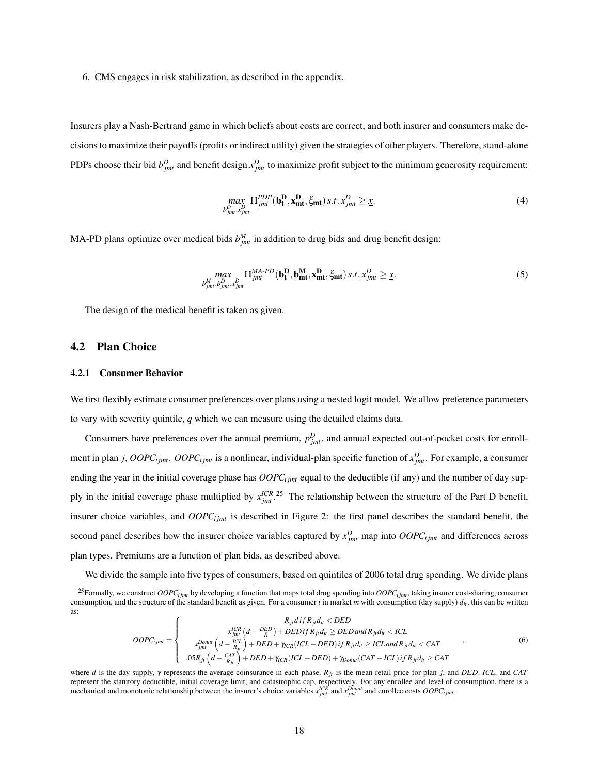6. CMS engages in risk stabilization, as described in the appendix.

Insurers play a Nash-Bertrand game in which beliefs about costs are correct, and both insurer and consumers make decisions to maximize their payoffs (profits or indirect utility) given the strategies of other players. Therefore, stand-alone PDPs choose their bid  $b_{jmt}^D$  and benefit design  $x_{jmt}^D$  to maximize profit subject to the minimum generosity requirement:

$$
\max_{\substack{b_{jmt}^D, x_{jmt}^D}} \Pi_{jmt}^{PDP}(\mathbf{b_t^D}, \mathbf{x_{mt}^D}, \xi_{mt}) \, s.t. \, x_{jmt}^D \geq \underline{x}.\tag{4}
$$

MA-PD plans optimize over medical bids  $b_{jmt}^M$  in addition to drug bids and drug benefit design:

$$
\max_{b_{jmt}^M, b_{jmt}^D, x_{jmt}^D} \Pi_{jmt}^{MA-PD}(\mathbf{b_t^D}, \mathbf{b_{mt}^M}, \mathbf{x_{mt}^D}, \xi_{mt}) s.t. x_{jmt}^D \ge \underline{x}.
$$
 (5)

The design of the medical benefit is taken as given.

### 4.2 Plan Choice

#### 4.2.1 Consumer Behavior

We first flexibly estimate consumer preferences over plans using a nested logit model. We allow preference parameters to vary with severity quintile, *q* which we can measure using the detailed claims data.

Consumers have preferences over the annual premium,  $p_{jmt}^D$ , and annual expected out-of-pocket costs for enrollment in plan *j*, *OOPC*<sub>*ijmt*</sub>. *OOPC*<sub>*ijmt*</sub> is a nonlinear, individual-plan specific function of  $x_{jmt}^D$ . For example, a consumer ending the year in the initial coverage phase has  $OOPC<sub>ijmt</sub>$  equal to the deductible (if any) and the number of day supply in the initial coverage phase multiplied by  $x_{jmt}^{ICR}$ .<sup>25</sup> The relationship between the structure of the Part D benefit, insurer choice variables, and  $OOPC<sub>ijmt</sub>$  is described in Figure 2: the first panel describes the standard benefit, the second panel describes how the insurer choice variables captured by  $x_{jmt}^D$  map into  $OOPC_{ijmt}$  and differences across plan types. Premiums are a function of plan bids, as described above.

We divide the sample into five types of consumers, based on quintiles of 2006 total drug spending. We divide plans

$$
OOPC_{ijmt} = \begin{cases}\nR_{ji}diff R_{ji}d_{il} < DED \\
x_{jmt}^{DCR} \left(d - \frac{ICL}{R}\right) + DEDif R_{ji}d_{il} \ge DED \text{ and } R_{ji}d_{il} < ICL \\
x_{jmt}^{Donut} \left(d - \frac{ICL}{R_{ji}}\right) + DED + \gamma_{CR}(ICL - DED) \text{ if } R_{ji}d_{il} \ge ICL \text{ and } R_{ji}d_{il} < CAT \\
.05R_{ji} \left(d - \frac{CAT}{R_{ji}}\right) + DED + \gamma_{ICR}(ICL - DED) + \gamma_{Donut}(CAT - ICL) \text{ if } R_{ji}d_{il} \ge CAT\n\end{cases} \tag{6}
$$

<sup>&</sup>lt;sup>25</sup>Formally, we construct  $OOPC<sub>ijmt</sub>$  by developing a function that maps total drug spending into  $OOPC<sub>ijmt</sub>$ , taking insurer cost-sharing, consumer consumption, and the structure of the standard benefit as given. For a consumer *i* in market *m* with consumption (day supply)  $d_{it}$ , this can be written as:

where *d* is the day supply, γ represents the average coinsurance in each phase, *Rjt* is the mean retail price for plan *j*, and *DED*, *ICL*, and *CAT* represent the statutory deductible, initial coverage limit, and catastrophic cap, respectively. For any enrollee and level of consumption, there is a mechanical and monotonic relationship between the insurer's choice variables  $x_{jmt}^{ICR}$  and  $x_{jmt}^{Donut}$  and enrollee costs  $OOPC_{ijmt}$ .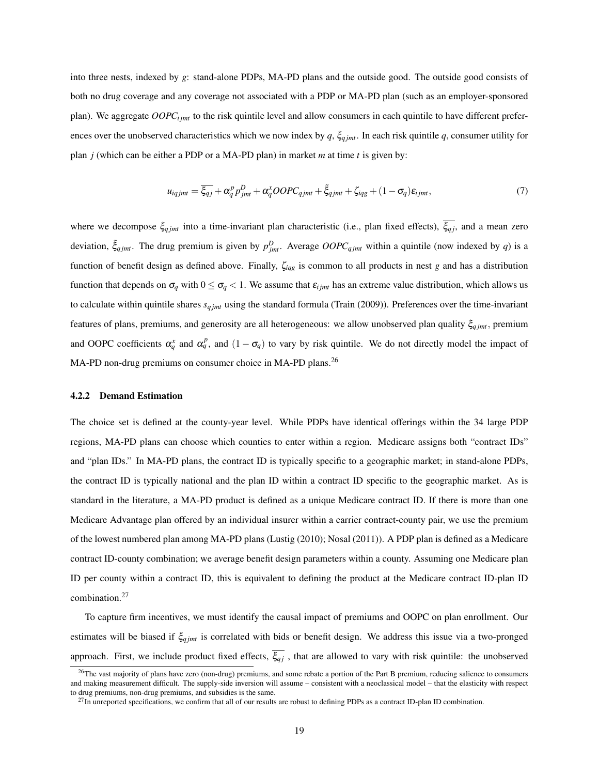into three nests, indexed by *g*: stand-alone PDPs, MA-PD plans and the outside good. The outside good consists of both no drug coverage and any coverage not associated with a PDP or MA-PD plan (such as an employer-sponsored plan). We aggregate *OOPCi jmt* to the risk quintile level and allow consumers in each quintile to have different preferences over the unobserved characteristics which we now index by  $q$ ,  $\xi_{qjmt}$ . In each risk quintile q, consumer utility for plan *j* (which can be either a PDP or a MA-PD plan) in market *m* at time *t* is given by:

$$
u_{iqjmt} = \overline{\xi_{qj}} + \alpha_q^p p_{jmt}^D + \alpha_q^x OOPC_{qjmt} + \tilde{\xi}_{qjmt} + \zeta_{iqg} + (1 - \sigma_q) \varepsilon_{ijmt},\tag{7}
$$

where we decompose  $\xi_{qjmt}$  into a time-invariant plan characteristic (i.e., plan fixed effects),  $\overline{\xi_{qj}}$ , and a mean zero deviation,  $\tilde{\xi}_{qjmt}$ . The drug premium is given by  $p_{jmt}^D$ . Average  $OOPC_{qjmt}$  within a quintile (now indexed by *q*) is a function of benefit design as defined above. Finally, ζ*iqg* is common to all products in nest *g* and has a distribution function that depends on  $\sigma_q$  with  $0 \le \sigma_q < 1$ . We assume that  $\varepsilon_{ijmt}$  has an extreme value distribution, which allows us to calculate within quintile shares  $s_{qjmt}$  using the standard formula (Train (2009)). Preferences over the time-invariant features of plans, premiums, and generosity are all heterogeneous: we allow unobserved plan quality ξ*q jmt*, premium and OOPC coefficients  $\alpha_q^x$  and  $\alpha_q^p$ , and  $(1 - \sigma_q)$  to vary by risk quintile. We do not directly model the impact of MA-PD non-drug premiums on consumer choice in MA-PD plans.<sup>26</sup>

#### 4.2.2 Demand Estimation

The choice set is defined at the county-year level. While PDPs have identical offerings within the 34 large PDP regions, MA-PD plans can choose which counties to enter within a region. Medicare assigns both "contract IDs" and "plan IDs." In MA-PD plans, the contract ID is typically specific to a geographic market; in stand-alone PDPs, the contract ID is typically national and the plan ID within a contract ID specific to the geographic market. As is standard in the literature, a MA-PD product is defined as a unique Medicare contract ID. If there is more than one Medicare Advantage plan offered by an individual insurer within a carrier contract-county pair, we use the premium of the lowest numbered plan among MA-PD plans (Lustig (2010); Nosal (2011)). A PDP plan is defined as a Medicare contract ID-county combination; we average benefit design parameters within a county. Assuming one Medicare plan ID per county within a contract ID, this is equivalent to defining the product at the Medicare contract ID-plan ID combination.<sup>27</sup>

To capture firm incentives, we must identify the causal impact of premiums and OOPC on plan enrollment. Our estimates will be biased if ξ*q jmt* is correlated with bids or benefit design. We address this issue via a two-pronged approach. First, we include product fixed effects,  $\overline{\xi_{qj}}$ , that are allowed to vary with risk quintile: the unobserved

<sup>&</sup>lt;sup>26</sup>The vast majority of plans have zero (non-drug) premiums, and some rebate a portion of the Part B premium, reducing salience to consumers and making measurement difficult. The supply-side inversion will assume – consistent with a neoclassical model – that the elasticity with respect to drug premiums, non-drug premiums, and subsidies is the same.

 $^{27}$ In unreported specifications, we confirm that all of our results are robust to defining PDPs as a contract ID-plan ID combination.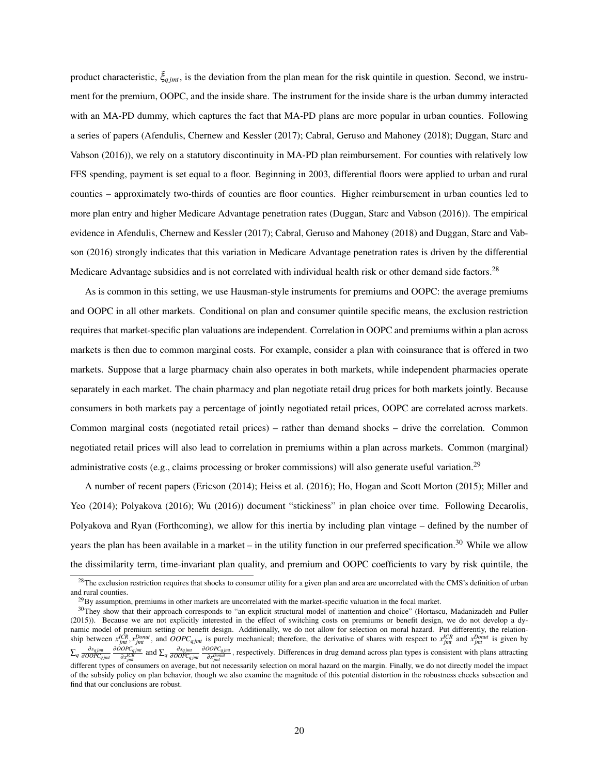product characteristic,  $\tilde{\xi}_{qjmt}$ , is the deviation from the plan mean for the risk quintile in question. Second, we instrument for the premium, OOPC, and the inside share. The instrument for the inside share is the urban dummy interacted with an MA-PD dummy, which captures the fact that MA-PD plans are more popular in urban counties. Following a series of papers (Afendulis, Chernew and Kessler (2017); Cabral, Geruso and Mahoney (2018); Duggan, Starc and Vabson (2016)), we rely on a statutory discontinuity in MA-PD plan reimbursement. For counties with relatively low FFS spending, payment is set equal to a floor. Beginning in 2003, differential floors were applied to urban and rural counties – approximately two-thirds of counties are floor counties. Higher reimbursement in urban counties led to more plan entry and higher Medicare Advantage penetration rates (Duggan, Starc and Vabson (2016)). The empirical evidence in Afendulis, Chernew and Kessler (2017); Cabral, Geruso and Mahoney (2018) and Duggan, Starc and Vabson (2016) strongly indicates that this variation in Medicare Advantage penetration rates is driven by the differential Medicare Advantage subsidies and is not correlated with individual health risk or other demand side factors.<sup>28</sup>

As is common in this setting, we use Hausman-style instruments for premiums and OOPC: the average premiums and OOPC in all other markets. Conditional on plan and consumer quintile specific means, the exclusion restriction requires that market-specific plan valuations are independent. Correlation in OOPC and premiums within a plan across markets is then due to common marginal costs. For example, consider a plan with coinsurance that is offered in two markets. Suppose that a large pharmacy chain also operates in both markets, while independent pharmacies operate separately in each market. The chain pharmacy and plan negotiate retail drug prices for both markets jointly. Because consumers in both markets pay a percentage of jointly negotiated retail prices, OOPC are correlated across markets. Common marginal costs (negotiated retail prices) – rather than demand shocks – drive the correlation. Common negotiated retail prices will also lead to correlation in premiums within a plan across markets. Common (marginal) administrative costs (e.g., claims processing or broker commissions) will also generate useful variation.<sup>29</sup>

A number of recent papers (Ericson (2014); Heiss et al. (2016); Ho, Hogan and Scott Morton (2015); Miller and Yeo (2014); Polyakova (2016); Wu (2016)) document "stickiness" in plan choice over time. Following Decarolis, Polyakova and Ryan (Forthcoming), we allow for this inertia by including plan vintage – defined by the number of years the plan has been available in a market – in the utility function in our preferred specification.<sup>30</sup> While we allow the dissimilarity term, time-invariant plan quality, and premium and OOPC coefficients to vary by risk quintile, the

<sup>&</sup>lt;sup>28</sup>The exclusion restriction requires that shocks to consumer utility for a given plan and area are uncorrelated with the CMS's definition of urban and rural counties.

 $^{29}$ By assumption, premiums in other markets are uncorrelated with the market-specific valuation in the focal market.

<sup>&</sup>lt;sup>30</sup>They show that their approach corresponds to "an explicit structural model of inattention and choice" (Hortascu, Madanizadeh and Puller (2015)). Because we are not explicitly interested in the effect of switching costs on premiums or benefit design, we do not develop a dynamic model of premium setting or benefit design. Additionally, we do not allow for selection on moral hazard. Put differently, the relationship between  $x_{jmt}^{ICR}$ ,  $x_{jmt}^{Donut}$ , and  $OOPC_{qjmt}$  is purely mechanical; therefore, the derivative of shares with respect to  $x_{jmt}^{ICR}$  and  $x_{jmt}^{Donut}$  is given by  $\sum_{q}\frac{\partial s_{qjmt}}{\partial OOPC_{qjmt}}\frac{\partial OOPC_{qjmt}}{\partial x_{imt}^{ICR}}$  $\frac{\partial SPC_{qjmt}}{\partial x_{jmt}^{ICR}}$  and  $\sum_{q} \frac{\partial s_{qjmt}}{\partial OOPC_{qjmt}} \frac{\partial OOPC_{qjmt}}{\partial x_{jmt}^{Dout}}$  $\frac{\partial O}{\partial x_{j m l}}$ , respectively. Differences in drug demand across plan types is consistent with plans attracting  $\frac{\partial P}{\partial x_{j m l}}$ 

different types of consumers on average, but not necessarily selection on moral hazard on the margin. Finally, we do not directly model the impact of the subsidy policy on plan behavior, though we also examine the magnitude of this potential distortion in the robustness checks subsection and find that our conclusions are robust.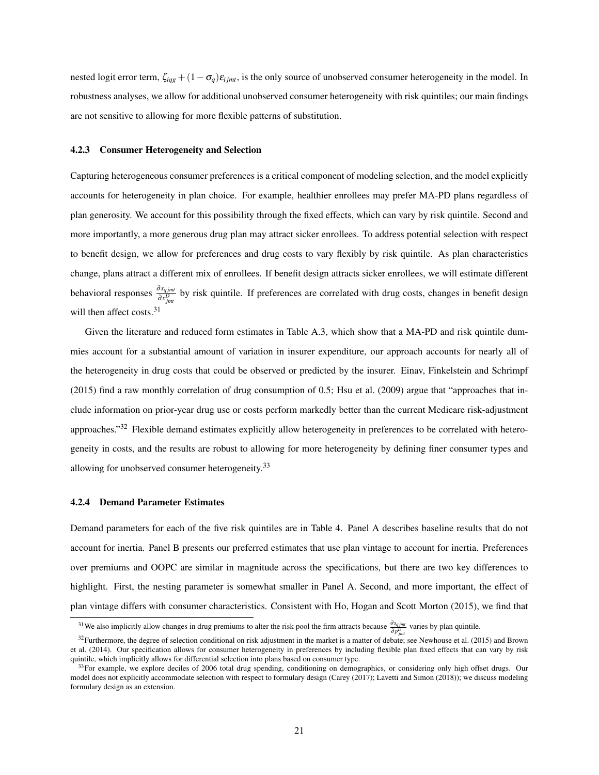nested logit error term,  $\zeta_{iqq} + (1 - \sigma_q)\varepsilon_{ijmt}$ , is the only source of unobserved consumer heterogeneity in the model. In robustness analyses, we allow for additional unobserved consumer heterogeneity with risk quintiles; our main findings are not sensitive to allowing for more flexible patterns of substitution.

#### 4.2.3 Consumer Heterogeneity and Selection

Capturing heterogeneous consumer preferences is a critical component of modeling selection, and the model explicitly accounts for heterogeneity in plan choice. For example, healthier enrollees may prefer MA-PD plans regardless of plan generosity. We account for this possibility through the fixed effects, which can vary by risk quintile. Second and more importantly, a more generous drug plan may attract sicker enrollees. To address potential selection with respect to benefit design, we allow for preferences and drug costs to vary flexibly by risk quintile. As plan characteristics change, plans attract a different mix of enrollees. If benefit design attracts sicker enrollees, we will estimate different behavioral responses  $\frac{\partial s_{qjmt}}{\partial x_{jmt}^D}$  by risk quintile. If preferences are correlated with drug costs, changes in benefit design will then affect costs.<sup>31</sup>

Given the literature and reduced form estimates in Table A.3, which show that a MA-PD and risk quintile dummies account for a substantial amount of variation in insurer expenditure, our approach accounts for nearly all of the heterogeneity in drug costs that could be observed or predicted by the insurer. Einav, Finkelstein and Schrimpf (2015) find a raw monthly correlation of drug consumption of 0.5; Hsu et al. (2009) argue that "approaches that include information on prior-year drug use or costs perform markedly better than the current Medicare risk-adjustment approaches."<sup>32</sup> Flexible demand estimates explicitly allow heterogeneity in preferences to be correlated with heterogeneity in costs, and the results are robust to allowing for more heterogeneity by defining finer consumer types and allowing for unobserved consumer heterogeneity.<sup>33</sup>

#### 4.2.4 Demand Parameter Estimates

Demand parameters for each of the five risk quintiles are in Table 4. Panel A describes baseline results that do not account for inertia. Panel B presents our preferred estimates that use plan vintage to account for inertia. Preferences over premiums and OOPC are similar in magnitude across the specifications, but there are two key differences to highlight. First, the nesting parameter is somewhat smaller in Panel A. Second, and more important, the effect of plan vintage differs with consumer characteristics. Consistent with Ho, Hogan and Scott Morton (2015), we find that

<sup>&</sup>lt;sup>31</sup>We also implicitly allow changes in drug premiums to alter the risk pool the firm attracts because  $\frac{\partial s_{qjmt}}{\partial p_{jmt}^D}$  varies by plan quintile.

 $32$ Furthermore, the degree of selection conditional on risk adjustment in the market is a matter of debate; see Newhouse et al. (2015) and Brown et al. (2014). Our specification allows for consumer heterogeneity in preferences by including flexible plan fixed effects that can vary by risk quintile, which implicitly allows for differential selection into plans based on consumer type.

 $33$ For example, we explore deciles of 2006 total drug spending, conditioning on demographics, or considering only high offset drugs. Our model does not explicitly accommodate selection with respect to formulary design (Carey (2017); Lavetti and Simon (2018)); we discuss modeling formulary design as an extension.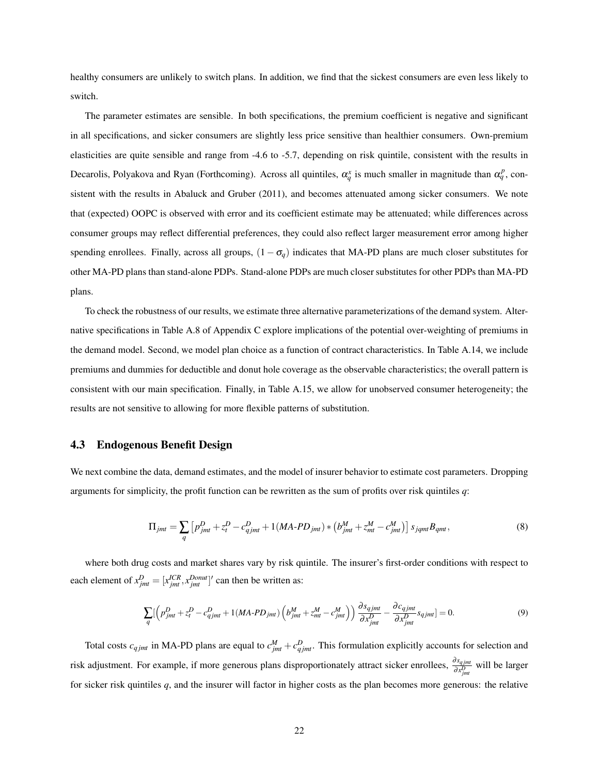healthy consumers are unlikely to switch plans. In addition, we find that the sickest consumers are even less likely to switch.

The parameter estimates are sensible. In both specifications, the premium coefficient is negative and significant in all specifications, and sicker consumers are slightly less price sensitive than healthier consumers. Own-premium elasticities are quite sensible and range from -4.6 to -5.7, depending on risk quintile, consistent with the results in Decarolis, Polyakova and Ryan (Forthcoming). Across all quintiles,  $\alpha_q^x$  is much smaller in magnitude than  $\alpha_q^p$ , consistent with the results in Abaluck and Gruber (2011), and becomes attenuated among sicker consumers. We note that (expected) OOPC is observed with error and its coefficient estimate may be attenuated; while differences across consumer groups may reflect differential preferences, they could also reflect larger measurement error among higher spending enrollees. Finally, across all groups,  $(1 - \sigma_q)$  indicates that MA-PD plans are much closer substitutes for other MA-PD plans than stand-alone PDPs. Stand-alone PDPs are much closer substitutes for other PDPs than MA-PD plans.

To check the robustness of our results, we estimate three alternative parameterizations of the demand system. Alternative specifications in Table A.8 of Appendix C explore implications of the potential over-weighting of premiums in the demand model. Second, we model plan choice as a function of contract characteristics. In Table A.14, we include premiums and dummies for deductible and donut hole coverage as the observable characteristics; the overall pattern is consistent with our main specification. Finally, in Table A.15, we allow for unobserved consumer heterogeneity; the results are not sensitive to allowing for more flexible patterns of substitution.

#### 4.3 Endogenous Benefit Design

We next combine the data, demand estimates, and the model of insurer behavior to estimate cost parameters. Dropping arguments for simplicity, the profit function can be rewritten as the sum of profits over risk quintiles *q*:

$$
\Pi_{jmt} = \sum_{q} \left[ p_{jmt}^D + z_t^D - c_{qjmt}^D + 1(MA \cdot PD_{jmt}) * \left( b_{jmt}^M + z_{mt}^M - c_{jmt}^M \right) \right] s_{jqmt} B_{qmt},\tag{8}
$$

where both drug costs and market shares vary by risk quintile. The insurer's first-order conditions with respect to each element of  $x_{jmt}^D = [x_{jmt}^{ICR}, x_{jmt}^{Donut}]'$  can then be written as:

$$
\sum_{q} \left[ \left( p_{jmt}^D + z_t^D - c_{qjmt}^D + 1(MA \cdot PD_{jmt}) \left( b_{jmt}^M + z_{mt}^M - c_{jmt}^M \right) \right) \frac{\partial s_{qjmt}}{\partial x_{jmt}^D} - \frac{\partial c_{qjmt}}{\partial x_{jmt}^D} s_{qjmt} \right] = 0. \tag{9}
$$

Total costs  $c_{qjmt}$  in MA-PD plans are equal to  $c_{jmt}^M + c_{qjmt}^D$ . This formulation explicitly accounts for selection and risk adjustment. For example, if more generous plans disproportionately attract sicker enrollees,  $\frac{\partial s_{qjmt}}{\partial x_{jmt}^D}$  will be larger for sicker risk quintiles *q*, and the insurer will factor in higher costs as the plan becomes more generous: the relative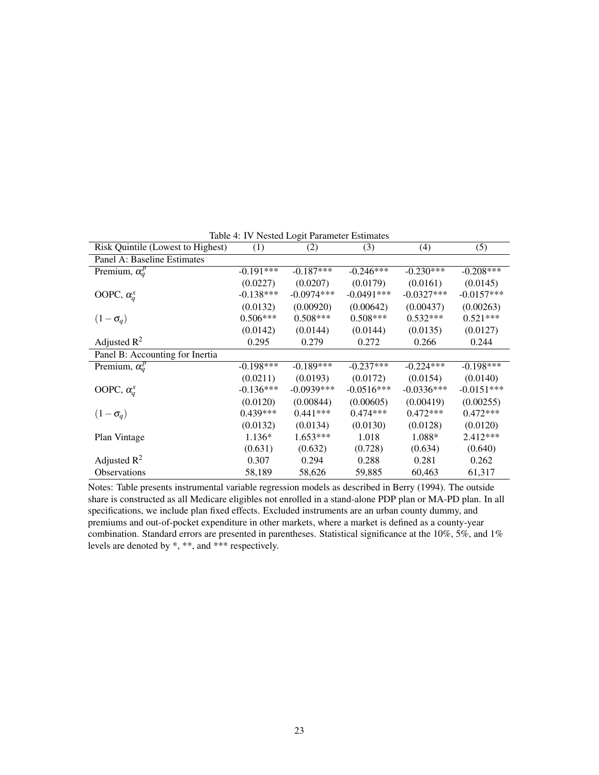| Risk Quintile (Lowest to Highest) | (1)         | (2)          | (3)          | (4)          | (5)          |
|-----------------------------------|-------------|--------------|--------------|--------------|--------------|
| Panel A: Baseline Estimates       |             |              |              |              |              |
| Premium, $\alpha_q^p$             | $-0.191***$ | $-0.187***$  | $-0.246***$  | $-0.230***$  | $-0.208***$  |
|                                   | (0.0227)    | (0.0207)     | (0.0179)     | (0.0161)     | (0.0145)     |
| OOPC, $\alpha_a^x$                | $-0.138***$ | $-0.0974***$ | $-0.0491***$ | $-0.0327***$ | $-0.0157***$ |
|                                   | (0.0132)    | (0.00920)    | (0.00642)    | (0.00437)    | (0.00263)    |
| $(1-\sigma_q)$                    | $0.506***$  | $0.508***$   | $0.508***$   | $0.532***$   | $0.521***$   |
|                                   | (0.0142)    | (0.0144)     | (0.0144)     | (0.0135)     | (0.0127)     |
| Adjusted $\mathbb{R}^2$           | 0.295       | 0.279        | 0.272        | 0.266        | 0.244        |
| Panel B: Accounting for Inertia   |             |              |              |              |              |
| Premium, $\alpha_q^p$             | $-0.198***$ | $-0.189***$  | $-0.237***$  | $-0.224***$  | $-0.198***$  |
|                                   | (0.0211)    | (0.0193)     | (0.0172)     | (0.0154)     | (0.0140)     |
| OOPC, $\alpha_a^x$                | $-0.136***$ | $-0.0939***$ | $-0.0516***$ | $-0.0336***$ | $-0.0151***$ |
|                                   | (0.0120)    | (0.00844)    | (0.00605)    | (0.00419)    | (0.00255)    |
| $(1-\sigma_q)$                    | $0.439***$  | $0.441***$   | $0.474***$   | $0.472***$   | $0.472***$   |
|                                   | (0.0132)    | (0.0134)     | (0.0130)     | (0.0128)     | (0.0120)     |
| Plan Vintage                      | $1.136*$    | $1.653***$   | 1.018        | 1.088*       | 2.412***     |
|                                   | (0.631)     | (0.632)      | (0.728)      | (0.634)      | (0.640)      |
| Adjusted $\mathbb{R}^2$           | 0.307       | 0.294        | 0.288        | 0.281        | 0.262        |
| <b>Observations</b>               | 58,189      | 58,626       | 59,885       | 60,463       | 61,317       |

Table 4: IV Nested Logit Parameter Estimates

Notes: Table presents instrumental variable regression models as described in Berry (1994). The outside share is constructed as all Medicare eligibles not enrolled in a stand-alone PDP plan or MA-PD plan. In all specifications, we include plan fixed effects. Excluded instruments are an urban county dummy, and premiums and out-of-pocket expenditure in other markets, where a market is defined as a county-year combination. Standard errors are presented in parentheses. Statistical significance at the 10%, 5%, and 1% levels are denoted by \*, \*\*, and \*\*\* respectively.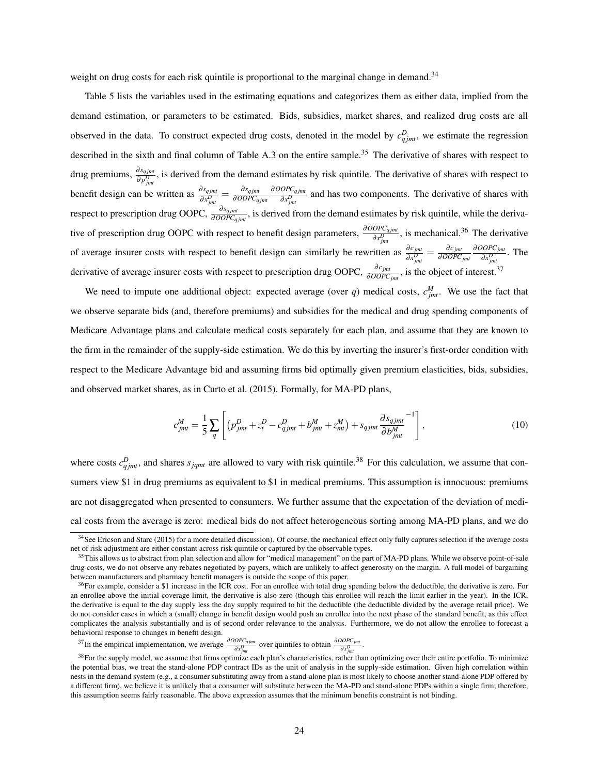weight on drug costs for each risk quintile is proportional to the marginal change in demand.<sup>34</sup>

Table 5 lists the variables used in the estimating equations and categorizes them as either data, implied from the demand estimation, or parameters to be estimated. Bids, subsidies, market shares, and realized drug costs are all observed in the data. To construct expected drug costs, denoted in the model by  $c_{qjmt}^D$ , we estimate the regression described in the sixth and final column of Table A.3 on the entire sample.<sup>35</sup> The derivative of shares with respect to drug premiums,  $\frac{\partial s_{qjmt}}{\partial p^D}$ , is derived from the demand estimates by risk quintile. The derivative of shares with respect to  $\frac{\partial p_{jmi}^D}{\partial s_{jmi}}$ , *is derived from the derivation*<br>benefit design can be written as  $\frac{\partial s_{qjmi}}{\partial x_{jmi}^D} = \frac{\partial s_{qjmi}}{\partial OOPC_q}$ ∂*OOPCq jmt* ∂*OOPCq jmt*  $\frac{\partial V}{\partial x_{jmt}^D}$  and has two components. The derivative of shares with respect to prescription drug OOPC,  $\frac{\partial s_{qjmt}}{\partial OOPC_{qjmt}}$ , is derived from the demand estimates by risk quintile, while the derivative of prescription drug OOPC with respect to benefit design parameters,  $\frac{\partial OOPC_{qjmt}}{\partial x_{jmt}^D}$ , is mechanical.<sup>36</sup> The derivative of average insurer costs with respect to benefit design can similarly be rewritten as  $\frac{\partial c_{jmt}}{\partial x_{jmt}^D} = \frac{\partial c_{jmt}}{\partial OOPC}$ ∂*OOPCjmt* ∂*OOPCjmt*  $\frac{\partial O \cap C_{jmt}}{\partial x_{jmt}^D}$ . The derivative of average insurer costs with respect to prescription drug OOPC,  $\frac{\partial c_{jmt}}{\partial OOPC_{jmt}}$ , is the object of interest.<sup>37</sup>

We need to impute one additional object: expected average (over *q*) medical costs,  $c_{jmt}^M$ . We use the fact that we observe separate bids (and, therefore premiums) and subsidies for the medical and drug spending components of Medicare Advantage plans and calculate medical costs separately for each plan, and assume that they are known to the firm in the remainder of the supply-side estimation. We do this by inverting the insurer's first-order condition with respect to the Medicare Advantage bid and assuming firms bid optimally given premium elasticities, bids, subsidies, and observed market shares, as in Curto et al. (2015). Formally, for MA-PD plans,

$$
c_{jmt}^M = \frac{1}{5} \sum_{q} \left[ \left( p_{jmt}^D + z_t^D - c_{qjmt}^D + b_{jmt}^M + z_{mt}^M \right) + s_{qjmt} \frac{\partial s_{qjmt}}{\partial b_{jmt}^M}^{-1} \right],
$$
(10)

where costs  $c_{qjmt}^D$ , and shares  $s_{jqmt}$  are allowed to vary with risk quintile.<sup>38</sup> For this calculation, we assume that consumers view \$1 in drug premiums as equivalent to \$1 in medical premiums. This assumption is innocuous: premiums are not disaggregated when presented to consumers. We further assume that the expectation of the deviation of medical costs from the average is zero: medical bids do not affect heterogeneous sorting among MA-PD plans, and we do

<sup>&</sup>lt;sup>34</sup>See Ericson and Starc (2015) for a more detailed discussion). Of course, the mechanical effect only fully captures selection if the average costs net of risk adjustment are either constant across risk quintile or captured by the observable types.

<sup>&</sup>lt;sup>35</sup>This allows us to abstract from plan selection and allow for "medical management" on the part of MA-PD plans. While we observe point-of-sale drug costs, we do not observe any rebates negotiated by payers, which are unlikely to affect generosity on the margin. A full model of bargaining between manufacturers and pharmacy benefit managers is outside the scope of this paper.

 $36$ For example, consider a \$1 increase in the ICR cost. For an enrollee with total drug spending below the deductible, the derivative is zero. For an enrollee above the initial coverage limit, the derivative is also zero (though this enrollee will reach the limit earlier in the year). In the ICR, the derivative is equal to the day supply less the day supply required to hit the deductible (the deductible divided by the average retail price). We do not consider cases in which a (small) change in benefit design would push an enrollee into the next phase of the standard benefit, as this effect complicates the analysis substantially and is of second order relevance to the analysis. Furthermore, we do not allow the enrollee to forecast a behavioral response to changes in benefit design.

<sup>&</sup>lt;sup>37</sup>In the empirical implementation, we average  $\frac{\partial OOPC_{qjmt}}{\partial x_{jmt}^D}$  over quintiles to obtain  $\frac{\partial OOPC_{jmt}}{\partial x_{jmt}^D}$ .

 $38$  For the supply model, we assume that firms optimize each plan's characteristics, rather than optimizing over their entire portfolio. To minimize the potential bias, we treat the stand-alone PDP contract IDs as the unit of analysis in the supply-side estimation. Given high correlation within nests in the demand system (e.g., a consumer substituting away from a stand-alone plan is most likely to choose another stand-alone PDP offered by a different firm), we believe it is unlikely that a consumer will substitute between the MA-PD and stand-alone PDPs within a single firm; therefore, this assumption seems fairly reasonable. The above expression assumes that the minimum benefits constraint is not binding.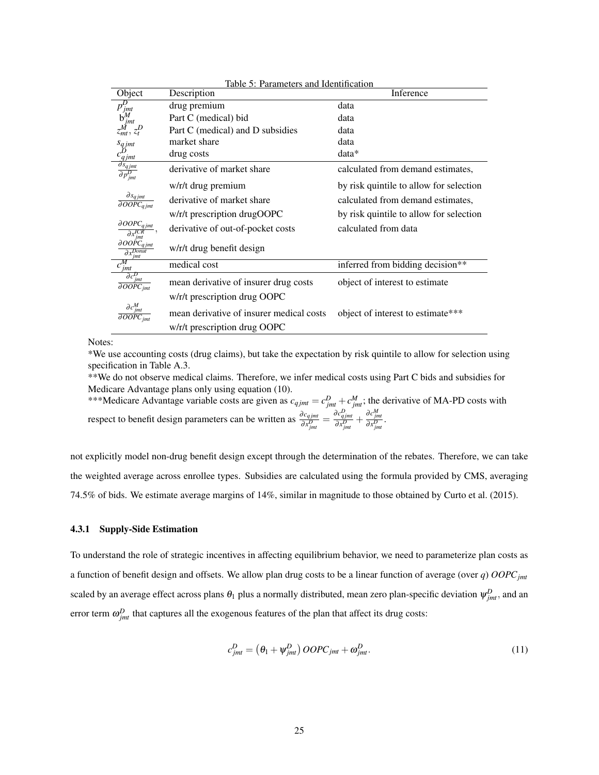|                                                                                                                                                                                 | Table 5: Parameters and Identification   |                                         |  |  |  |  |  |  |
|---------------------------------------------------------------------------------------------------------------------------------------------------------------------------------|------------------------------------------|-----------------------------------------|--|--|--|--|--|--|
| Object                                                                                                                                                                          | Description                              | Inference                               |  |  |  |  |  |  |
| $\overline{p_{jmt}^D}$<br>$b_{jmt}^M$                                                                                                                                           | drug premium                             | data                                    |  |  |  |  |  |  |
|                                                                                                                                                                                 | Part C (medical) bid                     | data                                    |  |  |  |  |  |  |
|                                                                                                                                                                                 | Part C (medical) and D subsidies         | data                                    |  |  |  |  |  |  |
|                                                                                                                                                                                 | market share                             | data                                    |  |  |  |  |  |  |
|                                                                                                                                                                                 | drug costs                               | $data*$                                 |  |  |  |  |  |  |
| $\begin{array}{c} \mathcal{S}q\,jmt\\ \mathcal{C}Q\,jmt\\ \hline \mathcal{S}q\,jmt\\ \hline \mathcal{O}\mathcal{S}q\,jmt\\ \hline \mathcal{O}\mathcal{P}^{D}_{jmt} \end{array}$ | derivative of market share               | calculated from demand estimates,       |  |  |  |  |  |  |
|                                                                                                                                                                                 | w/r/t drug premium                       | by risk quintile to allow for selection |  |  |  |  |  |  |
| $\frac{\partial s_{qjmt}}{\partial OOPC_{qjmt}}$                                                                                                                                | derivative of market share               | calculated from demand estimates,       |  |  |  |  |  |  |
|                                                                                                                                                                                 | w/r/t prescription drugOOPC              | by risk quintile to allow for selection |  |  |  |  |  |  |
| $\partial OOPC_{qjmt}$                                                                                                                                                          | derivative of out-of-pocket costs        | calculated from data                    |  |  |  |  |  |  |
| $\partial O O \acute{P} C_{qjmt}$<br>$\partial x_{jmt}^{Donut}$                                                                                                                 | w/r/t drug benefit design                |                                         |  |  |  |  |  |  |
| $c_{\underline{jmt}}^M$                                                                                                                                                         | medical cost                             | inferred from bidding decision**        |  |  |  |  |  |  |
| $\partial c_{jmt}^D$<br>$\overline{\partial OOPC_{jmt}}$                                                                                                                        | mean derivative of insurer drug costs    | object of interest to estimate          |  |  |  |  |  |  |
|                                                                                                                                                                                 | w/r/t prescription drug OOPC             |                                         |  |  |  |  |  |  |
| $\partial c_{jmt}^M$<br>$\partial OOPC_{int}$                                                                                                                                   | mean derivative of insurer medical costs | object of interest to estimate***       |  |  |  |  |  |  |
|                                                                                                                                                                                 | w/r/t prescription drug OOPC             |                                         |  |  |  |  |  |  |

Notes:

\*We use accounting costs (drug claims), but take the expectation by risk quintile to allow for selection using specification in Table A.3.

\*\*We do not observe medical claims. Therefore, we infer medical costs using Part C bids and subsidies for Medicare Advantage plans only using equation (10).

\*\*\*Medicare Advantage variable costs are given as  $c_{qjmt} = c_{jmt}^D + c_{jmt}^M$ ; the derivative of MA-PD costs with respect to benefit design parameters can be written as  $\frac{\partial c_{qjmt}}{\partial x_{jmt}^D} = \frac{\partial c_{qjmt}^D}{\partial x_{jmt}^D} + \frac{\partial c_{jmt}^M}{\partial x_{jmt}^D}$ 

not explicitly model non-drug benefit design except through the determination of the rebates. Therefore, we can take the weighted average across enrollee types. Subsidies are calculated using the formula provided by CMS, averaging 74.5% of bids. We estimate average margins of 14%, similar in magnitude to those obtained by Curto et al. (2015).

#### 4.3.1 Supply-Side Estimation

To understand the role of strategic incentives in affecting equilibrium behavior, we need to parameterize plan costs as a function of benefit design and offsets. We allow plan drug costs to be a linear function of average (over *q*) *OOPCjmt* scaled by an average effect across plans  $\theta_1$  plus a normally distributed, mean zero plan-specific deviation  $\psi_{jmt}^D$ , and an error term  $\omega_{jmt}^D$  that captures all the exogenous features of the plan that affect its drug costs:

$$
c_{jmt}^D = \left(\theta_1 + \psi_{jmt}^D\right) OOPC_{jmt} + \omega_{jmt}^D. \tag{11}
$$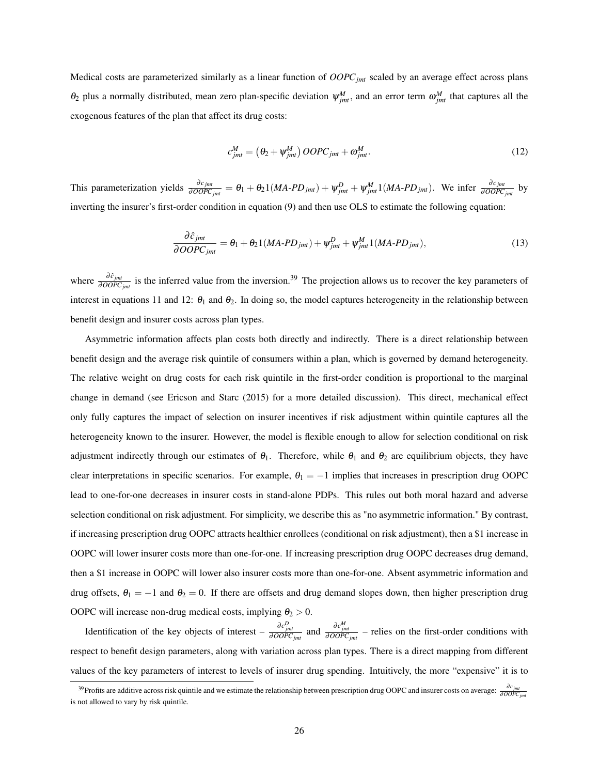Medical costs are parameterized similarly as a linear function of *OOPCjmt* scaled by an average effect across plans  $\theta_2$  plus a normally distributed, mean zero plan-specific deviation  $\psi^M_{jmt}$ , and an error term  $\omega^M_{jmt}$  that captures all the exogenous features of the plan that affect its drug costs:

$$
c_{jmt}^M = \left(\theta_2 + \psi_{jmt}^M\right) OOPC_{jmt} + \omega_{jmt}^M. \tag{12}
$$

This parameterization yields  $\frac{\partial c_{jmt}}{\partial OOPC_{jmt}} = \theta_1 + \theta_2 1 (MA-PD_{jmt}) + \psi_{jmt}^D + \psi_{jmt}^M 1 (MA-PD_{jmt})$ . We infer  $\frac{\partial c_{jmt}}{\partial OOPC_{jmt}}$  by inverting the insurer's first-order condition in equation (9) and then use OLS to estimate the following equation:

$$
\frac{\partial \hat{c}_{jmt}}{\partial OOPC_{jmt}} = \theta_1 + \theta_2 1(MA\text{-}PD_{jmt}) + \psi_{jmt}^D + \psi_{jmt}^M 1(MA\text{-}PD_{jmt}),\tag{13}
$$

where  $\frac{\partial \hat{c}_{jmt}}{\partial OOPC_{jmt}}$  is the inferred value from the inversion.<sup>39</sup> The projection allows us to recover the key parameters of interest in equations 11 and 12:  $\theta_1$  and  $\theta_2$ . In doing so, the model captures heterogeneity in the relationship between benefit design and insurer costs across plan types.

Asymmetric information affects plan costs both directly and indirectly. There is a direct relationship between benefit design and the average risk quintile of consumers within a plan, which is governed by demand heterogeneity. The relative weight on drug costs for each risk quintile in the first-order condition is proportional to the marginal change in demand (see Ericson and Starc (2015) for a more detailed discussion). This direct, mechanical effect only fully captures the impact of selection on insurer incentives if risk adjustment within quintile captures all the heterogeneity known to the insurer. However, the model is flexible enough to allow for selection conditional on risk adjustment indirectly through our estimates of  $\theta_1$ . Therefore, while  $\theta_1$  and  $\theta_2$  are equilibrium objects, they have clear interpretations in specific scenarios. For example,  $\theta_1 = -1$  implies that increases in prescription drug OOPC lead to one-for-one decreases in insurer costs in stand-alone PDPs. This rules out both moral hazard and adverse selection conditional on risk adjustment. For simplicity, we describe this as "no asymmetric information." By contrast, if increasing prescription drug OOPC attracts healthier enrollees (conditional on risk adjustment), then a \$1 increase in OOPC will lower insurer costs more than one-for-one. If increasing prescription drug OOPC decreases drug demand, then a \$1 increase in OOPC will lower also insurer costs more than one-for-one. Absent asymmetric information and drug offsets,  $\theta_1 = -1$  and  $\theta_2 = 0$ . If there are offsets and drug demand slopes down, then higher prescription drug OOPC will increase non-drug medical costs, implying  $\theta_2 > 0$ .

Identification of the key objects of interest –  $\frac{\partial c_{jmt}^D}{\partial OOCPC_{jmt}}$  and  $\frac{\partial c_{jmt}^D}{\partial OOCC_{jmt}}$  – relies on the first-order conditions with respect to benefit design parameters, along with variation across plan types. There is a direct mapping from different values of the key parameters of interest to levels of insurer drug spending. Intuitively, the more "expensive" it is to

<sup>&</sup>lt;sup>39</sup>Profits are additive across risk quintile and we estimate the relationship between prescription drug OOPC and insurer costs on average:  $\frac{\partial c_{jmt}}{\partial OOPC_{jmt}}$ is not allowed to vary by risk quintile.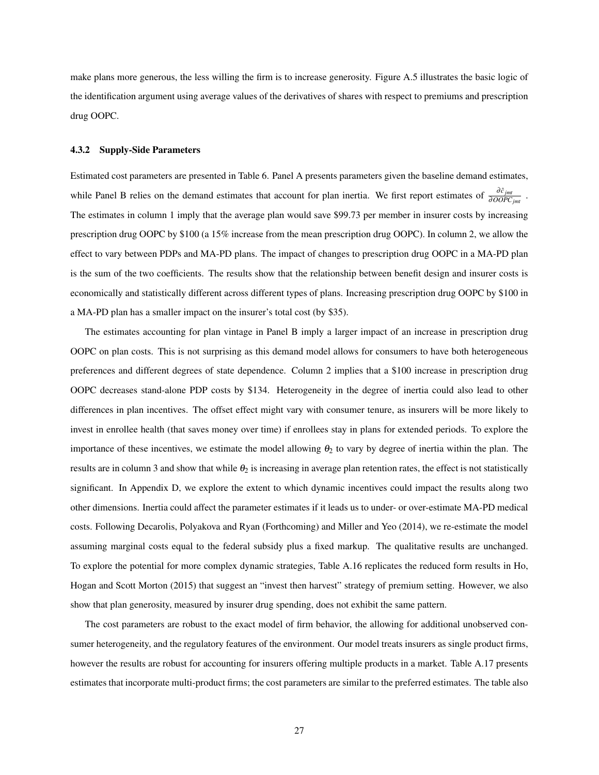make plans more generous, the less willing the firm is to increase generosity. Figure A.5 illustrates the basic logic of the identification argument using average values of the derivatives of shares with respect to premiums and prescription drug OOPC.

#### 4.3.2 Supply-Side Parameters

Estimated cost parameters are presented in Table 6. Panel A presents parameters given the baseline demand estimates, while Panel B relies on the demand estimates that account for plan inertia. We first report estimates of  $\frac{\partial \hat{c}_{jmt}}{\partial OOPC_{jmt}}$ . The estimates in column 1 imply that the average plan would save \$99.73 per member in insurer costs by increasing prescription drug OOPC by \$100 (a 15% increase from the mean prescription drug OOPC). In column 2, we allow the effect to vary between PDPs and MA-PD plans. The impact of changes to prescription drug OOPC in a MA-PD plan is the sum of the two coefficients. The results show that the relationship between benefit design and insurer costs is economically and statistically different across different types of plans. Increasing prescription drug OOPC by \$100 in a MA-PD plan has a smaller impact on the insurer's total cost (by \$35).

The estimates accounting for plan vintage in Panel B imply a larger impact of an increase in prescription drug OOPC on plan costs. This is not surprising as this demand model allows for consumers to have both heterogeneous preferences and different degrees of state dependence. Column 2 implies that a \$100 increase in prescription drug OOPC decreases stand-alone PDP costs by \$134. Heterogeneity in the degree of inertia could also lead to other differences in plan incentives. The offset effect might vary with consumer tenure, as insurers will be more likely to invest in enrollee health (that saves money over time) if enrollees stay in plans for extended periods. To explore the importance of these incentives, we estimate the model allowing  $\theta_2$  to vary by degree of inertia within the plan. The results are in column 3 and show that while  $\theta_2$  is increasing in average plan retention rates, the effect is not statistically significant. In Appendix D, we explore the extent to which dynamic incentives could impact the results along two other dimensions. Inertia could affect the parameter estimates if it leads us to under- or over-estimate MA-PD medical costs. Following Decarolis, Polyakova and Ryan (Forthcoming) and Miller and Yeo (2014), we re-estimate the model assuming marginal costs equal to the federal subsidy plus a fixed markup. The qualitative results are unchanged. To explore the potential for more complex dynamic strategies, Table A.16 replicates the reduced form results in Ho, Hogan and Scott Morton (2015) that suggest an "invest then harvest" strategy of premium setting. However, we also show that plan generosity, measured by insurer drug spending, does not exhibit the same pattern.

The cost parameters are robust to the exact model of firm behavior, the allowing for additional unobserved consumer heterogeneity, and the regulatory features of the environment. Our model treats insurers as single product firms, however the results are robust for accounting for insurers offering multiple products in a market. Table A.17 presents estimates that incorporate multi-product firms; the cost parameters are similar to the preferred estimates. The table also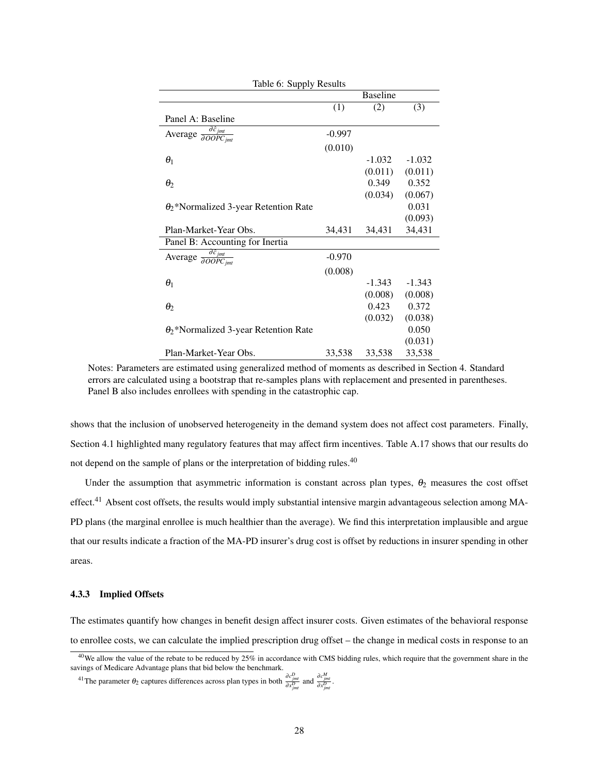| Table 0. Supply Results                                      |          |                 |          |
|--------------------------------------------------------------|----------|-----------------|----------|
|                                                              |          | <b>Baseline</b> |          |
|                                                              | (1)      | (2)             | (3)      |
| Panel A: Baseline                                            |          |                 |          |
| Average $\frac{\partial \hat{c}_{jmt}}{\partial OOPC_{jmt}}$ | $-0.997$ |                 |          |
|                                                              | (0.010)  |                 |          |
| $\theta_1$                                                   |          | $-1.032$        | $-1.032$ |
|                                                              |          | (0.011)         | (0.011)  |
| $\theta_2$                                                   |          | 0.349           | 0.352    |
|                                                              |          | (0.034)         | (0.067)  |
| $\theta_2^*$ Normalized 3-year Retention Rate                |          |                 | 0.031    |
|                                                              |          |                 | (0.093)  |
| Plan-Market-Year Obs.                                        | 34,431   | 34,431          | 34,431   |
| Panel B: Accounting for Inertia                              |          |                 |          |
| Average $\frac{\partial \hat{c}_{jmt}}{\partial OOPC_{jmt}}$ | $-0.970$ |                 |          |
|                                                              | (0.008)  |                 |          |
| $\theta_1$                                                   |          | $-1.343$        | $-1.343$ |
|                                                              |          | (0.008)         | (0.008)  |
| $\theta_2$                                                   |          | 0.423           | 0.372    |
|                                                              |          | (0.032)         | (0.038)  |
| $\theta_2^*$ Normalized 3-year Retention Rate                |          |                 | 0.050    |
|                                                              |          |                 | (0.031)  |
| Plan-Market-Year Obs.                                        | 33,538   | 33,538          | 33,538   |

Table 6: Supply Results

Notes: Parameters are estimated using generalized method of moments as described in Section 4. Standard errors are calculated using a bootstrap that re-samples plans with replacement and presented in parentheses. Panel B also includes enrollees with spending in the catastrophic cap.

shows that the inclusion of unobserved heterogeneity in the demand system does not affect cost parameters. Finally, Section 4.1 highlighted many regulatory features that may affect firm incentives. Table A.17 shows that our results do not depend on the sample of plans or the interpretation of bidding rules.<sup>40</sup>

Under the assumption that asymmetric information is constant across plan types,  $\theta_2$  measures the cost offset effect.<sup>41</sup> Absent cost offsets, the results would imply substantial intensive margin advantageous selection among MA-PD plans (the marginal enrollee is much healthier than the average). We find this interpretation implausible and argue that our results indicate a fraction of the MA-PD insurer's drug cost is offset by reductions in insurer spending in other areas.

#### 4.3.3 Implied Offsets

The estimates quantify how changes in benefit design affect insurer costs. Given estimates of the behavioral response to enrollee costs, we can calculate the implied prescription drug offset – the change in medical costs in response to an

<sup>&</sup>lt;sup>40</sup>We allow the value of the rebate to be reduced by 25% in accordance with CMS bidding rules, which require that the government share in the savings of Medicare Advantage plans that bid below the benchmark.

<sup>&</sup>lt;sup>41</sup> The parameter  $\theta_2$  captures differences across plan types in both  $\frac{\partial c_{jmt}^D}{\partial x_{jmt}^D}$  and  $\frac{\partial c_{jmt}^M}{\partial x_{jmt}^D}$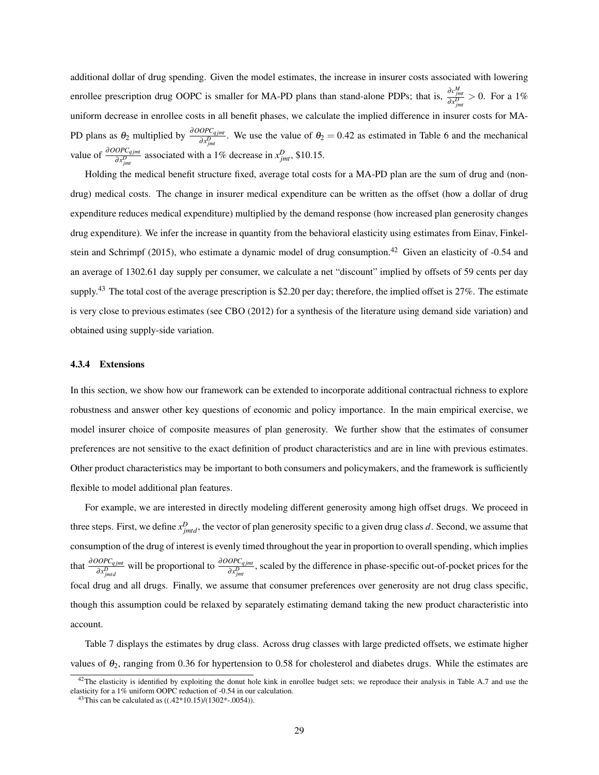additional dollar of drug spending. Given the model estimates, the increase in insurer costs associated with lowering enrollee prescription drug OOPC is smaller for MA-PD plans than stand-alone PDPs; that is,  $\frac{\partial c_{jmt}^M}{\partial x_{jmt}^D} > 0$ . For a 1% uniform decrease in enrollee costs in all benefit phases, we calculate the implied difference in insurer costs for MA-PD plans as  $\theta_2$  multiplied by  $\frac{\partial OOPC_{qjmt}}{\partial x_{jmt}^D}$ . We use the value of  $\theta_2 = 0.42$  as estimated in Table 6 and the mechanical value of  $\frac{\partial OOPC_{qjmt}}{\partial x_{jmt}^D}$  associated with a 1% decrease in  $x_{jmt}^D$ , \$10.15.

Holding the medical benefit structure fixed, average total costs for a MA-PD plan are the sum of drug and (nondrug) medical costs. The change in insurer medical expenditure can be written as the offset (how a dollar of drug expenditure reduces medical expenditure) multiplied by the demand response (how increased plan generosity changes drug expenditure). We infer the increase in quantity from the behavioral elasticity using estimates from Einav, Finkelstein and Schrimpf (2015), who estimate a dynamic model of drug consumption.<sup>42</sup> Given an elasticity of  $-0.54$  and an average of 1302.61 day supply per consumer, we calculate a net "discount" implied by offsets of 59 cents per day supply.<sup>43</sup> The total cost of the average prescription is \$2.20 per day; therefore, the implied offset is 27%. The estimate is very close to previous estimates (see CBO (2012) for a synthesis of the literature using demand side variation) and obtained using supply-side variation.

#### 4.3.4 Extensions

In this section, we show how our framework can be extended to incorporate additional contractual richness to explore robustness and answer other key questions of economic and policy importance. In the main empirical exercise, we model insurer choice of composite measures of plan generosity. We further show that the estimates of consumer preferences are not sensitive to the exact definition of product characteristics and are in line with previous estimates. Other product characteristics may be important to both consumers and policymakers, and the framework is sufficiently flexible to model additional plan features.

For example, we are interested in directly modeling different generosity among high offset drugs. We proceed in three steps. First, we define  $x_{jmtd}^D$ , the vector of plan generosity specific to a given drug class *d*. Second, we assume that consumption of the drug of interest is evenly timed throughout the year in proportion to overall spending, which implies that  $\frac{\partial OOPC_q_{jmt}}{\partial x_{jmd}^D}$  will be proportional to  $\frac{\partial OOPC_q_{jmt}}{\partial x_{jmt}^D}$ , scaled by the difference in phase-specific out-of-pocket prices for the focal drug and all drugs. Finally, we assume that consumer preferences over generosity are not drug class specific, though this assumption could be relaxed by separately estimating demand taking the new product characteristic into account.

Table 7 displays the estimates by drug class. Across drug classes with large predicted offsets, we estimate higher values of  $\theta_2$ , ranging from 0.36 for hypertension to 0.58 for cholesterol and diabetes drugs. While the estimates are

 $42$ The elasticity is identified by exploiting the donut hole kink in enrollee budget sets; we reproduce their analysis in Table A.7 and use the elasticity for a 1% uniform OOPC reduction of -0.54 in our calculation.

 $43$ This can be calculated as  $((.42*10.15)/(1302*-0054)).$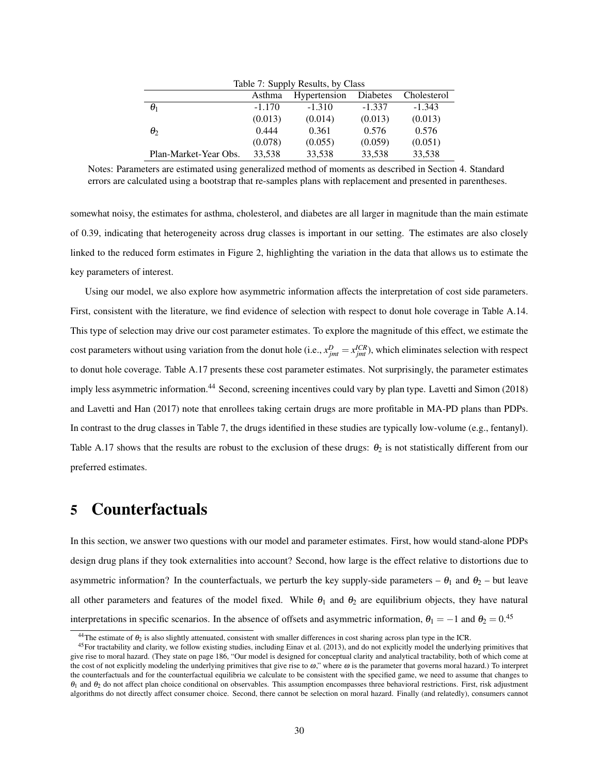| Table 7: Supply Results, by Class |          |              |          |             |  |  |
|-----------------------------------|----------|--------------|----------|-------------|--|--|
|                                   | Asthma   | Hypertension | Diabetes | Cholesterol |  |  |
| $\theta_1$                        | $-1.170$ | $-1.310$     | $-1.337$ | $-1.343$    |  |  |
|                                   | (0.013)  | (0.014)      | (0.013)  | (0.013)     |  |  |
| $\theta_2$                        | 0.444    | 0.361        | 0.576    | 0.576       |  |  |
|                                   | (0.078)  | (0.055)      | (0.059)  | (0.051)     |  |  |
| Plan-Market-Year Obs.             | 33,538   | 33,538       | 33,538   | 33,538      |  |  |

 $T<sub>1</sub>$   $1<sub>2</sub>$ ,  $7<sub>3</sub>$ ,  $8<sub>1</sub>$  and  $1<sub>2</sub>$ ,  $1<sub>3</sub>$ ,  $C<sub>1</sub>$ 

Notes: Parameters are estimated using generalized method of moments as described in Section 4. Standard errors are calculated using a bootstrap that re-samples plans with replacement and presented in parentheses.

somewhat noisy, the estimates for asthma, cholesterol, and diabetes are all larger in magnitude than the main estimate of 0.39, indicating that heterogeneity across drug classes is important in our setting. The estimates are also closely linked to the reduced form estimates in Figure 2, highlighting the variation in the data that allows us to estimate the key parameters of interest.

Using our model, we also explore how asymmetric information affects the interpretation of cost side parameters. First, consistent with the literature, we find evidence of selection with respect to donut hole coverage in Table A.14. This type of selection may drive our cost parameter estimates. To explore the magnitude of this effect, we estimate the cost parameters without using variation from the donut hole (i.e.,  $x_{jmt}^D = x_{jmt}^{ICR}$ ), which eliminates selection with respect to donut hole coverage. Table A.17 presents these cost parameter estimates. Not surprisingly, the parameter estimates imply less asymmetric information.<sup>44</sup> Second, screening incentives could vary by plan type. Lavetti and Simon (2018) and Lavetti and Han (2017) note that enrollees taking certain drugs are more profitable in MA-PD plans than PDPs. In contrast to the drug classes in Table 7, the drugs identified in these studies are typically low-volume (e.g., fentanyl). Table A.17 shows that the results are robust to the exclusion of these drugs:  $\theta_2$  is not statistically different from our preferred estimates.

# 5 Counterfactuals

In this section, we answer two questions with our model and parameter estimates. First, how would stand-alone PDPs design drug plans if they took externalities into account? Second, how large is the effect relative to distortions due to asymmetric information? In the counterfactuals, we perturb the key supply-side parameters –  $\theta_1$  and  $\theta_2$  – but leave all other parameters and features of the model fixed. While  $\theta_1$  and  $\theta_2$  are equilibrium objects, they have natural interpretations in specific scenarios. In the absence of offsets and asymmetric information,  $\theta_1 = -1$  and  $\theta_2 = 0.45$ 

<sup>&</sup>lt;sup>44</sup>The estimate of  $\theta_2$  is also slightly attenuated, consistent with smaller differences in cost sharing across plan type in the ICR.

 $45$ For tractability and clarity, we follow existing studies, including Einav et al. (2013), and do not explicitly model the underlying primitives that give rise to moral hazard. (They state on page 186, "Our model is designed for conceptual clarity and analytical tractability, both of which come at the cost of not explicitly modeling the underlying primitives that give rise to  $\omega$ ," where  $\omega$  is the parameter that governs moral hazard.) To interpret the counterfactuals and for the counterfactual equilibria we calculate to be consistent with the specified game, we need to assume that changes to  $\theta_1$  and  $\theta_2$  do not affect plan choice conditional on observables. This assumption encompasses three behavioral restrictions. First, risk adjustment algorithms do not directly affect consumer choice. Second, there cannot be selection on moral hazard. Finally (and relatedly), consumers cannot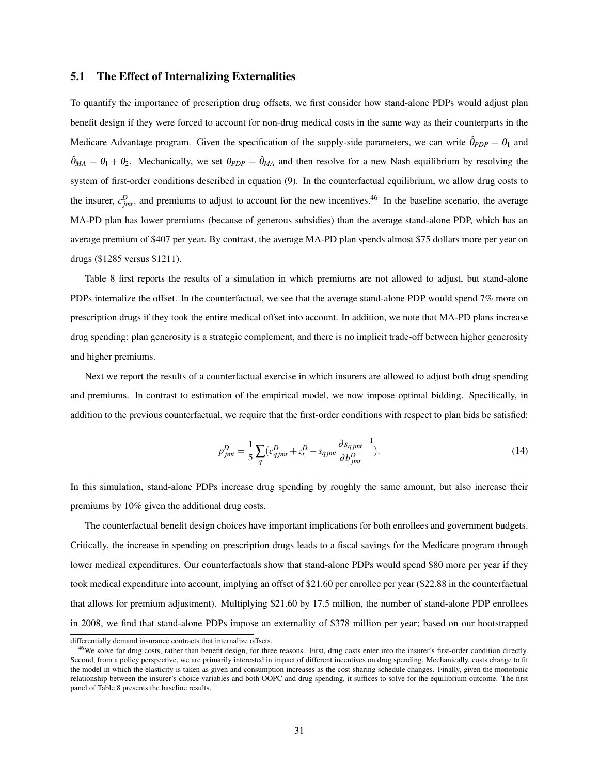### 5.1 The Effect of Internalizing Externalities

To quantify the importance of prescription drug offsets, we first consider how stand-alone PDPs would adjust plan benefit design if they were forced to account for non-drug medical costs in the same way as their counterparts in the Medicare Advantage program. Given the specification of the supply-side parameters, we can write  $\hat{\theta}_{PDP} = \theta_1$  and  $\hat{\theta}_{MA} = \theta_1 + \theta_2$ . Mechanically, we set  $\theta_{PDP} = \hat{\theta}_{MA}$  and then resolve for a new Nash equilibrium by resolving the system of first-order conditions described in equation (9). In the counterfactual equilibrium, we allow drug costs to the insurer,  $c_{jmt}^D$ , and premiums to adjust to account for the new incentives.<sup>46</sup> In the baseline scenario, the average MA-PD plan has lower premiums (because of generous subsidies) than the average stand-alone PDP, which has an average premium of \$407 per year. By contrast, the average MA-PD plan spends almost \$75 dollars more per year on drugs (\$1285 versus \$1211).

Table 8 first reports the results of a simulation in which premiums are not allowed to adjust, but stand-alone PDPs internalize the offset. In the counterfactual, we see that the average stand-alone PDP would spend 7% more on prescription drugs if they took the entire medical offset into account. In addition, we note that MA-PD plans increase drug spending: plan generosity is a strategic complement, and there is no implicit trade-off between higher generosity and higher premiums.

Next we report the results of a counterfactual exercise in which insurers are allowed to adjust both drug spending and premiums. In contrast to estimation of the empirical model, we now impose optimal bidding. Specifically, in addition to the previous counterfactual, we require that the first-order conditions with respect to plan bids be satisfied:

$$
p_{jmt}^D = \frac{1}{5} \sum_q (c_{qjmt}^D + z_t^D - s_{qjmt} \frac{\partial s_{qjmt}}{\partial b_{jmt}^D})
$$
 (14)

In this simulation, stand-alone PDPs increase drug spending by roughly the same amount, but also increase their premiums by 10% given the additional drug costs.

The counterfactual benefit design choices have important implications for both enrollees and government budgets. Critically, the increase in spending on prescription drugs leads to a fiscal savings for the Medicare program through lower medical expenditures. Our counterfactuals show that stand-alone PDPs would spend \$80 more per year if they took medical expenditure into account, implying an offset of \$21.60 per enrollee per year (\$22.88 in the counterfactual that allows for premium adjustment). Multiplying \$21.60 by 17.5 million, the number of stand-alone PDP enrollees in 2008, we find that stand-alone PDPs impose an externality of \$378 million per year; based on our bootstrapped

differentially demand insurance contracts that internalize offsets.

<sup>&</sup>lt;sup>46</sup>We solve for drug costs, rather than benefit design, for three reasons. First, drug costs enter into the insurer's first-order condition directly. Second, from a policy perspective, we are primarily interested in impact of different incentives on drug spending. Mechanically, costs change to fit the model in which the elasticity is taken as given and consumption increases as the cost-sharing schedule changes. Finally, given the monotonic relationship between the insurer's choice variables and both OOPC and drug spending, it suffices to solve for the equilibrium outcome. The first panel of Table 8 presents the baseline results.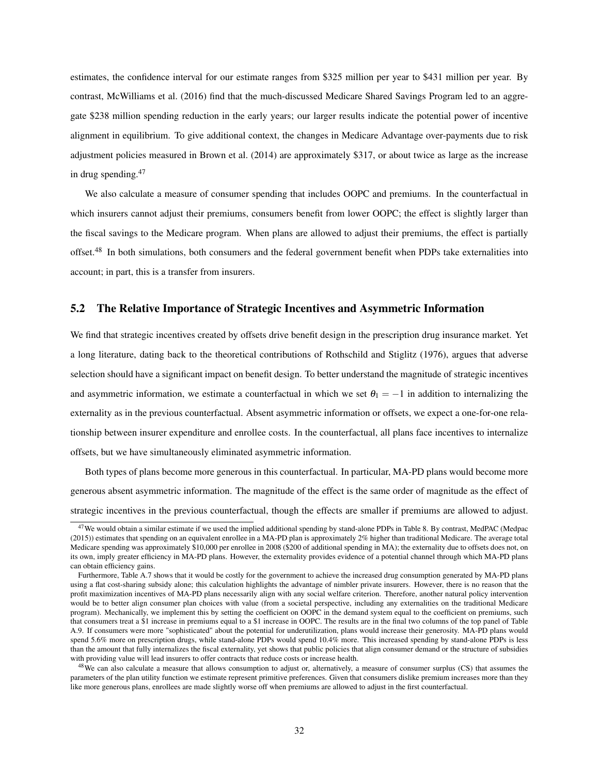estimates, the confidence interval for our estimate ranges from \$325 million per year to \$431 million per year. By contrast, McWilliams et al. (2016) find that the much-discussed Medicare Shared Savings Program led to an aggregate \$238 million spending reduction in the early years; our larger results indicate the potential power of incentive alignment in equilibrium. To give additional context, the changes in Medicare Advantage over-payments due to risk adjustment policies measured in Brown et al. (2014) are approximately \$317, or about twice as large as the increase in drug spending.<sup>47</sup>

We also calculate a measure of consumer spending that includes OOPC and premiums. In the counterfactual in which insurers cannot adjust their premiums, consumers benefit from lower OOPC; the effect is slightly larger than the fiscal savings to the Medicare program. When plans are allowed to adjust their premiums, the effect is partially offset.<sup>48</sup> In both simulations, both consumers and the federal government benefit when PDPs take externalities into account; in part, this is a transfer from insurers.

## 5.2 The Relative Importance of Strategic Incentives and Asymmetric Information

We find that strategic incentives created by offsets drive benefit design in the prescription drug insurance market. Yet a long literature, dating back to the theoretical contributions of Rothschild and Stiglitz (1976), argues that adverse selection should have a significant impact on benefit design. To better understand the magnitude of strategic incentives and asymmetric information, we estimate a counterfactual in which we set  $\theta_1 = -1$  in addition to internalizing the externality as in the previous counterfactual. Absent asymmetric information or offsets, we expect a one-for-one relationship between insurer expenditure and enrollee costs. In the counterfactual, all plans face incentives to internalize offsets, but we have simultaneously eliminated asymmetric information.

Both types of plans become more generous in this counterfactual. In particular, MA-PD plans would become more generous absent asymmetric information. The magnitude of the effect is the same order of magnitude as the effect of strategic incentives in the previous counterfactual, though the effects are smaller if premiums are allowed to adjust.

<sup>&</sup>lt;sup>47</sup>We would obtain a similar estimate if we used the implied additional spending by stand-alone PDPs in Table 8. By contrast, MedPAC (Medpac (2015)) estimates that spending on an equivalent enrollee in a MA-PD plan is approximately 2% higher than traditional Medicare. The average total Medicare spending was approximately \$10,000 per enrollee in 2008 (\$200 of additional spending in MA); the externality due to offsets does not, on its own, imply greater efficiency in MA-PD plans. However, the externality provides evidence of a potential channel through which MA-PD plans can obtain efficiency gains.

Furthermore, Table A.7 shows that it would be costly for the government to achieve the increased drug consumption generated by MA-PD plans using a flat cost-sharing subsidy alone; this calculation highlights the advantage of nimbler private insurers. However, there is no reason that the profit maximization incentives of MA-PD plans necessarily align with any social welfare criterion. Therefore, another natural policy intervention would be to better align consumer plan choices with value (from a societal perspective, including any externalities on the traditional Medicare program). Mechanically, we implement this by setting the coefficient on OOPC in the demand system equal to the coefficient on premiums, such that consumers treat a \$1 increase in premiums equal to a \$1 increase in OOPC. The results are in the final two columns of the top panel of Table A.9. If consumers were more "sophisticated" about the potential for underutilization, plans would increase their generosity. MA-PD plans would spend 5.6% more on prescription drugs, while stand-alone PDPs would spend 10.4% more. This increased spending by stand-alone PDPs is less than the amount that fully internalizes the fiscal externality, yet shows that public policies that align consumer demand or the structure of subsidies with providing value will lead insurers to offer contracts that reduce costs or increase health.

<sup>&</sup>lt;sup>48</sup>We can also calculate a measure that allows consumption to adjust or, alternatively, a measure of consumer surplus (CS) that assumes the parameters of the plan utility function we estimate represent primitive preferences. Given that consumers dislike premium increases more than they like more generous plans, enrollees are made slightly worse off when premiums are allowed to adjust in the first counterfactual.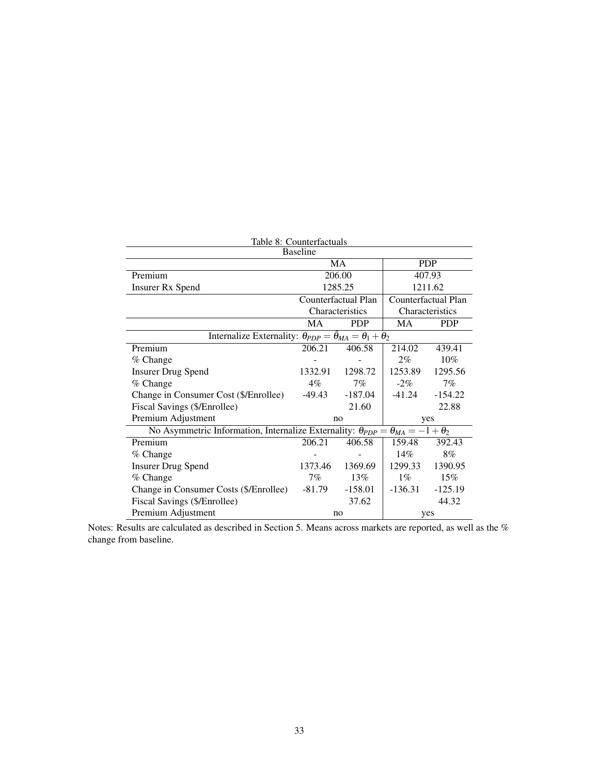| Table 8: Counterfactuals                                                                         |                 |                     |           |                     |  |  |
|--------------------------------------------------------------------------------------------------|-----------------|---------------------|-----------|---------------------|--|--|
|                                                                                                  | <b>Baseline</b> |                     |           |                     |  |  |
|                                                                                                  |                 | MA                  |           | <b>PDP</b>          |  |  |
| Premium                                                                                          |                 | 206.00              |           | 407.93              |  |  |
| <b>Insurer Rx Spend</b>                                                                          |                 | 1285.25             |           | 1211.62             |  |  |
|                                                                                                  |                 | Counterfactual Plan |           | Counterfactual Plan |  |  |
|                                                                                                  |                 | Characteristics     |           | Characteristics     |  |  |
| MA<br><b>PDP</b><br>MA                                                                           |                 |                     |           |                     |  |  |
| Internalize Externality: $\theta_{PDP} = \hat{\theta}_{MA} = \theta_1 + \theta_2$                |                 |                     |           |                     |  |  |
| Premium                                                                                          | 206.21          | 406.58              | 214.02    | 439.41              |  |  |
| % Change                                                                                         |                 |                     | $2\%$     | $10\%$              |  |  |
| <b>Insurer Drug Spend</b>                                                                        | 1332.91         | 1298.72             | 1253.89   | 1295.56             |  |  |
| % Change                                                                                         | $4\%$           | 7%                  | $-2\%$    | 7%                  |  |  |
| Change in Consumer Cost (\$/Enrollee)                                                            | $-49.43$        | $-187.04$           | $-41.24$  | $-154.22$           |  |  |
| Fiscal Savings (\$/Enrollee)                                                                     |                 | 21.60               |           | 22.88               |  |  |
| Premium Adjustment                                                                               |                 | no                  |           | yes                 |  |  |
| No Asymmetric Information, Internalize Externality: $\theta_{PDP} = \theta_{MA} = -1 + \theta_2$ |                 |                     |           |                     |  |  |
| Premium                                                                                          | 206.21          | 406.58              | 159.48    | 392.43              |  |  |
| % Change                                                                                         |                 |                     | 14%       | 8%                  |  |  |
| <b>Insurer Drug Spend</b>                                                                        | 1373.46         | 1369.69             | 1299.33   | 1390.95             |  |  |
| % Change                                                                                         | $7\%$           | 13%                 | $1\%$     | 15%                 |  |  |
| Change in Consumer Costs (\$/Enrollee)                                                           | $-81.79$        | $-158.01$           | $-136.31$ | $-125.19$           |  |  |
| Fiscal Savings (\$/Enrollee)                                                                     |                 | 37.62               |           | 44.32               |  |  |
| Premium Adjustment                                                                               |                 | no                  |           | yes                 |  |  |

Notes: Results are calculated as described in Section 5. Means across markets are reported, as well as the % change from baseline.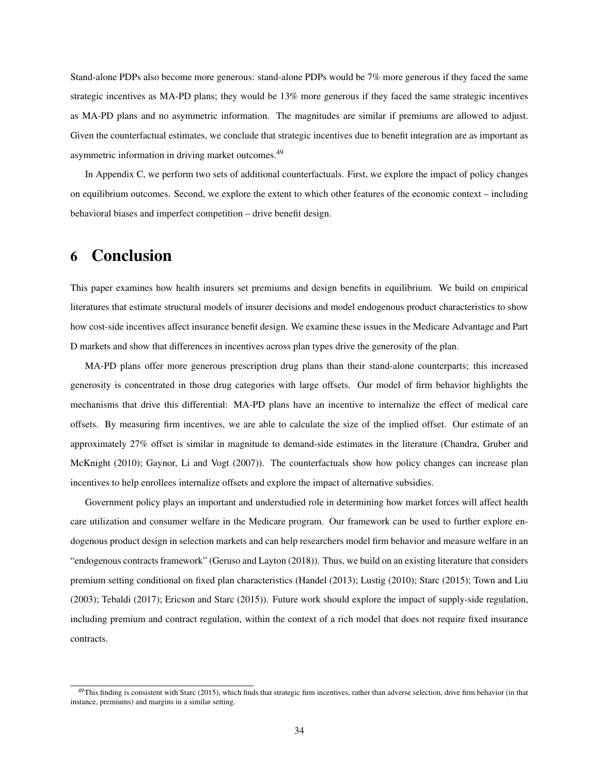Stand-alone PDPs also become more generous: stand-alone PDPs would be 7% more generous if they faced the same strategic incentives as MA-PD plans; they would be 13% more generous if they faced the same strategic incentives as MA-PD plans and no asymmetric information. The magnitudes are similar if premiums are allowed to adjust. Given the counterfactual estimates, we conclude that strategic incentives due to benefit integration are as important as asymmetric information in driving market outcomes.<sup>49</sup>

In Appendix C, we perform two sets of additional counterfactuals. First, we explore the impact of policy changes on equilibrium outcomes. Second, we explore the extent to which other features of the economic context – including behavioral biases and imperfect competition – drive benefit design.

# 6 Conclusion

This paper examines how health insurers set premiums and design benefits in equilibrium. We build on empirical literatures that estimate structural models of insurer decisions and model endogenous product characteristics to show how cost-side incentives affect insurance benefit design. We examine these issues in the Medicare Advantage and Part D markets and show that differences in incentives across plan types drive the generosity of the plan.

MA-PD plans offer more generous prescription drug plans than their stand-alone counterparts; this increased generosity is concentrated in those drug categories with large offsets. Our model of firm behavior highlights the mechanisms that drive this differential: MA-PD plans have an incentive to internalize the effect of medical care offsets. By measuring firm incentives, we are able to calculate the size of the implied offset. Our estimate of an approximately 27% offset is similar in magnitude to demand-side estimates in the literature (Chandra, Gruber and McKnight (2010); Gaynor, Li and Vogt (2007)). The counterfactuals show how policy changes can increase plan incentives to help enrollees internalize offsets and explore the impact of alternative subsidies.

Government policy plays an important and understudied role in determining how market forces will affect health care utilization and consumer welfare in the Medicare program. Our framework can be used to further explore endogenous product design in selection markets and can help researchers model firm behavior and measure welfare in an "endogenous contracts framework" (Geruso and Layton (2018)). Thus, we build on an existing literature that considers premium setting conditional on fixed plan characteristics (Handel (2013); Lustig (2010); Starc (2015); Town and Liu (2003); Tebaldi (2017); Ericson and Starc (2015)). Future work should explore the impact of supply-side regulation, including premium and contract regulation, within the context of a rich model that does not require fixed insurance contracts.

 $^{49}$ This finding is consistent with Starc (2015), which finds that strategic firm incentives, rather than adverse selection, drive firm behavior (in that instance, premiums) and margins in a similar setting.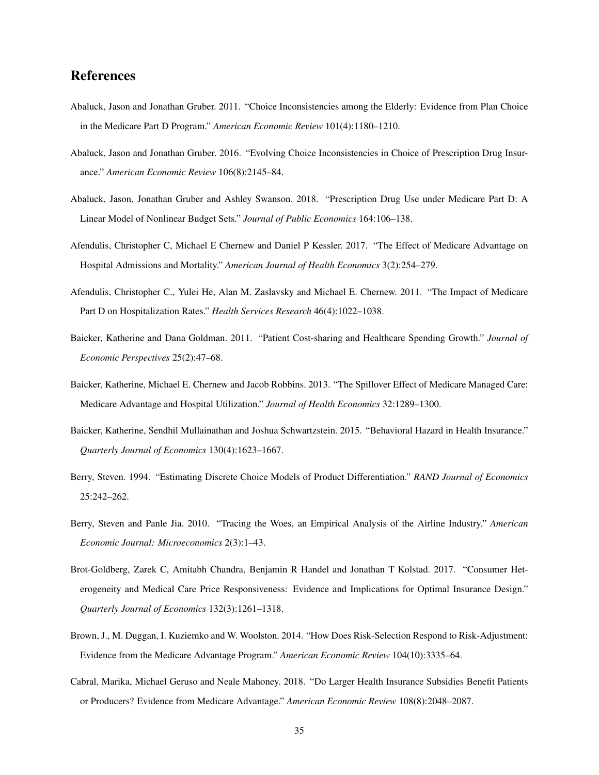# References

- Abaluck, Jason and Jonathan Gruber. 2011. "Choice Inconsistencies among the Elderly: Evidence from Plan Choice in the Medicare Part D Program." *American Economic Review* 101(4):1180–1210.
- Abaluck, Jason and Jonathan Gruber. 2016. "Evolving Choice Inconsistencies in Choice of Prescription Drug Insurance." *American Economic Review* 106(8):2145–84.
- Abaluck, Jason, Jonathan Gruber and Ashley Swanson. 2018. "Prescription Drug Use under Medicare Part D: A Linear Model of Nonlinear Budget Sets." *Journal of Public Economics* 164:106–138.
- Afendulis, Christopher C, Michael E Chernew and Daniel P Kessler. 2017. "The Effect of Medicare Advantage on Hospital Admissions and Mortality." *American Journal of Health Economics* 3(2):254–279.
- Afendulis, Christopher C., Yulei He, Alan M. Zaslavsky and Michael E. Chernew. 2011. "The Impact of Medicare Part D on Hospitalization Rates." *Health Services Research* 46(4):1022–1038.
- Baicker, Katherine and Dana Goldman. 2011. "Patient Cost-sharing and Healthcare Spending Growth." *Journal of Economic Perspectives* 25(2):47–68.
- Baicker, Katherine, Michael E. Chernew and Jacob Robbins. 2013. "The Spillover Effect of Medicare Managed Care: Medicare Advantage and Hospital Utilization." *Journal of Health Economics* 32:1289–1300.
- Baicker, Katherine, Sendhil Mullainathan and Joshua Schwartzstein. 2015. "Behavioral Hazard in Health Insurance." *Quarterly Journal of Economics* 130(4):1623–1667.
- Berry, Steven. 1994. "Estimating Discrete Choice Models of Product Differentiation." *RAND Journal of Economics* 25:242–262.
- Berry, Steven and Panle Jia. 2010. "Tracing the Woes, an Empirical Analysis of the Airline Industry." *American Economic Journal: Microeconomics* 2(3):1–43.
- Brot-Goldberg, Zarek C, Amitabh Chandra, Benjamin R Handel and Jonathan T Kolstad. 2017. "Consumer Heterogeneity and Medical Care Price Responsiveness: Evidence and Implications for Optimal Insurance Design." *Quarterly Journal of Economics* 132(3):1261–1318.
- Brown, J., M. Duggan, I. Kuziemko and W. Woolston. 2014. "How Does Risk-Selection Respond to Risk-Adjustment: Evidence from the Medicare Advantage Program." *American Economic Review* 104(10):3335–64.
- Cabral, Marika, Michael Geruso and Neale Mahoney. 2018. "Do Larger Health Insurance Subsidies Benefit Patients or Producers? Evidence from Medicare Advantage." *American Economic Review* 108(8):2048–2087.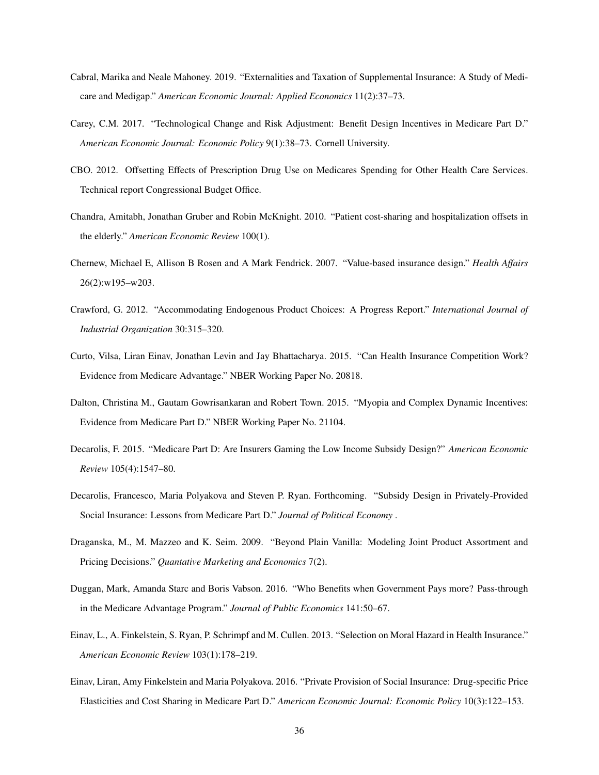- Cabral, Marika and Neale Mahoney. 2019. "Externalities and Taxation of Supplemental Insurance: A Study of Medicare and Medigap." *American Economic Journal: Applied Economics* 11(2):37–73.
- Carey, C.M. 2017. "Technological Change and Risk Adjustment: Benefit Design Incentives in Medicare Part D." *American Economic Journal: Economic Policy* 9(1):38–73. Cornell University.
- CBO. 2012. Offsetting Effects of Prescription Drug Use on Medicares Spending for Other Health Care Services. Technical report Congressional Budget Office.
- Chandra, Amitabh, Jonathan Gruber and Robin McKnight. 2010. "Patient cost-sharing and hospitalization offsets in the elderly." *American Economic Review* 100(1).
- Chernew, Michael E, Allison B Rosen and A Mark Fendrick. 2007. "Value-based insurance design." *Health Affairs* 26(2):w195–w203.
- Crawford, G. 2012. "Accommodating Endogenous Product Choices: A Progress Report." *International Journal of Industrial Organization* 30:315–320.
- Curto, Vilsa, Liran Einav, Jonathan Levin and Jay Bhattacharya. 2015. "Can Health Insurance Competition Work? Evidence from Medicare Advantage." NBER Working Paper No. 20818.
- Dalton, Christina M., Gautam Gowrisankaran and Robert Town. 2015. "Myopia and Complex Dynamic Incentives: Evidence from Medicare Part D." NBER Working Paper No. 21104.
- Decarolis, F. 2015. "Medicare Part D: Are Insurers Gaming the Low Income Subsidy Design?" *American Economic Review* 105(4):1547–80.
- Decarolis, Francesco, Maria Polyakova and Steven P. Ryan. Forthcoming. "Subsidy Design in Privately-Provided Social Insurance: Lessons from Medicare Part D." *Journal of Political Economy* .
- Draganska, M., M. Mazzeo and K. Seim. 2009. "Beyond Plain Vanilla: Modeling Joint Product Assortment and Pricing Decisions." *Quantative Marketing and Economics* 7(2).
- Duggan, Mark, Amanda Starc and Boris Vabson. 2016. "Who Benefits when Government Pays more? Pass-through in the Medicare Advantage Program." *Journal of Public Economics* 141:50–67.
- Einav, L., A. Finkelstein, S. Ryan, P. Schrimpf and M. Cullen. 2013. "Selection on Moral Hazard in Health Insurance." *American Economic Review* 103(1):178–219.
- Einav, Liran, Amy Finkelstein and Maria Polyakova. 2016. "Private Provision of Social Insurance: Drug-specific Price Elasticities and Cost Sharing in Medicare Part D." *American Economic Journal: Economic Policy* 10(3):122–153.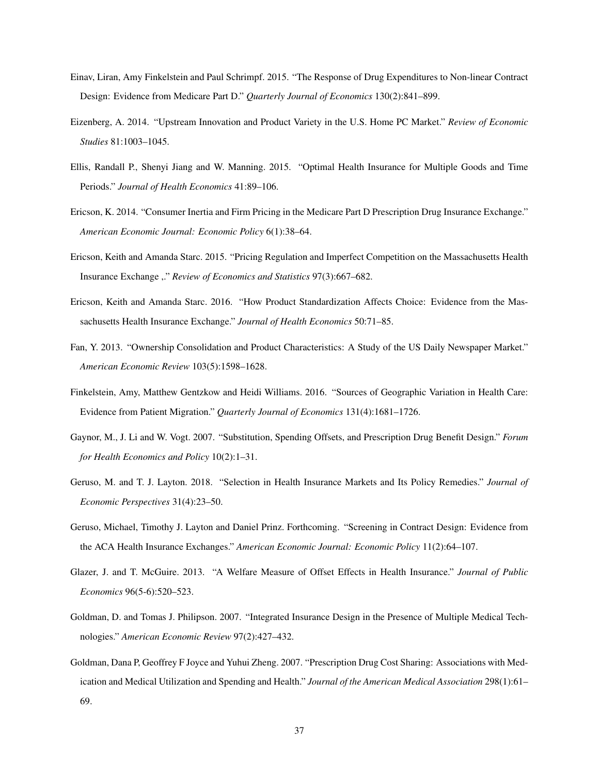- Einav, Liran, Amy Finkelstein and Paul Schrimpf. 2015. "The Response of Drug Expenditures to Non-linear Contract Design: Evidence from Medicare Part D." *Quarterly Journal of Economics* 130(2):841–899.
- Eizenberg, A. 2014. "Upstream Innovation and Product Variety in the U.S. Home PC Market." *Review of Economic Studies* 81:1003–1045.
- Ellis, Randall P., Shenyi Jiang and W. Manning. 2015. "Optimal Health Insurance for Multiple Goods and Time Periods." *Journal of Health Economics* 41:89–106.
- Ericson, K. 2014. "Consumer Inertia and Firm Pricing in the Medicare Part D Prescription Drug Insurance Exchange." *American Economic Journal: Economic Policy* 6(1):38–64.
- Ericson, Keith and Amanda Starc. 2015. "Pricing Regulation and Imperfect Competition on the Massachusetts Health Insurance Exchange ,." *Review of Economics and Statistics* 97(3):667–682.
- Ericson, Keith and Amanda Starc. 2016. "How Product Standardization Affects Choice: Evidence from the Massachusetts Health Insurance Exchange." *Journal of Health Economics* 50:71–85.
- Fan, Y. 2013. "Ownership Consolidation and Product Characteristics: A Study of the US Daily Newspaper Market." *American Economic Review* 103(5):1598–1628.
- Finkelstein, Amy, Matthew Gentzkow and Heidi Williams. 2016. "Sources of Geographic Variation in Health Care: Evidence from Patient Migration." *Quarterly Journal of Economics* 131(4):1681–1726.
- Gaynor, M., J. Li and W. Vogt. 2007. "Substitution, Spending Offsets, and Prescription Drug Benefit Design." *Forum for Health Economics and Policy* 10(2):1–31.
- Geruso, M. and T. J. Layton. 2018. "Selection in Health Insurance Markets and Its Policy Remedies." *Journal of Economic Perspectives* 31(4):23–50.
- Geruso, Michael, Timothy J. Layton and Daniel Prinz. Forthcoming. "Screening in Contract Design: Evidence from the ACA Health Insurance Exchanges." *American Economic Journal: Economic Policy* 11(2):64–107.
- Glazer, J. and T. McGuire. 2013. "A Welfare Measure of Offset Effects in Health Insurance." *Journal of Public Economics* 96(5-6):520–523.
- Goldman, D. and Tomas J. Philipson. 2007. "Integrated Insurance Design in the Presence of Multiple Medical Technologies." *American Economic Review* 97(2):427–432.
- Goldman, Dana P, Geoffrey F Joyce and Yuhui Zheng. 2007. "Prescription Drug Cost Sharing: Associations with Medication and Medical Utilization and Spending and Health." *Journal of the American Medical Association* 298(1):61– 69.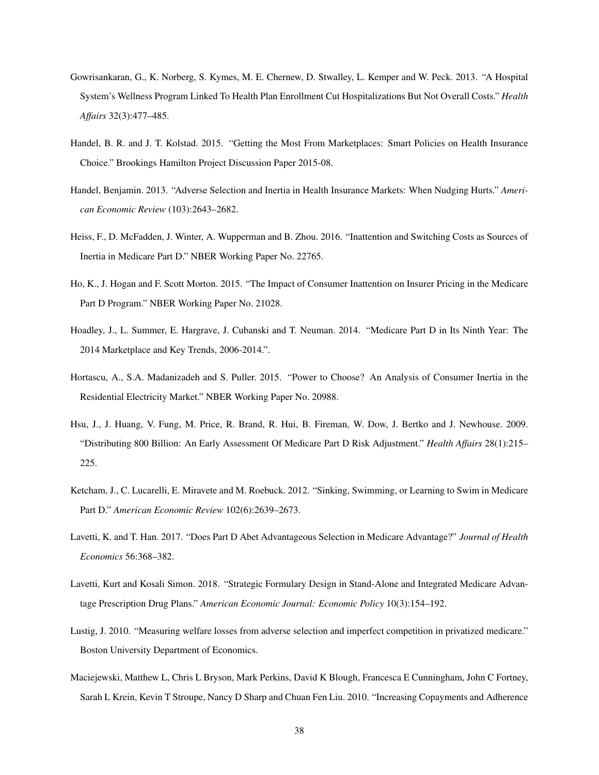- Gowrisankaran, G., K. Norberg, S. Kymes, M. E. Chernew, D. Stwalley, L. Kemper and W. Peck. 2013. "A Hospital System's Wellness Program Linked To Health Plan Enrollment Cut Hospitalizations But Not Overall Costs." *Health Affairs* 32(3):477–485.
- Handel, B. R. and J. T. Kolstad. 2015. "Getting the Most From Marketplaces: Smart Policies on Health Insurance Choice." Brookings Hamilton Project Discussion Paper 2015-08.
- Handel, Benjamin. 2013. "Adverse Selection and Inertia in Health Insurance Markets: When Nudging Hurts." *American Economic Review* (103):2643–2682.
- Heiss, F., D. McFadden, J. Winter, A. Wupperman and B. Zhou. 2016. "Inattention and Switching Costs as Sources of Inertia in Medicare Part D." NBER Working Paper No. 22765.
- Ho, K., J. Hogan and F. Scott Morton. 2015. "The Impact of Consumer Inattention on Insurer Pricing in the Medicare Part D Program." NBER Working Paper No. 21028.
- Hoadley, J., L. Summer, E. Hargrave, J. Cubanski and T. Neuman. 2014. "Medicare Part D in Its Ninth Year: The 2014 Marketplace and Key Trends, 2006-2014.".
- Hortascu, A., S.A. Madanizadeh and S. Puller. 2015. "Power to Choose? An Analysis of Consumer Inertia in the Residential Electricity Market." NBER Working Paper No. 20988.
- Hsu, J., J. Huang, V. Fung, M. Price, R. Brand, R. Hui, B. Fireman, W. Dow, J. Bertko and J. Newhouse. 2009. "Distributing 800 Billion: An Early Assessment Of Medicare Part D Risk Adjustment." *Health Affairs* 28(1):215– 225.
- Ketcham, J., C. Lucarelli, E. Miravete and M. Roebuck. 2012. "Sinking, Swimming, or Learning to Swim in Medicare Part D." *American Economic Review* 102(6):2639–2673.
- Lavetti, K. and T. Han. 2017. "Does Part D Abet Advantageous Selection in Medicare Advantage?" *Journal of Health Economics* 56:368–382.
- Lavetti, Kurt and Kosali Simon. 2018. "Strategic Formulary Design in Stand-Alone and Integrated Medicare Advantage Prescription Drug Plans." *American Economic Journal: Economic Policy* 10(3):154–192.
- Lustig, J. 2010. "Measuring welfare losses from adverse selection and imperfect competition in privatized medicare." Boston University Department of Economics.
- Maciejewski, Matthew L, Chris L Bryson, Mark Perkins, David K Blough, Francesca E Cunningham, John C Fortney, Sarah L Krein, Kevin T Stroupe, Nancy D Sharp and Chuan Fen Liu. 2010. "Increasing Copayments and Adherence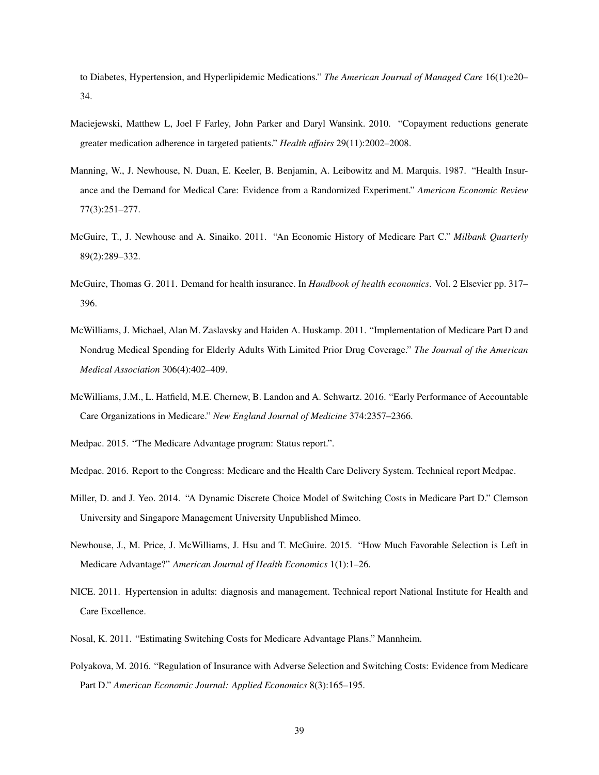to Diabetes, Hypertension, and Hyperlipidemic Medications." *The American Journal of Managed Care* 16(1):e20– 34.

- Maciejewski, Matthew L, Joel F Farley, John Parker and Daryl Wansink. 2010. "Copayment reductions generate greater medication adherence in targeted patients." *Health affairs* 29(11):2002–2008.
- Manning, W., J. Newhouse, N. Duan, E. Keeler, B. Benjamin, A. Leibowitz and M. Marquis. 1987. "Health Insurance and the Demand for Medical Care: Evidence from a Randomized Experiment." *American Economic Review* 77(3):251–277.
- McGuire, T., J. Newhouse and A. Sinaiko. 2011. "An Economic History of Medicare Part C." *Milbank Quarterly* 89(2):289–332.
- McGuire, Thomas G. 2011. Demand for health insurance. In *Handbook of health economics*. Vol. 2 Elsevier pp. 317– 396.
- McWilliams, J. Michael, Alan M. Zaslavsky and Haiden A. Huskamp. 2011. "Implementation of Medicare Part D and Nondrug Medical Spending for Elderly Adults With Limited Prior Drug Coverage." *The Journal of the American Medical Association* 306(4):402–409.
- McWilliams, J.M., L. Hatfield, M.E. Chernew, B. Landon and A. Schwartz. 2016. "Early Performance of Accountable Care Organizations in Medicare." *New England Journal of Medicine* 374:2357–2366.
- Medpac. 2015. "The Medicare Advantage program: Status report.".
- Medpac. 2016. Report to the Congress: Medicare and the Health Care Delivery System. Technical report Medpac.
- Miller, D. and J. Yeo. 2014. "A Dynamic Discrete Choice Model of Switching Costs in Medicare Part D." Clemson University and Singapore Management University Unpublished Mimeo.
- Newhouse, J., M. Price, J. McWilliams, J. Hsu and T. McGuire. 2015. "How Much Favorable Selection is Left in Medicare Advantage?" *American Journal of Health Economics* 1(1):1–26.
- NICE. 2011. Hypertension in adults: diagnosis and management. Technical report National Institute for Health and Care Excellence.
- Nosal, K. 2011. "Estimating Switching Costs for Medicare Advantage Plans." Mannheim.
- Polyakova, M. 2016. "Regulation of Insurance with Adverse Selection and Switching Costs: Evidence from Medicare Part D." *American Economic Journal: Applied Economics* 8(3):165–195.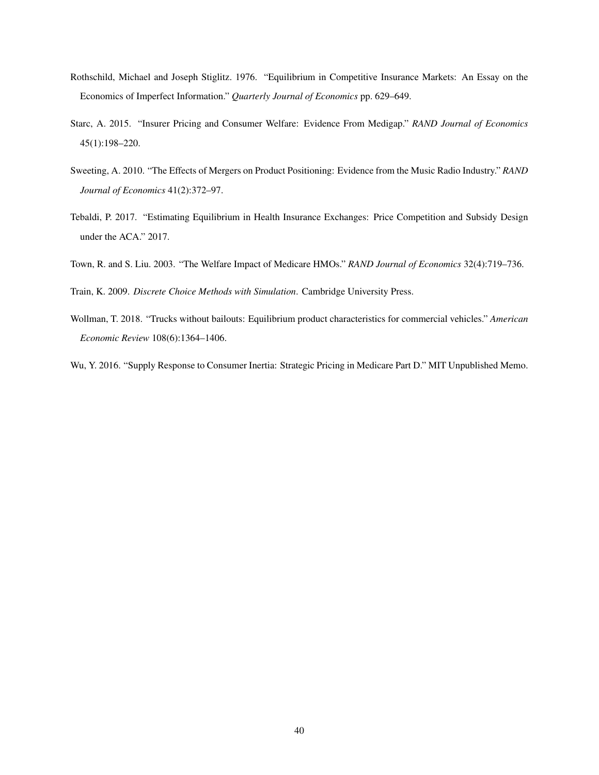- Rothschild, Michael and Joseph Stiglitz. 1976. "Equilibrium in Competitive Insurance Markets: An Essay on the Economics of Imperfect Information." *Quarterly Journal of Economics* pp. 629–649.
- Starc, A. 2015. "Insurer Pricing and Consumer Welfare: Evidence From Medigap." *RAND Journal of Economics* 45(1):198–220.
- Sweeting, A. 2010. "The Effects of Mergers on Product Positioning: Evidence from the Music Radio Industry." *RAND Journal of Economics* 41(2):372–97.
- Tebaldi, P. 2017. "Estimating Equilibrium in Health Insurance Exchanges: Price Competition and Subsidy Design under the ACA." 2017.
- Town, R. and S. Liu. 2003. "The Welfare Impact of Medicare HMOs." *RAND Journal of Economics* 32(4):719–736.

Train, K. 2009. *Discrete Choice Methods with Simulation*. Cambridge University Press.

Wollman, T. 2018. "Trucks without bailouts: Equilibrium product characteristics for commercial vehicles." *American Economic Review* 108(6):1364–1406.

Wu, Y. 2016. "Supply Response to Consumer Inertia: Strategic Pricing in Medicare Part D." MIT Unpublished Memo.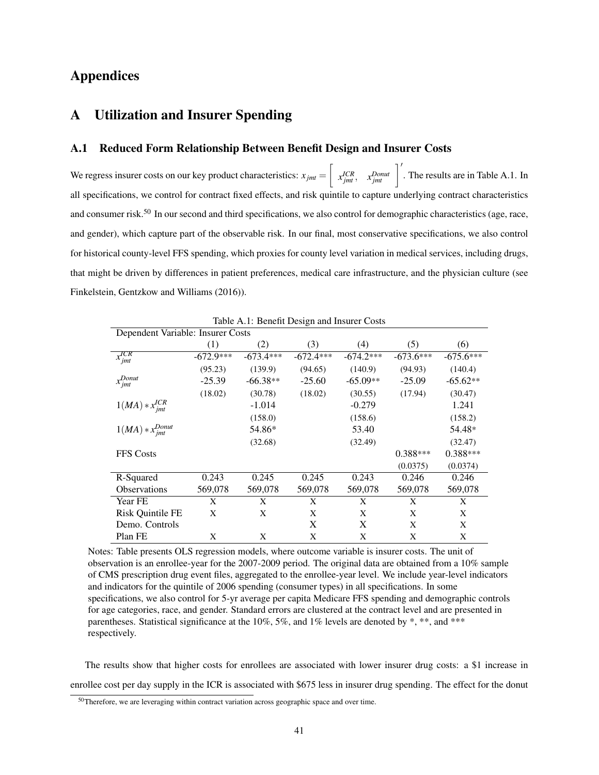# Appendices

# A Utilization and Insurer Spending

## A.1 Reduced Form Relationship Between Benefit Design and Insurer Costs

We regress insurer costs on our key product characteristics:  $x_{jmt} = \left\lceil \right\rceil$  $x_{jmt}^{ICR}$ ,  $x_{jmt}^{Donut}$   $\Big|$ . The results are in Table A.1. In all specifications, we control for contract fixed effects, and risk quintile to capture underlying contract characteristics and consumer risk.<sup>50</sup> In our second and third specifications, we also control for demographic characteristics (age, race, and gender), which capture part of the observable risk. In our final, most conservative specifications, we also control for historical county-level FFS spending, which proxies for county level variation in medical services, including drugs, that might be driven by differences in patient preferences, medical care infrastructure, and the physician culture (see Finkelstein, Gentzkow and Williams (2016)).

|                                   | Table <i>TV</i> .1. Denem Design and mouter Costs |             |             |             |             |             |  |
|-----------------------------------|---------------------------------------------------|-------------|-------------|-------------|-------------|-------------|--|
| Dependent Variable: Insurer Costs |                                                   |             |             |             |             |             |  |
|                                   | (1)                                               | (2)         | (3)         | (4)         | (5)         | (6)         |  |
| $x_{jmt}^{ICR}$                   | $-672.9***$                                       | $-673.4***$ | $-672.4***$ | $-674.2***$ | $-673.6***$ | $-675.6***$ |  |
|                                   | (95.23)                                           | (139.9)     | (94.65)     | (140.9)     | (94.93)     | (140.4)     |  |
| $x_{jmt}^{Donut}$                 | $-25.39$                                          | $-66.38**$  | $-25.60$    | $-65.09**$  | $-25.09$    | $-65.62**$  |  |
|                                   | (18.02)                                           | (30.78)     | (18.02)     | (30.55)     | (17.94)     | (30.47)     |  |
| $1(MA) * x^{ICR}_{jmt}$           |                                                   | $-1.014$    |             | $-0.279$    |             | 1.241       |  |
|                                   |                                                   | (158.0)     |             | (158.6)     |             | (158.2)     |  |
| $1(MA) * x_{jmt}^{Donut}$         |                                                   | 54.86*      |             | 53.40       |             | 54.48*      |  |
|                                   |                                                   | (32.68)     |             | (32.49)     |             | (32.47)     |  |
| <b>FFS Costs</b>                  |                                                   |             |             |             | $0.388***$  | $0.388***$  |  |
|                                   |                                                   |             |             |             | (0.0375)    | (0.0374)    |  |
| R-Squared                         | 0.243                                             | 0.245       | 0.245       | 0.243       | 0.246       | 0.246       |  |
| <b>Observations</b>               | 569,078                                           | 569,078     | 569,078     | 569,078     | 569,078     | 569,078     |  |
| Year FE                           | X                                                 | X           | X           | X           | X           | X           |  |
| Risk Quintile FE                  | X                                                 | X           | X           | X           | X           | X           |  |
| Demo. Controls                    |                                                   |             | X           | X           | X           | X           |  |
| Plan FE                           | X                                                 | X           | X           | X           | X           | X           |  |

Table A.1: Benefit Design and Insurer Costs

Notes: Table presents OLS regression models, where outcome variable is insurer costs. The unit of observation is an enrollee-year for the 2007-2009 period. The original data are obtained from a 10% sample of CMS prescription drug event files, aggregated to the enrollee-year level. We include year-level indicators and indicators for the quintile of 2006 spending (consumer types) in all specifications. In some specifications, we also control for 5-yr average per capita Medicare FFS spending and demographic controls for age categories, race, and gender. Standard errors are clustered at the contract level and are presented in parentheses. Statistical significance at the 10%, 5%, and 1% levels are denoted by \*, \*\*, and \*\*\* respectively.

The results show that higher costs for enrollees are associated with lower insurer drug costs: a \$1 increase in enrollee cost per day supply in the ICR is associated with \$675 less in insurer drug spending. The effect for the donut

<sup>&</sup>lt;sup>50</sup>Therefore, we are leveraging within contract variation across geographic space and over time.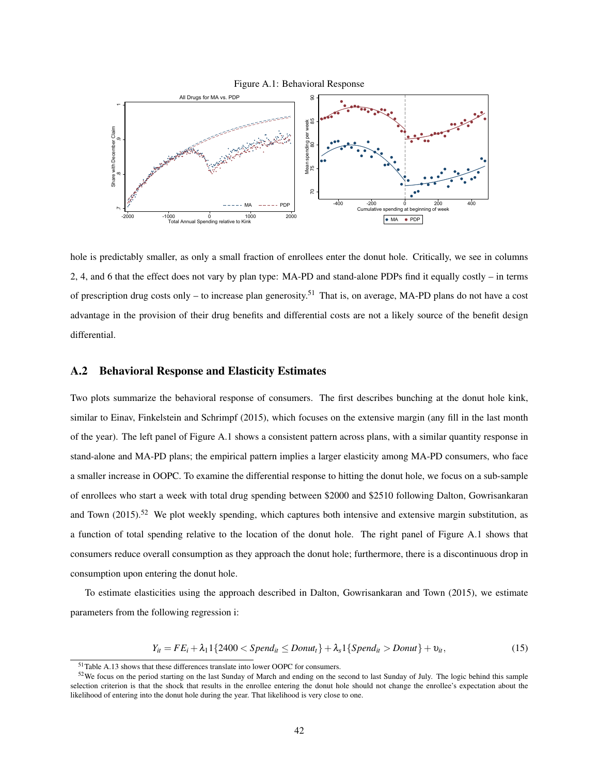



hole is predictably smaller, as only a small fraction of enrollees enter the donut hole. Critically, we see in columns 2, 4, and 6 that the effect does not vary by plan type: MA-PD and stand-alone PDPs find it equally costly – in terms of prescription drug costs only – to increase plan generosity.<sup>51</sup> That is, on average, MA-PD plans do not have a cost advantage in the provision of their drug benefits and differential costs are not a likely source of the benefit design differential.

### A.2 Behavioral Response and Elasticity Estimates

Two plots summarize the behavioral response of consumers. The first describes bunching at the donut hole kink, similar to Einav, Finkelstein and Schrimpf (2015), which focuses on the extensive margin (any fill in the last month of the year). The left panel of Figure A.1 shows a consistent pattern across plans, with a similar quantity response in stand-alone and MA-PD plans; the empirical pattern implies a larger elasticity among MA-PD consumers, who face a smaller increase in OOPC. To examine the differential response to hitting the donut hole, we focus on a sub-sample of enrollees who start a week with total drug spending between \$2000 and \$2510 following Dalton, Gowrisankaran and Town  $(2015)$ .<sup>52</sup> We plot weekly spending, which captures both intensive and extensive margin substitution, as a function of total spending relative to the location of the donut hole. The right panel of Figure A.1 shows that consumers reduce overall consumption as they approach the donut hole; furthermore, there is a discontinuous drop in consumption upon entering the donut hole.

To estimate elasticities using the approach described in Dalton, Gowrisankaran and Town (2015), we estimate parameters from the following regression i:

$$
Y_{it} = FE_i + \lambda_1 1\{2400 < Spend_{it} \leq Donut_t\} + \lambda_s 1\{Spend_{it} > Donut\} + \nu_{it},\tag{15}
$$

<sup>51</sup>Table A.13 shows that these differences translate into lower OOPC for consumers.

<sup>&</sup>lt;sup>52</sup>We focus on the period starting on the last Sunday of March and ending on the second to last Sunday of July. The logic behind this sample selection criterion is that the shock that results in the enrollee entering the donut hole should not change the enrollee's expectation about the likelihood of entering into the donut hole during the year. That likelihood is very close to one.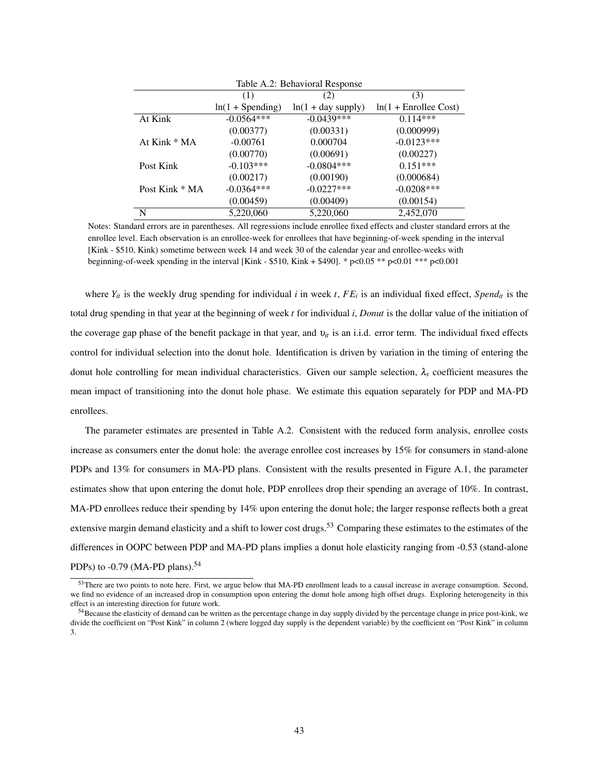| Table A.2: Behavioral Response |                    |                      |                         |  |  |  |  |  |  |
|--------------------------------|--------------------|----------------------|-------------------------|--|--|--|--|--|--|
|                                | (1)<br>(3)<br>(2)  |                      |                         |  |  |  |  |  |  |
|                                | $ln(1 + Spending)$ | $ln(1 + day supply)$ | $ln(1 + Enrollee Cost)$ |  |  |  |  |  |  |
| At Kink                        | $-0.0564***$       | $-0.0439***$         | $0.114***$              |  |  |  |  |  |  |
|                                | (0.00377)          | (0.00331)            | (0.000999)              |  |  |  |  |  |  |
| At Kink * MA                   | $-0.00761$         | 0.000704             | $-0.0123***$            |  |  |  |  |  |  |
|                                | (0.00770)          | (0.00691)            | (0.00227)               |  |  |  |  |  |  |
| Post Kink                      | $-0.103***$        | $-0.0804***$         | $0.151***$              |  |  |  |  |  |  |
|                                | (0.00217)          | (0.00190)            | (0.000684)              |  |  |  |  |  |  |
| Post Kink * MA                 | $-0.0364***$       | $-0.0227***$         | $-0.0208***$            |  |  |  |  |  |  |
|                                | (0.00459)          | (0.00409)            | (0.00154)               |  |  |  |  |  |  |
| N                              | 5,220,060          | 5,220,060            | 2,452,070               |  |  |  |  |  |  |

Notes: Standard errors are in parentheses. All regressions include enrollee fixed effects and cluster standard errors at the enrollee level. Each observation is an enrollee-week for enrollees that have beginning-of-week spending in the interval [Kink - \$510, Kink) sometime between week 14 and week 30 of the calendar year and enrollee-weeks with beginning-of-week spending in the interval [Kink - \$510, Kink + \$490]. \*  $p < 0.05$  \*\*  $p < 0.01$  \*\*\*  $p < 0.001$ 

where  $Y_{it}$  is the weekly drug spending for individual *i* in week *t*,  $FE_i$  is an individual fixed effect,  $Spend_{it}$  is the total drug spending in that year at the beginning of week *t* for individual *i*, *Donut* is the dollar value of the initiation of the coverage gap phase of the benefit package in that year, and υ*it* is an i.i.d. error term. The individual fixed effects control for individual selection into the donut hole. Identification is driven by variation in the timing of entering the donut hole controlling for mean individual characteristics. Given our sample selection,  $\lambda_s$  coefficient measures the mean impact of transitioning into the donut hole phase. We estimate this equation separately for PDP and MA-PD enrollees.

The parameter estimates are presented in Table A.2. Consistent with the reduced form analysis, enrollee costs increase as consumers enter the donut hole: the average enrollee cost increases by 15% for consumers in stand-alone PDPs and 13% for consumers in MA-PD plans. Consistent with the results presented in Figure A.1, the parameter estimates show that upon entering the donut hole, PDP enrollees drop their spending an average of 10%. In contrast, MA-PD enrollees reduce their spending by 14% upon entering the donut hole; the larger response reflects both a great extensive margin demand elasticity and a shift to lower cost drugs.<sup>53</sup> Comparing these estimates to the estimates of the differences in OOPC between PDP and MA-PD plans implies a donut hole elasticity ranging from -0.53 (stand-alone PDPs) to  $-0.79$  (MA-PD plans).<sup>54</sup>

<sup>53</sup> There are two points to note here. First, we argue below that MA-PD enrollment leads to a causal increase in average consumption. Second, we find no evidence of an increased drop in consumption upon entering the donut hole among high offset drugs. Exploring heterogeneity in this effect is an interesting direction for future work.

 $54$ Because the elasticity of demand can be written as the percentage change in day supply divided by the percentage change in price post-kink, we divide the coefficient on "Post Kink" in column 2 (where logged day supply is the dependent variable) by the coefficient on "Post Kink" in column 3.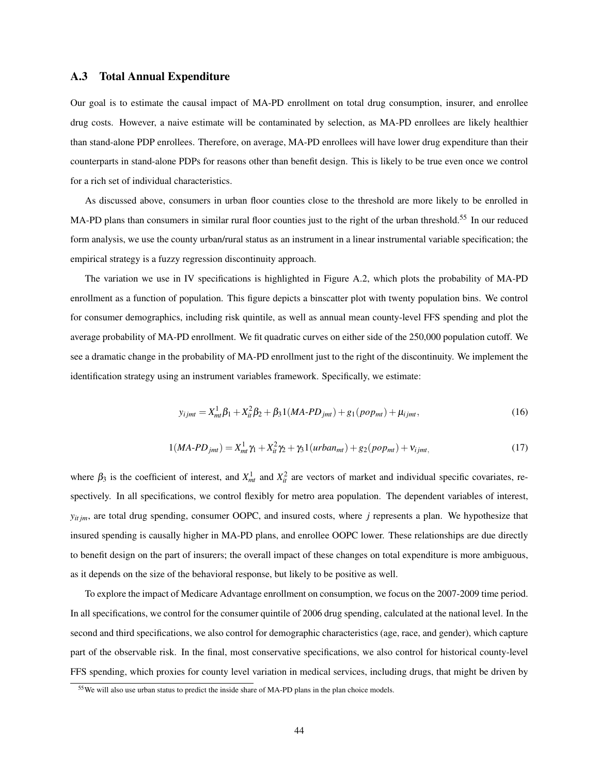### A.3 Total Annual Expenditure

Our goal is to estimate the causal impact of MA-PD enrollment on total drug consumption, insurer, and enrollee drug costs. However, a naive estimate will be contaminated by selection, as MA-PD enrollees are likely healthier than stand-alone PDP enrollees. Therefore, on average, MA-PD enrollees will have lower drug expenditure than their counterparts in stand-alone PDPs for reasons other than benefit design. This is likely to be true even once we control for a rich set of individual characteristics.

As discussed above, consumers in urban floor counties close to the threshold are more likely to be enrolled in MA-PD plans than consumers in similar rural floor counties just to the right of the urban threshold.<sup>55</sup> In our reduced form analysis, we use the county urban/rural status as an instrument in a linear instrumental variable specification; the empirical strategy is a fuzzy regression discontinuity approach.

The variation we use in IV specifications is highlighted in Figure A.2, which plots the probability of MA-PD enrollment as a function of population. This figure depicts a binscatter plot with twenty population bins. We control for consumer demographics, including risk quintile, as well as annual mean county-level FFS spending and plot the average probability of MA-PD enrollment. We fit quadratic curves on either side of the 250,000 population cutoff. We see a dramatic change in the probability of MA-PD enrollment just to the right of the discontinuity. We implement the identification strategy using an instrument variables framework. Specifically, we estimate:

$$
y_{ijmt} = X_{mt}^1 \beta_1 + X_{it}^2 \beta_2 + \beta_3 1(MA \cdot PD_{jmt}) + g_1(pop_{mt}) + \mu_{ijmt}, \tag{16}
$$

$$
1(MA-PD_{jmt}) = X_{mt}^1 \gamma_1 + X_{it}^2 \gamma_2 + \gamma_3 1(urban_{mt}) + g_2(pop_{mt}) + v_{ijmt},
$$
\n(17)

where  $\beta_3$  is the coefficient of interest, and  $X_{nt}^1$  and  $X_{it}^2$  are vectors of market and individual specific covariates, respectively. In all specifications, we control flexibly for metro area population. The dependent variables of interest, *yit jm*, are total drug spending, consumer OOPC, and insured costs, where *j* represents a plan. We hypothesize that insured spending is causally higher in MA-PD plans, and enrollee OOPC lower. These relationships are due directly to benefit design on the part of insurers; the overall impact of these changes on total expenditure is more ambiguous, as it depends on the size of the behavioral response, but likely to be positive as well.

To explore the impact of Medicare Advantage enrollment on consumption, we focus on the 2007-2009 time period. In all specifications, we control for the consumer quintile of 2006 drug spending, calculated at the national level. In the second and third specifications, we also control for demographic characteristics (age, race, and gender), which capture part of the observable risk. In the final, most conservative specifications, we also control for historical county-level FFS spending, which proxies for county level variation in medical services, including drugs, that might be driven by

<sup>55</sup>We will also use urban status to predict the inside share of MA-PD plans in the plan choice models.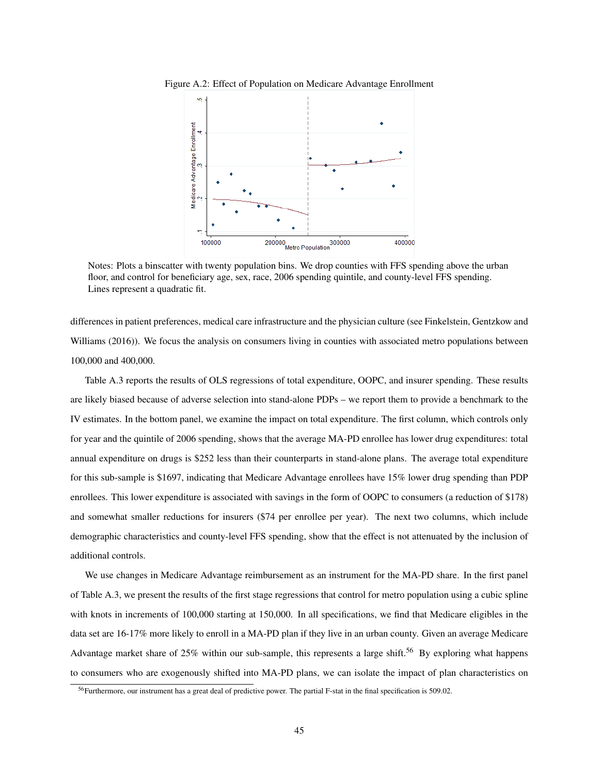

Figure A.2: Effect of Population on Medicare Advantage Enrollment

Notes: Plots a binscatter with twenty population bins. We drop counties with FFS spending above the urban floor, and control for beneficiary age, sex, race, 2006 spending quintile, and county-level FFS spending. Lines represent a quadratic fit.

differences in patient preferences, medical care infrastructure and the physician culture (see Finkelstein, Gentzkow and Williams (2016)). We focus the analysis on consumers living in counties with associated metro populations between 100,000 and 400,000.

Table A.3 reports the results of OLS regressions of total expenditure, OOPC, and insurer spending. These results are likely biased because of adverse selection into stand-alone PDPs – we report them to provide a benchmark to the IV estimates. In the bottom panel, we examine the impact on total expenditure. The first column, which controls only for year and the quintile of 2006 spending, shows that the average MA-PD enrollee has lower drug expenditures: total annual expenditure on drugs is \$252 less than their counterparts in stand-alone plans. The average total expenditure for this sub-sample is \$1697, indicating that Medicare Advantage enrollees have 15% lower drug spending than PDP enrollees. This lower expenditure is associated with savings in the form of OOPC to consumers (a reduction of \$178) and somewhat smaller reductions for insurers (\$74 per enrollee per year). The next two columns, which include demographic characteristics and county-level FFS spending, show that the effect is not attenuated by the inclusion of additional controls.

We use changes in Medicare Advantage reimbursement as an instrument for the MA-PD share. In the first panel of Table A.3, we present the results of the first stage regressions that control for metro population using a cubic spline with knots in increments of 100,000 starting at 150,000. In all specifications, we find that Medicare eligibles in the data set are 16-17% more likely to enroll in a MA-PD plan if they live in an urban county. Given an average Medicare Advantage market share of 25% within our sub-sample, this represents a large shift.<sup>56</sup> By exploring what happens to consumers who are exogenously shifted into MA-PD plans, we can isolate the impact of plan characteristics on

<sup>56</sup>Furthermore, our instrument has a great deal of predictive power. The partial F-stat in the final specification is 509.02.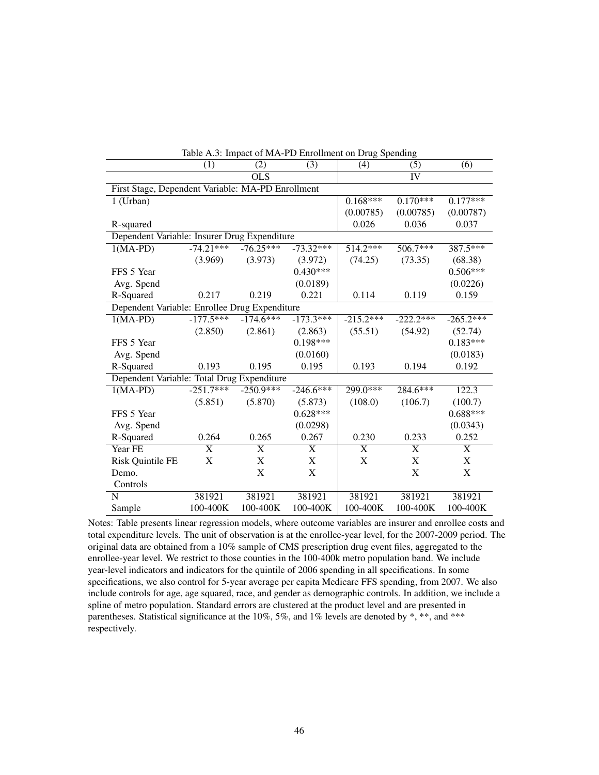|                                                   | Table A.3: Impact of MA-PD Enforment on Drug Spending |                  |                           |             |                 |                           |
|---------------------------------------------------|-------------------------------------------------------|------------------|---------------------------|-------------|-----------------|---------------------------|
|                                                   | (1)                                                   | (2)              | (3)                       | (4)         | (5)             | (6)                       |
|                                                   |                                                       | $\overline{OLS}$ |                           |             | $\overline{IV}$ |                           |
| First Stage, Dependent Variable: MA-PD Enrollment |                                                       |                  |                           |             |                 |                           |
| $1$ (Urban)                                       |                                                       |                  |                           | $0.168***$  | $0.170***$      | $0.177***$                |
|                                                   |                                                       |                  |                           | (0.00785)   | (0.00785)       | (0.00787)                 |
| R-squared                                         |                                                       |                  |                           | 0.026       | 0.036           | 0.037                     |
| Dependent Variable: Insurer Drug Expenditure      |                                                       |                  |                           |             |                 |                           |
| $1(MA-PD)$                                        | $-74.21***$                                           | $-76.25***$      | $-73.32***$               | $514.2***$  | $506.7***$      | 387.5***                  |
|                                                   | (3.969)                                               | (3.973)          | (3.972)                   | (74.25)     | (73.35)         | (68.38)                   |
| FFS 5 Year                                        |                                                       |                  | $0.430***$                |             |                 | $0.506***$                |
| Avg. Spend                                        |                                                       |                  | (0.0189)                  |             |                 | (0.0226)                  |
| R-Squared                                         | 0.217                                                 | 0.219            | 0.221                     | 0.114       | 0.119           | 0.159                     |
| Dependent Variable: Enrollee Drug Expenditure     |                                                       |                  |                           |             |                 |                           |
| $1(MA-PD)$                                        | $-177.5***$                                           | $-174.6***$      | $-173.3***$               | $-215.2***$ | $-222.2***$     | $-265.2***$               |
|                                                   | (2.850)                                               | (2.861)          | (2.863)                   | (55.51)     | (54.92)         | (52.74)                   |
| FFS 5 Year                                        |                                                       |                  | $0.198***$                |             |                 | $0.183***$                |
| Avg. Spend                                        |                                                       |                  | (0.0160)                  |             |                 | (0.0183)                  |
| R-Squared                                         | 0.193                                                 | 0.195            | 0.195                     | 0.193       | 0.194           | 0.192                     |
| Dependent Variable: Total Drug Expenditure        |                                                       |                  |                           |             |                 |                           |
| $1(MA-PD)$                                        | $-251.7***$                                           | $-250.9***$      | $-246.6***$               | 299.0***    | 284.6***        | 122.3                     |
|                                                   | (5.851)                                               | (5.870)          | (5.873)                   | (108.0)     | (106.7)         | (100.7)                   |
| FFS 5 Year                                        |                                                       |                  | $0.628***$                |             |                 | $0.688***$                |
| Avg. Spend                                        |                                                       |                  | (0.0298)                  |             |                 | (0.0343)                  |
| R-Squared                                         | 0.264                                                 | 0.265            | 0.267                     | 0.230       | 0.233           | 0.252                     |
| Year FE                                           | X                                                     | X                | X                         | X           | X               | X                         |
| Risk Quintile FE                                  | X                                                     | X                | $\boldsymbol{\mathrm{X}}$ | X           | $\mathbf X$     | $\boldsymbol{\mathrm{X}}$ |
| Demo.                                             |                                                       | X                | X                         |             | X               | X                         |
| Controls                                          |                                                       |                  |                           |             |                 |                           |
| N                                                 | 381921                                                | 381921           | 381921                    | 381921      | 381921          | 381921                    |
| Sample                                            | 100-400K                                              | 100-400K         | 100-400K                  | 100-400K    | 100-400K        | 100-400K                  |

Table A.3: Impact of MA-PD Enrollment on Drug Spending

Notes: Table presents linear regression models, where outcome variables are insurer and enrollee costs and total expenditure levels. The unit of observation is at the enrollee-year level, for the 2007-2009 period. The original data are obtained from a 10% sample of CMS prescription drug event files, aggregated to the enrollee-year level. We restrict to those counties in the 100-400k metro population band. We include year-level indicators and indicators for the quintile of 2006 spending in all specifications. In some specifications, we also control for 5-year average per capita Medicare FFS spending, from 2007. We also include controls for age, age squared, race, and gender as demographic controls. In addition, we include a spline of metro population. Standard errors are clustered at the product level and are presented in parentheses. Statistical significance at the 10%, 5%, and 1% levels are denoted by \*, \*\*, and \*\*\* respectively.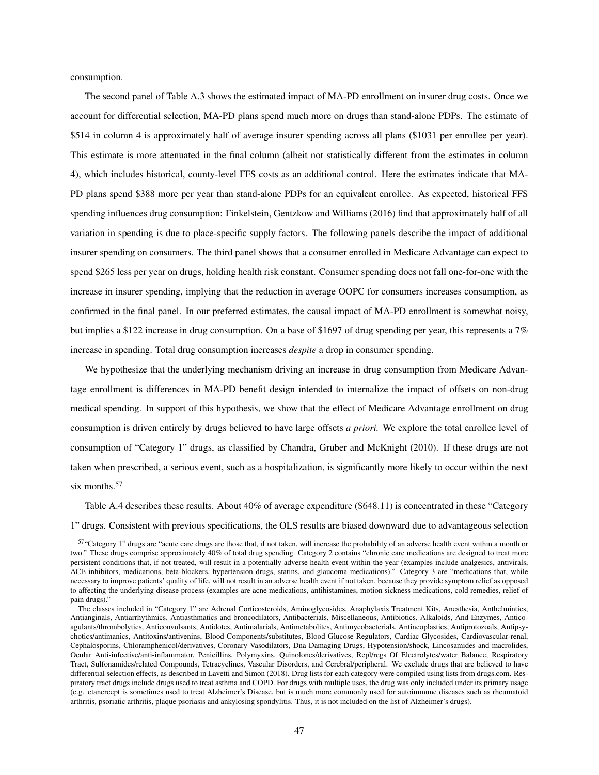consumption.

The second panel of Table A.3 shows the estimated impact of MA-PD enrollment on insurer drug costs. Once we account for differential selection, MA-PD plans spend much more on drugs than stand-alone PDPs. The estimate of \$514 in column 4 is approximately half of average insurer spending across all plans (\$1031 per enrollee per year). This estimate is more attenuated in the final column (albeit not statistically different from the estimates in column 4), which includes historical, county-level FFS costs as an additional control. Here the estimates indicate that MA-PD plans spend \$388 more per year than stand-alone PDPs for an equivalent enrollee. As expected, historical FFS spending influences drug consumption: Finkelstein, Gentzkow and Williams (2016) find that approximately half of all variation in spending is due to place-specific supply factors. The following panels describe the impact of additional insurer spending on consumers. The third panel shows that a consumer enrolled in Medicare Advantage can expect to spend \$265 less per year on drugs, holding health risk constant. Consumer spending does not fall one-for-one with the increase in insurer spending, implying that the reduction in average OOPC for consumers increases consumption, as confirmed in the final panel. In our preferred estimates, the causal impact of MA-PD enrollment is somewhat noisy, but implies a \$122 increase in drug consumption. On a base of \$1697 of drug spending per year, this represents a 7% increase in spending. Total drug consumption increases *despite* a drop in consumer spending.

We hypothesize that the underlying mechanism driving an increase in drug consumption from Medicare Advantage enrollment is differences in MA-PD benefit design intended to internalize the impact of offsets on non-drug medical spending. In support of this hypothesis, we show that the effect of Medicare Advantage enrollment on drug consumption is driven entirely by drugs believed to have large offsets *a priori.* We explore the total enrollee level of consumption of "Category 1" drugs, as classified by Chandra, Gruber and McKnight (2010). If these drugs are not taken when prescribed, a serious event, such as a hospitalization, is significantly more likely to occur within the next six months.<sup>57</sup>

Table A.4 describes these results. About 40% of average expenditure (\$648.11) is concentrated in these "Category 1" drugs. Consistent with previous specifications, the OLS results are biased downward due to advantageous selection

<sup>57</sup>"Category 1" drugs are "acute care drugs are those that, if not taken, will increase the probability of an adverse health event within a month or two." These drugs comprise approximately 40% of total drug spending. Category 2 contains "chronic care medications are designed to treat more persistent conditions that, if not treated, will result in a potentially adverse health event within the year (examples include analgesics, antivirals, ACE inhibitors, medications, beta-blockers, hypertension drugs, statins, and glaucoma medications)." Category 3 are "medications that, while necessary to improve patients' quality of life, will not result in an adverse health event if not taken, because they provide symptom relief as opposed to affecting the underlying disease process (examples are acne medications, antihistamines, motion sickness medications, cold remedies, relief of pain drugs)."

The classes included in "Category 1" are Adrenal Corticosteroids, Aminoglycosides, Anaphylaxis Treatment Kits, Anesthesia, Anthelmintics, Antianginals, Antiarrhythmics, Antiasthmatics and broncodilators, Antibacterials, Miscellaneous, Antibiotics, Alkaloids, And Enzymes, Anticoagulants/thrombolytics, Anticonvulsants, Antidotes, Antimalarials, Antimetabolites, Antimycobacterials, Antineoplastics, Antiprotozoals, Antipsychotics/antimanics, Antitoxins/antivenins, Blood Components/substitutes, Blood Glucose Regulators, Cardiac Glycosides, Cardiovascular-renal, Cephalosporins, Chloramphenicol/derivatives, Coronary Vasodilators, Dna Damaging Drugs, Hypotension/shock, Lincosamides and macrolides, Ocular Anti-infective/anti-inflammator, Penicillins, Polymyxins, Quinolones/derivatives, Repl/regs Of Electrolytes/water Balance, Respiratory Tract, Sulfonamides/related Compounds, Tetracyclines, Vascular Disorders, and Cerebral/peripheral. We exclude drugs that are believed to have differential selection effects, as described in Lavetti and Simon (2018). Drug lists for each category were compiled using lists from drugs.com. Respiratory tract drugs include drugs used to treat asthma and COPD. For drugs with multiple uses, the drug was only included under its primary usage (e.g. etanercept is sometimes used to treat Alzheimer's Disease, but is much more commonly used for autoimmune diseases such as rheumatoid arthritis, psoriatic arthritis, plaque psoriasis and ankylosing spondylitis. Thus, it is not included on the list of Alzheimer's drugs).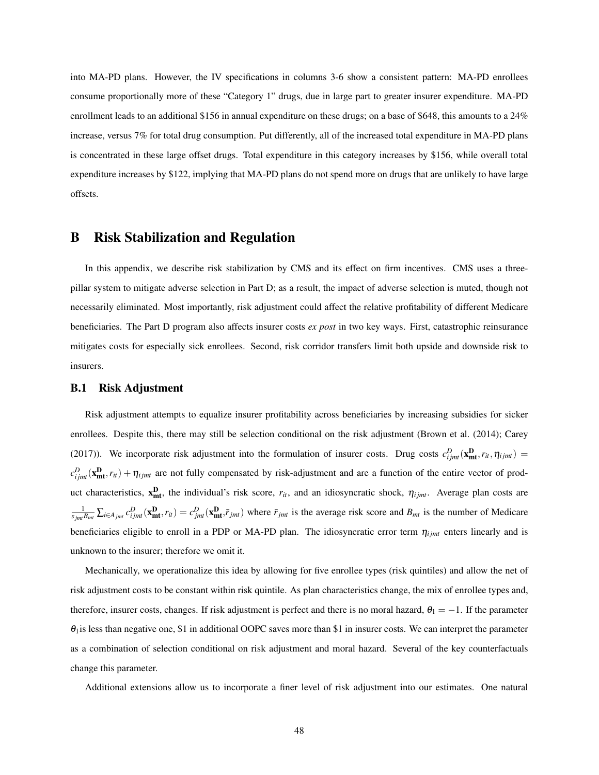into MA-PD plans. However, the IV specifications in columns 3-6 show a consistent pattern: MA-PD enrollees consume proportionally more of these "Category 1" drugs, due in large part to greater insurer expenditure. MA-PD enrollment leads to an additional \$156 in annual expenditure on these drugs; on a base of \$648, this amounts to a 24% increase, versus 7% for total drug consumption. Put differently, all of the increased total expenditure in MA-PD plans is concentrated in these large offset drugs. Total expenditure in this category increases by \$156, while overall total expenditure increases by \$122, implying that MA-PD plans do not spend more on drugs that are unlikely to have large offsets.

## B Risk Stabilization and Regulation

In this appendix, we describe risk stabilization by CMS and its effect on firm incentives. CMS uses a threepillar system to mitigate adverse selection in Part D; as a result, the impact of adverse selection is muted, though not necessarily eliminated. Most importantly, risk adjustment could affect the relative profitability of different Medicare beneficiaries. The Part D program also affects insurer costs *ex post* in two key ways. First, catastrophic reinsurance mitigates costs for especially sick enrollees. Second, risk corridor transfers limit both upside and downside risk to insurers.

#### B.1 Risk Adjustment

Risk adjustment attempts to equalize insurer profitability across beneficiaries by increasing subsidies for sicker enrollees. Despite this, there may still be selection conditional on the risk adjustment (Brown et al. (2014); Carey (2017)). We incorporate risk adjustment into the formulation of insurer costs. Drug costs  $c_{ijmt}^D(\mathbf{x}_{mt}^D, r_{it}, \eta_{ijmt}) =$  $c_{ijmt}^D(\mathbf{x}_{\text{int}}^D, r_{it}) + \eta_{ijmt}$  are not fully compensated by risk-adjustment and are a function of the entire vector of product characteristics,  $x_{mt}^{D}$ , the individual's risk score,  $r_{it}$ , and an idiosyncratic shock,  $\eta_{ijmt}$ . Average plan costs are  $\frac{1}{s_{jmi}B_{mi}}\sum_{i\in A_{jmi}}c_{ijmi}^D(x_{\text{mt}}^D,r_{it})=c_{jmi}^D(\mathbf{x_{mt}}^D,\bar{r}_{jmt})$  where  $\bar{r}_{jmt}$  is the average risk score and  $B_{mt}$  is the number of Medicare beneficiaries eligible to enroll in a PDP or MA-PD plan. The idiosyncratic error term  $\eta_{ijmt}$  enters linearly and is unknown to the insurer; therefore we omit it.

Mechanically, we operationalize this idea by allowing for five enrollee types (risk quintiles) and allow the net of risk adjustment costs to be constant within risk quintile. As plan characteristics change, the mix of enrollee types and, therefore, insurer costs, changes. If risk adjustment is perfect and there is no moral hazard,  $\theta_1 = -1$ . If the parameter  $\theta_1$  is less than negative one, \$1 in additional OOPC saves more than \$1 in insurer costs. We can interpret the parameter as a combination of selection conditional on risk adjustment and moral hazard. Several of the key counterfactuals change this parameter.

Additional extensions allow us to incorporate a finer level of risk adjustment into our estimates. One natural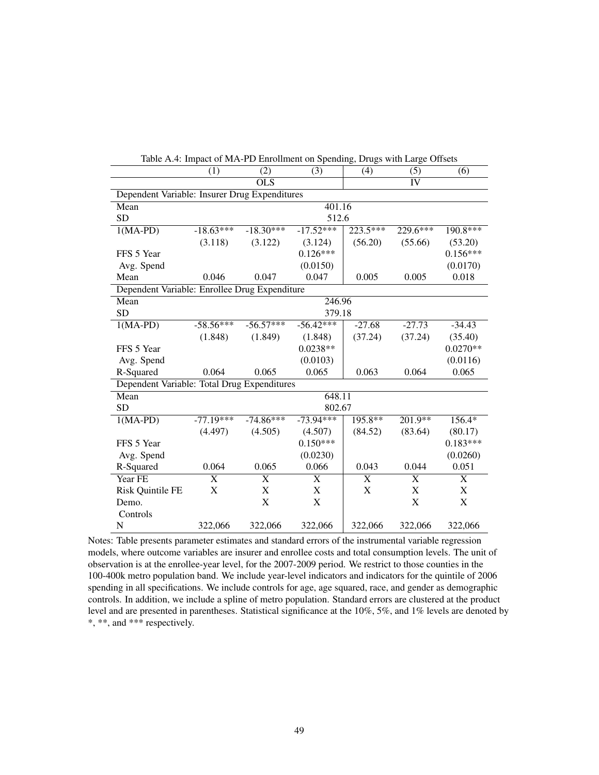|                                               | (1)         | (2)                   | (3)         | (4)                   | (5)                       | (6)                       |
|-----------------------------------------------|-------------|-----------------------|-------------|-----------------------|---------------------------|---------------------------|
|                                               |             | $\overline{OLS}$      |             |                       | $\overline{IV}$           |                           |
| Dependent Variable: Insurer Drug Expenditures |             |                       |             |                       |                           |                           |
| Mean                                          |             |                       | 401.16      |                       |                           |                           |
| <b>SD</b>                                     | 512.6       |                       |             |                       |                           |                           |
| $1(MA-PD)$                                    | $-18.63***$ | $-18.30***$           | $-17.52***$ | 223.5***              | $229.6***$                | 190.8***                  |
|                                               | (3.118)     | (3.122)               | (3.124)     | (56.20)               | (55.66)                   | (53.20)                   |
| FFS 5 Year                                    |             |                       | $0.126***$  |                       |                           | $0.156***$                |
| Avg. Spend                                    |             |                       | (0.0150)    |                       |                           | (0.0170)                  |
| Mean                                          | 0.046       | 0.047                 | 0.047       | 0.005                 | 0.005                     | 0.018                     |
| Dependent Variable: Enrollee Drug Expenditure |             |                       |             |                       |                           |                           |
| Mean                                          |             |                       | 246.96      |                       |                           |                           |
| <b>SD</b>                                     | 379.18      |                       |             |                       |                           |                           |
| $1(MA-PD)$                                    | $-58.56***$ | $-56.57***$           | $-56.42***$ | $-27.68$              | $-27.73$                  | $-34.43$                  |
|                                               | (1.848)     | (1.849)               | (1.848)     | (37.24)               | (37.24)                   | (35.40)                   |
| FFS 5 Year                                    |             |                       | $0.0238**$  |                       |                           | $0.0270**$                |
| Avg. Spend                                    |             |                       | (0.0103)    |                       |                           | (0.0116)                  |
| R-Squared                                     | 0.064       | 0.065                 | 0.065       | 0.063                 | 0.064                     | 0.065                     |
| Dependent Variable: Total Drug Expenditures   |             |                       |             |                       |                           |                           |
| Mean                                          |             |                       | 648.11      |                       |                           |                           |
| <b>SD</b>                                     |             |                       | 802.67      |                       |                           |                           |
| $1(MA-PD)$                                    | $-77.19***$ | $-74.86***$           | $-73.94***$ | $195.8**$             | $201.9**$                 | $156.4*$                  |
|                                               | (4.497)     | (4.505)               | (4.507)     | (84.52)               | (83.64)                   | (80.17)                   |
| FFS 5 Year                                    |             |                       | $0.150***$  |                       |                           | $0.183***$                |
| Avg. Spend                                    |             |                       | (0.0230)    |                       |                           | (0.0260)                  |
| R-Squared                                     | 0.064       | 0.065                 | 0.066       | 0.043                 | 0.044                     | 0.051                     |
| Year FE                                       | X           | $\overline{\text{X}}$ | X           | $\overline{\text{X}}$ | $\overline{\text{X}}$     | X                         |
| Risk Quintile FE                              | $\mathbf X$ | $\mathbf X$           | X           | $\mathbf X$           | $\boldsymbol{\mathrm{X}}$ | $\boldsymbol{\mathrm{X}}$ |
| Demo.                                         |             | $\mathbf X$           | $\mathbf X$ |                       | $\boldsymbol{\mathrm{X}}$ | $\mathbf X$               |
| Controls                                      |             |                       |             |                       |                           |                           |
| N                                             | 322,066     | 322,066               | 322,066     | 322,066               | 322,066                   | 322,066                   |

Table A.4: Impact of MA-PD Enrollment on Spending, Drugs with Large Offsets

Notes: Table presents parameter estimates and standard errors of the instrumental variable regression models, where outcome variables are insurer and enrollee costs and total consumption levels. The unit of observation is at the enrollee-year level, for the 2007-2009 period. We restrict to those counties in the 100-400k metro population band. We include year-level indicators and indicators for the quintile of 2006 spending in all specifications. We include controls for age, age squared, race, and gender as demographic controls. In addition, we include a spline of metro population. Standard errors are clustered at the product level and are presented in parentheses. Statistical significance at the 10%, 5%, and 1% levels are denoted by \*, \*\*, and \*\*\* respectively.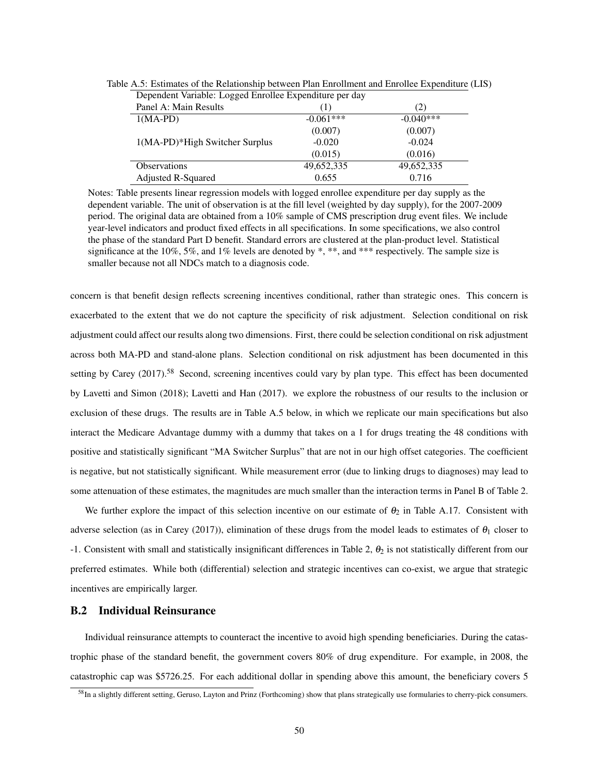| Dependent Variable: Logged Enrollee Expenditure per day |             |             |
|---------------------------------------------------------|-------------|-------------|
| Panel A: Main Results                                   | (1)         | (2)         |
| $1(MA-PD)$                                              | $-0.061***$ | $-0.040***$ |
|                                                         | (0.007)     | (0.007)     |
| 1(MA-PD)*High Switcher Surplus                          | $-0.020$    | $-0.024$    |
|                                                         | (0.015)     | (0.016)     |
| <b>Observations</b>                                     | 49,652,335  | 49,652,335  |
| Adjusted R-Squared                                      | 0.655       | 0.716       |

Table A.5: Estimates of the Relationship between Plan Enrollment and Enrollee Expenditure (LIS)

Notes: Table presents linear regression models with logged enrollee expenditure per day supply as the dependent variable. The unit of observation is at the fill level (weighted by day supply), for the 2007-2009 period. The original data are obtained from a 10% sample of CMS prescription drug event files. We include year-level indicators and product fixed effects in all specifications. In some specifications, we also control the phase of the standard Part D benefit. Standard errors are clustered at the plan-product level. Statistical significance at the 10%, 5%, and 1% levels are denoted by \*, \*\*, and \*\*\* respectively. The sample size is smaller because not all NDCs match to a diagnosis code.

concern is that benefit design reflects screening incentives conditional, rather than strategic ones. This concern is exacerbated to the extent that we do not capture the specificity of risk adjustment. Selection conditional on risk adjustment could affect our results along two dimensions. First, there could be selection conditional on risk adjustment across both MA-PD and stand-alone plans. Selection conditional on risk adjustment has been documented in this setting by Carey (2017).<sup>58</sup> Second, screening incentives could vary by plan type. This effect has been documented by Lavetti and Simon (2018); Lavetti and Han (2017). we explore the robustness of our results to the inclusion or exclusion of these drugs. The results are in Table A.5 below, in which we replicate our main specifications but also interact the Medicare Advantage dummy with a dummy that takes on a 1 for drugs treating the 48 conditions with positive and statistically significant "MA Switcher Surplus" that are not in our high offset categories. The coefficient is negative, but not statistically significant. While measurement error (due to linking drugs to diagnoses) may lead to some attenuation of these estimates, the magnitudes are much smaller than the interaction terms in Panel B of Table 2.

We further explore the impact of this selection incentive on our estimate of  $\theta_2$  in Table A.17. Consistent with adverse selection (as in Carey (2017)), elimination of these drugs from the model leads to estimates of  $\theta_1$  closer to -1. Consistent with small and statistically insignificant differences in Table 2,  $\theta_2$  is not statistically different from our preferred estimates. While both (differential) selection and strategic incentives can co-exist, we argue that strategic incentives are empirically larger.

### B.2 Individual Reinsurance

Individual reinsurance attempts to counteract the incentive to avoid high spending beneficiaries. During the catastrophic phase of the standard benefit, the government covers 80% of drug expenditure. For example, in 2008, the catastrophic cap was \$5726.25. For each additional dollar in spending above this amount, the beneficiary covers 5

<sup>58</sup>In a slightly different setting, Geruso, Layton and Prinz (Forthcoming) show that plans strategically use formularies to cherry-pick consumers.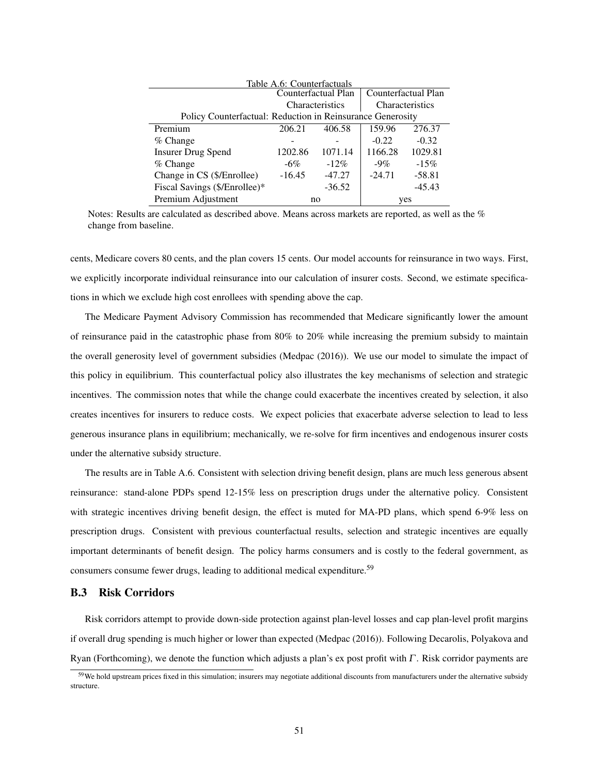|                                                            | Table A.6: Counterfactuals |                     |          |                     |
|------------------------------------------------------------|----------------------------|---------------------|----------|---------------------|
|                                                            |                            | Counterfactual Plan |          | Counterfactual Plan |
|                                                            |                            | Characteristics     |          | Characteristics     |
| Policy Counterfactual: Reduction in Reinsurance Generosity |                            |                     |          |                     |
| Premium                                                    | 206.21                     | 406.58              | 159.96   | 276.37              |
| % Change                                                   |                            |                     | $-0.22$  | $-0.32$             |
| <b>Insurer Drug Spend</b>                                  | 1202.86                    | 1071.14             | 1166.28  | 1029.81             |
| $%$ Change                                                 | $-6\%$                     | $-12\%$             | $-9\%$   | $-15%$              |
| Change in CS (\$/Enrollee)                                 | $-16.45$                   | $-47.27$            | $-24.71$ | $-58.81$            |
| Fiscal Savings (\$/Enrollee)*                              |                            | $-36.52$            |          | $-45.43$            |
| Premium Adjustment                                         |                            | no                  |          | yes                 |

Notes: Results are calculated as described above. Means across markets are reported, as well as the % change from baseline.

cents, Medicare covers 80 cents, and the plan covers 15 cents. Our model accounts for reinsurance in two ways. First, we explicitly incorporate individual reinsurance into our calculation of insurer costs. Second, we estimate specifications in which we exclude high cost enrollees with spending above the cap.

The Medicare Payment Advisory Commission has recommended that Medicare significantly lower the amount of reinsurance paid in the catastrophic phase from 80% to 20% while increasing the premium subsidy to maintain the overall generosity level of government subsidies (Medpac (2016)). We use our model to simulate the impact of this policy in equilibrium. This counterfactual policy also illustrates the key mechanisms of selection and strategic incentives. The commission notes that while the change could exacerbate the incentives created by selection, it also creates incentives for insurers to reduce costs. We expect policies that exacerbate adverse selection to lead to less generous insurance plans in equilibrium; mechanically, we re-solve for firm incentives and endogenous insurer costs under the alternative subsidy structure.

The results are in Table A.6. Consistent with selection driving benefit design, plans are much less generous absent reinsurance: stand-alone PDPs spend 12-15% less on prescription drugs under the alternative policy. Consistent with strategic incentives driving benefit design, the effect is muted for MA-PD plans, which spend 6-9% less on prescription drugs. Consistent with previous counterfactual results, selection and strategic incentives are equally important determinants of benefit design. The policy harms consumers and is costly to the federal government, as consumers consume fewer drugs, leading to additional medical expenditure.<sup>59</sup>

#### B.3 Risk Corridors

Risk corridors attempt to provide down-side protection against plan-level losses and cap plan-level profit margins if overall drug spending is much higher or lower than expected (Medpac (2016)). Following Decarolis, Polyakova and Ryan (Forthcoming), we denote the function which adjusts a plan's ex post profit with Γ. Risk corridor payments are

 $59$  We hold upstream prices fixed in this simulation; insurers may negotiate additional discounts from manufacturers under the alternative subsidy structure.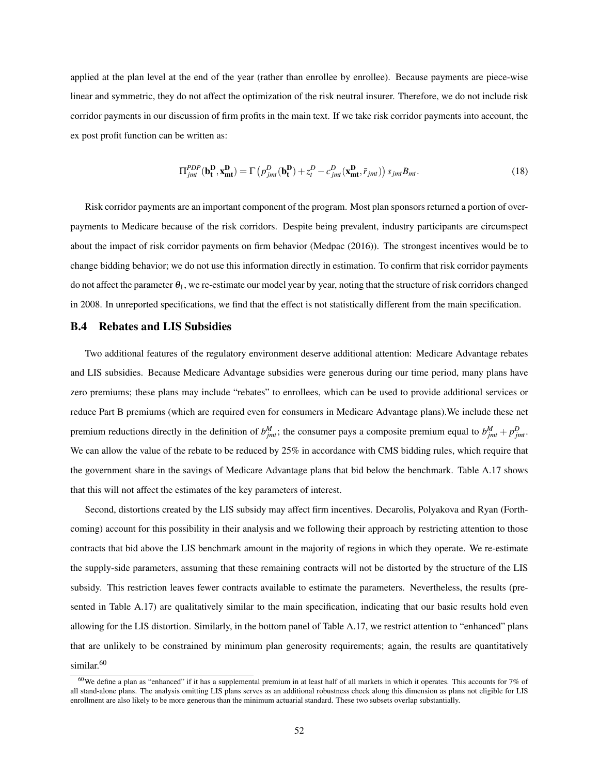applied at the plan level at the end of the year (rather than enrollee by enrollee). Because payments are piece-wise linear and symmetric, they do not affect the optimization of the risk neutral insurer. Therefore, we do not include risk corridor payments in our discussion of firm profits in the main text. If we take risk corridor payments into account, the ex post profit function can be written as:

$$
\Pi_{jmt}^{PDP}(\mathbf{b_t^D}, \mathbf{x_{mt}^D}) = \Gamma\left(p_{jmt}^D(\mathbf{b_t^D}) + z_t^D - c_{jmt}^D(\mathbf{x_{mt}^D}, \bar{r}_{jmt})\right) s_{jmt} B_{mt}.
$$
\n(18)

Risk corridor payments are an important component of the program. Most plan sponsors returned a portion of overpayments to Medicare because of the risk corridors. Despite being prevalent, industry participants are circumspect about the impact of risk corridor payments on firm behavior (Medpac (2016)). The strongest incentives would be to change bidding behavior; we do not use this information directly in estimation. To confirm that risk corridor payments do not affect the parameter  $\theta_1$ , we re-estimate our model year by year, noting that the structure of risk corridors changed in 2008. In unreported specifications, we find that the effect is not statistically different from the main specification.

#### B.4 Rebates and LIS Subsidies

Two additional features of the regulatory environment deserve additional attention: Medicare Advantage rebates and LIS subsidies. Because Medicare Advantage subsidies were generous during our time period, many plans have zero premiums; these plans may include "rebates" to enrollees, which can be used to provide additional services or reduce Part B premiums (which are required even for consumers in Medicare Advantage plans).We include these net premium reductions directly in the definition of  $b_{jmt}^M$ ; the consumer pays a composite premium equal to  $b_{jmt}^M + p_{jmt}^D$ . We can allow the value of the rebate to be reduced by 25% in accordance with CMS bidding rules, which require that the government share in the savings of Medicare Advantage plans that bid below the benchmark. Table A.17 shows that this will not affect the estimates of the key parameters of interest.

Second, distortions created by the LIS subsidy may affect firm incentives. Decarolis, Polyakova and Ryan (Forthcoming) account for this possibility in their analysis and we following their approach by restricting attention to those contracts that bid above the LIS benchmark amount in the majority of regions in which they operate. We re-estimate the supply-side parameters, assuming that these remaining contracts will not be distorted by the structure of the LIS subsidy. This restriction leaves fewer contracts available to estimate the parameters. Nevertheless, the results (presented in Table A.17) are qualitatively similar to the main specification, indicating that our basic results hold even allowing for the LIS distortion. Similarly, in the bottom panel of Table A.17, we restrict attention to "enhanced" plans that are unlikely to be constrained by minimum plan generosity requirements; again, the results are quantitatively similar.<sup>60</sup>

 $60$  We define a plan as "enhanced" if it has a supplemental premium in at least half of all markets in which it operates. This accounts for 7% of all stand-alone plans. The analysis omitting LIS plans serves as an additional robustness check along this dimension as plans not eligible for LIS enrollment are also likely to be more generous than the minimum actuarial standard. These two subsets overlap substantially.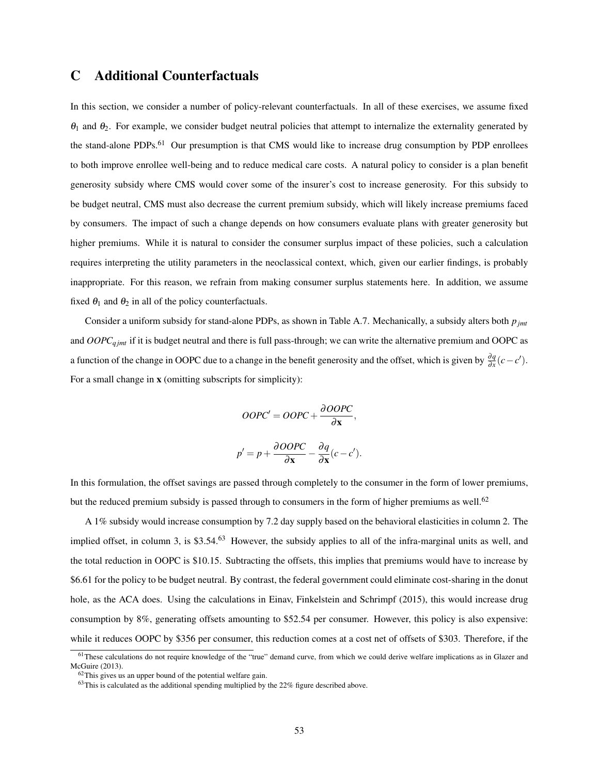# C Additional Counterfactuals

In this section, we consider a number of policy-relevant counterfactuals. In all of these exercises, we assume fixed  $\theta_1$  and  $\theta_2$ . For example, we consider budget neutral policies that attempt to internalize the externality generated by the stand-alone PDPs.<sup>61</sup> Our presumption is that CMS would like to increase drug consumption by PDP enrollees to both improve enrollee well-being and to reduce medical care costs. A natural policy to consider is a plan benefit generosity subsidy where CMS would cover some of the insurer's cost to increase generosity. For this subsidy to be budget neutral, CMS must also decrease the current premium subsidy, which will likely increase premiums faced by consumers. The impact of such a change depends on how consumers evaluate plans with greater generosity but higher premiums. While it is natural to consider the consumer surplus impact of these policies, such a calculation requires interpreting the utility parameters in the neoclassical context, which, given our earlier findings, is probably inappropriate. For this reason, we refrain from making consumer surplus statements here. In addition, we assume fixed  $\theta_1$  and  $\theta_2$  in all of the policy counterfactuals.

Consider a uniform subsidy for stand-alone PDPs, as shown in Table A.7. Mechanically, a subsidy alters both *pjmt* and *OOPCq jmt* if it is budget neutral and there is full pass-through; we can write the alternative premium and OOPC as a function of the change in OOPC due to a change in the benefit generosity and the offset, which is given by  $\frac{\partial q}{\partial x}(c - c')$ . For a small change in x (omitting subscripts for simplicity):

$$
OOPC' = OOPC + \frac{\partial OOPC}{\partial x},
$$

$$
p' = p + \frac{\partial OOPC}{\partial \mathbf{x}} - \frac{\partial q}{\partial \mathbf{x}}(c - c').
$$

In this formulation, the offset savings are passed through completely to the consumer in the form of lower premiums, but the reduced premium subsidy is passed through to consumers in the form of higher premiums as well.<sup>62</sup>

A 1% subsidy would increase consumption by 7.2 day supply based on the behavioral elasticities in column 2. The implied offset, in column 3, is \$3.54.<sup>63</sup> However, the subsidy applies to all of the infra-marginal units as well, and the total reduction in OOPC is \$10.15. Subtracting the offsets, this implies that premiums would have to increase by \$6.61 for the policy to be budget neutral. By contrast, the federal government could eliminate cost-sharing in the donut hole, as the ACA does. Using the calculations in Einay, Finkelstein and Schrimpf (2015), this would increase drug consumption by 8%, generating offsets amounting to \$52.54 per consumer. However, this policy is also expensive: while it reduces OOPC by \$356 per consumer, this reduction comes at a cost net of offsets of \$303. Therefore, if the

 $61$ These calculations do not require knowledge of the "true" demand curve, from which we could derive welfare implications as in Glazer and McGuire (2013).

 $62$ This gives us an upper bound of the potential welfare gain.

 $^{63}$ This is calculated as the additional spending multiplied by the 22% figure described above.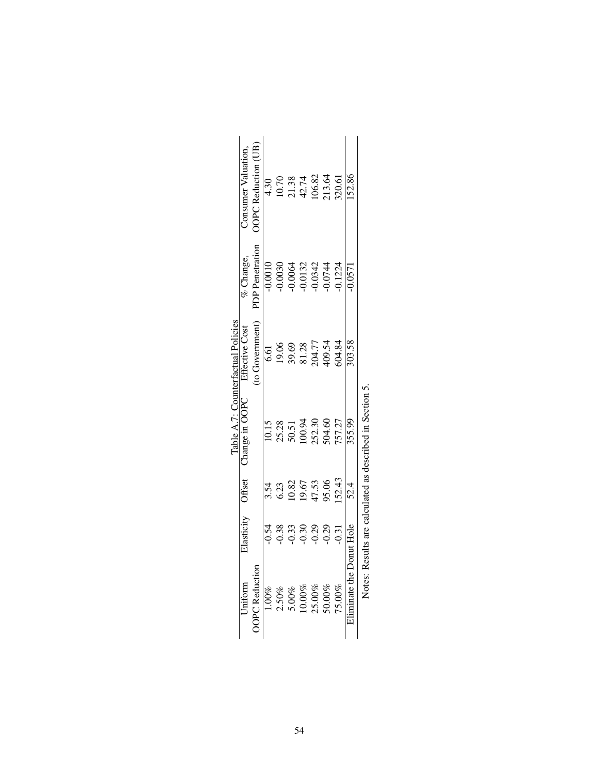|                                    | Consumer Valuation    | <b>OPC</b> Reduction | 4.30     |                       |                      |         | $\begin{array}{c} 10.70 \\ 21.38 \\ 42.74 \\ 106.82 \\ 13.64 \end{array}$                         |        | 320.61 | 152.86                   |                                                         |
|------------------------------------|-----------------------|----------------------|----------|-----------------------|----------------------|---------|---------------------------------------------------------------------------------------------------|--------|--------|--------------------------|---------------------------------------------------------|
|                                    | $%$ Change,           | PDP Penetration      |          |                       |                      |         | $\begin{array}{l} 0.0010 \\ 0.0030 \\ 0.0064 \\ 0.0132 \\ 0.0342 \\ 0.0342 \\ 0.0344 \end{array}$ |        | 0.1224 | 0.0571                   |                                                         |
| Table A.7: Counterfactual Policies | <b>Effective Cost</b> | to Government        |          | 6.61<br>19.06         |                      |         | 39.69<br>81.28<br>204.77<br>409.54                                                                |        | 504.84 | 303.58                   |                                                         |
|                                    | Thange in OOPC        |                      | 10.15    |                       |                      |         | 25.28<br>50.51<br>100.94<br>152.30                                                                | 504.60 | 757.27 | 355.99                   | Notes: Pesults are calculated as described in Section 5 |
|                                    | Offset                |                      |          | 3.54<br>6.23<br>10.82 |                      | 19.67   | 47.53<br>95.06                                                                                    |        | 52.43  | 52.4                     |                                                         |
|                                    | Elasticity            |                      | $-0.54$  | 0.38                  | 0.33                 | $-0.30$ | $-0.29$                                                                                           | 0.29   | 0.31   |                          |                                                         |
|                                    | Iniform               | PC Reduction         | $1.00\%$ |                       | $2.50\%$<br>$5.00\%$ | 10.00%  | 25.00%<br>50.00%                                                                                  |        | 75.00% | Eliminate the Donut Hole |                                                         |

| i<br>֧֧֦֧֦֧֧֧֚֚֚֚֚֚֚֚֚֚֚֚֚֚֚֚֚֝֜֡֝֓֝<br>į<br>l |
|------------------------------------------------|
|                                                |
| i<br>l<br>j                                    |
|                                                |
| l<br>֠<br>l<br>֕                               |
|                                                |
| j<br>¢                                         |
| l<br>$\overline{a}$<br>i<br>l                  |
|                                                |
| ł<br>ׇ֚֕֡<br>ţ<br>ļ<br>j                       |
| j<br>١                                         |
| l<br>l<br>I                                    |
| ׇ֚֡<br>I<br>֕                                  |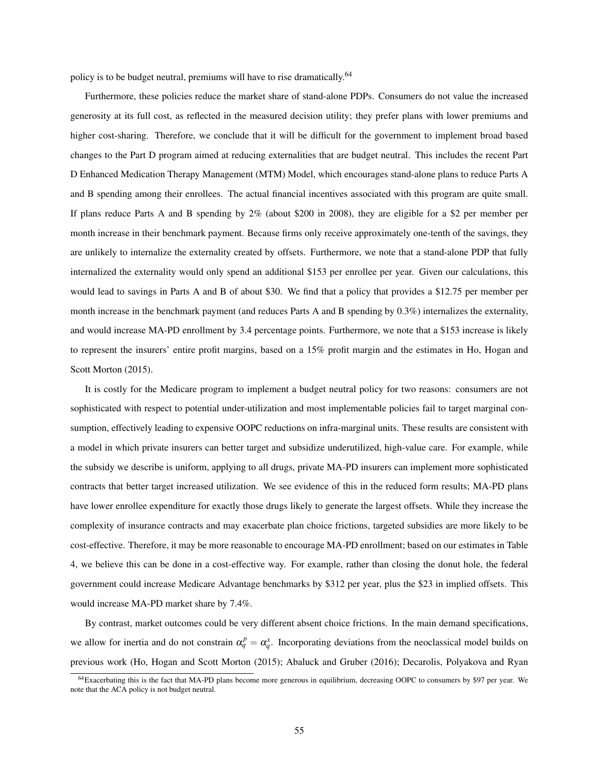policy is to be budget neutral, premiums will have to rise dramatically.<sup>64</sup>

Furthermore, these policies reduce the market share of stand-alone PDPs. Consumers do not value the increased generosity at its full cost, as reflected in the measured decision utility; they prefer plans with lower premiums and higher cost-sharing. Therefore, we conclude that it will be difficult for the government to implement broad based changes to the Part D program aimed at reducing externalities that are budget neutral. This includes the recent Part D Enhanced Medication Therapy Management (MTM) Model, which encourages stand-alone plans to reduce Parts A and B spending among their enrollees. The actual financial incentives associated with this program are quite small. If plans reduce Parts A and B spending by 2% (about \$200 in 2008), they are eligible for a \$2 per member per month increase in their benchmark payment. Because firms only receive approximately one-tenth of the savings, they are unlikely to internalize the externality created by offsets. Furthermore, we note that a stand-alone PDP that fully internalized the externality would only spend an additional \$153 per enrollee per year. Given our calculations, this would lead to savings in Parts A and B of about \$30. We find that a policy that provides a \$12.75 per member per month increase in the benchmark payment (and reduces Parts A and B spending by 0.3%) internalizes the externality, and would increase MA-PD enrollment by 3.4 percentage points. Furthermore, we note that a \$153 increase is likely to represent the insurers' entire profit margins, based on a 15% profit margin and the estimates in Ho, Hogan and Scott Morton (2015).

It is costly for the Medicare program to implement a budget neutral policy for two reasons: consumers are not sophisticated with respect to potential under-utilization and most implementable policies fail to target marginal consumption, effectively leading to expensive OOPC reductions on infra-marginal units. These results are consistent with a model in which private insurers can better target and subsidize underutilized, high-value care. For example, while the subsidy we describe is uniform, applying to all drugs, private MA-PD insurers can implement more sophisticated contracts that better target increased utilization. We see evidence of this in the reduced form results; MA-PD plans have lower enrollee expenditure for exactly those drugs likely to generate the largest offsets. While they increase the complexity of insurance contracts and may exacerbate plan choice frictions, targeted subsidies are more likely to be cost-effective. Therefore, it may be more reasonable to encourage MA-PD enrollment; based on our estimates in Table 4, we believe this can be done in a cost-effective way. For example, rather than closing the donut hole, the federal government could increase Medicare Advantage benchmarks by \$312 per year, plus the \$23 in implied offsets. This would increase MA-PD market share by 7.4%.

By contrast, market outcomes could be very different absent choice frictions. In the main demand specifications, we allow for inertia and do not constrain  $\alpha_q^p = \alpha_q^x$ . Incorporating deviations from the neoclassical model builds on previous work (Ho, Hogan and Scott Morton (2015); Abaluck and Gruber (2016); Decarolis, Polyakova and Ryan

<sup>64</sup>Exacerbating this is the fact that MA-PD plans become more generous in equilibrium, decreasing OOPC to consumers by \$97 per year. We note that the ACA policy is not budget neutral.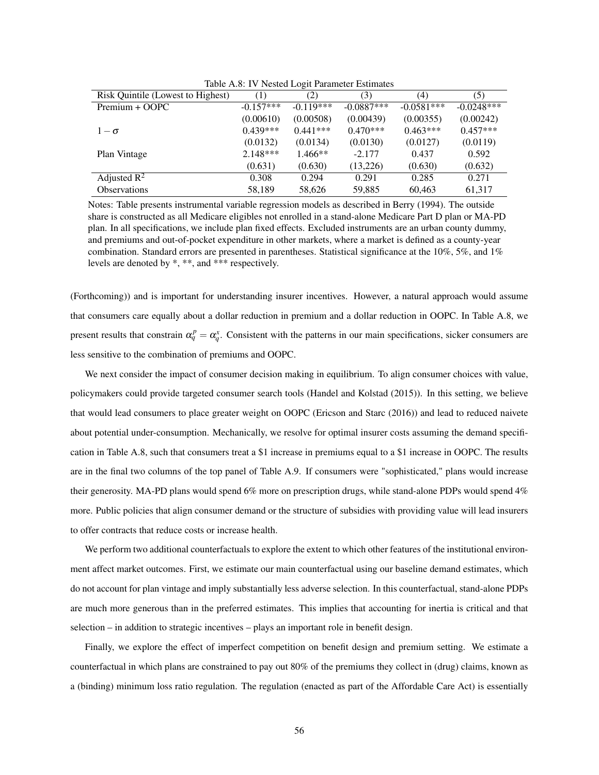| Risk Quintile (Lowest to Highest) | (1)         | (2)         | (3)          | (4)          | (5)          |
|-----------------------------------|-------------|-------------|--------------|--------------|--------------|
| Premium + OOPC                    | $-0.157***$ | $-0.119***$ | $-0.0887***$ | $-0.0581***$ | $-0.0248***$ |
|                                   | (0.00610)   | (0.00508)   | (0.00439)    | (0.00355)    | (0.00242)    |
| $1-\sigma$                        | $0.439***$  | $0.441***$  | $0.470***$   | $0.463***$   | $0.457***$   |
|                                   | (0.0132)    | (0.0134)    | (0.0130)     | (0.0127)     | (0.0119)     |
| Plan Vintage                      | $2.148***$  | $1.466**$   | $-2.177$     | 0.437        | 0.592        |
|                                   | (0.631)     | (0.630)     | (13,226)     | (0.630)      | (0.632)      |
| Adjusted $\mathbb{R}^2$           | 0.308       | 0.294       | 0.291        | 0.285        | 0.271        |
| <b>Observations</b>               | 58,189      | 58,626      | 59,885       | 60.463       | 61,317       |

Table A.8: IV Nested Logit Parameter Estimates

Notes: Table presents instrumental variable regression models as described in Berry (1994). The outside share is constructed as all Medicare eligibles not enrolled in a stand-alone Medicare Part D plan or MA-PD plan. In all specifications, we include plan fixed effects. Excluded instruments are an urban county dummy, and premiums and out-of-pocket expenditure in other markets, where a market is defined as a county-year combination. Standard errors are presented in parentheses. Statistical significance at the 10%, 5%, and 1% levels are denoted by \*, \*\*, and \*\*\* respectively.

(Forthcoming)) and is important for understanding insurer incentives. However, a natural approach would assume that consumers care equally about a dollar reduction in premium and a dollar reduction in OOPC. In Table A.8, we present results that constrain  $\alpha_q^p = \alpha_q^x$ . Consistent with the patterns in our main specifications, sicker consumers are less sensitive to the combination of premiums and OOPC.

We next consider the impact of consumer decision making in equilibrium. To align consumer choices with value, policymakers could provide targeted consumer search tools (Handel and Kolstad (2015)). In this setting, we believe that would lead consumers to place greater weight on OOPC (Ericson and Starc (2016)) and lead to reduced naivete about potential under-consumption. Mechanically, we resolve for optimal insurer costs assuming the demand specification in Table A.8, such that consumers treat a \$1 increase in premiums equal to a \$1 increase in OOPC. The results are in the final two columns of the top panel of Table A.9. If consumers were "sophisticated," plans would increase their generosity. MA-PD plans would spend 6% more on prescription drugs, while stand-alone PDPs would spend 4% more. Public policies that align consumer demand or the structure of subsidies with providing value will lead insurers to offer contracts that reduce costs or increase health.

We perform two additional counterfactuals to explore the extent to which other features of the institutional environment affect market outcomes. First, we estimate our main counterfactual using our baseline demand estimates, which do not account for plan vintage and imply substantially less adverse selection. In this counterfactual, stand-alone PDPs are much more generous than in the preferred estimates. This implies that accounting for inertia is critical and that selection – in addition to strategic incentives – plays an important role in benefit design.

Finally, we explore the effect of imperfect competition on benefit design and premium setting. We estimate a counterfactual in which plans are constrained to pay out 80% of the premiums they collect in (drug) claims, known as a (binding) minimum loss ratio regulation. The regulation (enacted as part of the Affordable Care Act) is essentially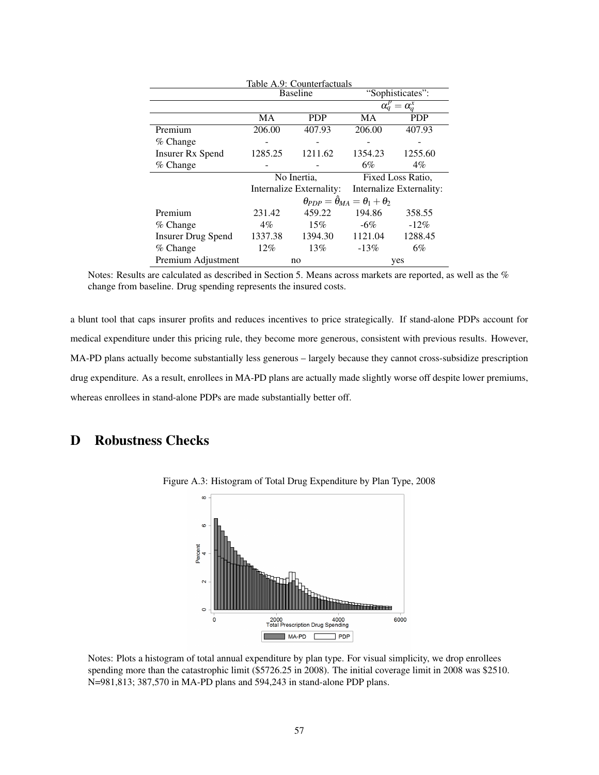|                           |           | Table A.9: Counterfactuals |                                                          |                           |
|---------------------------|-----------|----------------------------|----------------------------------------------------------|---------------------------|
|                           |           | <b>Baseline</b>            |                                                          | "Sophisticates":          |
|                           |           |                            |                                                          | $\alpha_a^p = \alpha_a^x$ |
|                           | <b>MA</b> | <b>PDP</b>                 | MA                                                       | <b>PDP</b>                |
| Premium                   | 206.00    | 407.93                     | 206.00                                                   | 407.93                    |
| $%$ Change                |           |                            |                                                          |                           |
| <b>Insurer Rx Spend</b>   | 1285.25   | 1211.62                    | 1354.23                                                  | 1255.60                   |
| $%$ Change                |           |                            | 6%                                                       | $4\%$                     |
|                           |           | No Inertia,                |                                                          | Fixed Loss Ratio,         |
|                           |           | Internalize Externality:   |                                                          | Internalize Externality:  |
|                           |           |                            | $\theta_{PDP} = \hat{\theta}_{MA} = \theta_1 + \theta_2$ |                           |
| Premium                   | 231.42    | 459.22                     | 194.86                                                   | 358.55                    |
| % Change                  | $4\%$     | 15%                        | $-6\%$                                                   | $-12\%$                   |
| <b>Insurer Drug Spend</b> | 1337.38   | 1394.30                    | 1121.04                                                  | 1288.45                   |
| % Change                  | 12%       | 13%                        | $-13%$                                                   | 6%                        |
| Premium Adjustment        |           | no                         |                                                          | yes                       |

Notes: Results are calculated as described in Section 5. Means across markets are reported, as well as the % change from baseline. Drug spending represents the insured costs.

a blunt tool that caps insurer profits and reduces incentives to price strategically. If stand-alone PDPs account for medical expenditure under this pricing rule, they become more generous, consistent with previous results. However, MA-PD plans actually become substantially less generous – largely because they cannot cross-subsidize prescription drug expenditure. As a result, enrollees in MA-PD plans are actually made slightly worse off despite lower premiums, whereas enrollees in stand-alone PDPs are made substantially better off.

# D Robustness Checks



Figure A.3: Histogram of Total Drug Expenditure by Plan Type, 2008

Notes: Plots a histogram of total annual expenditure by plan type. For visual simplicity, we drop enrollees spending more than the catastrophic limit (\$5726.25 in 2008). The initial coverage limit in 2008 was \$2510. N=981,813; 387,570 in MA-PD plans and 594,243 in stand-alone PDP plans.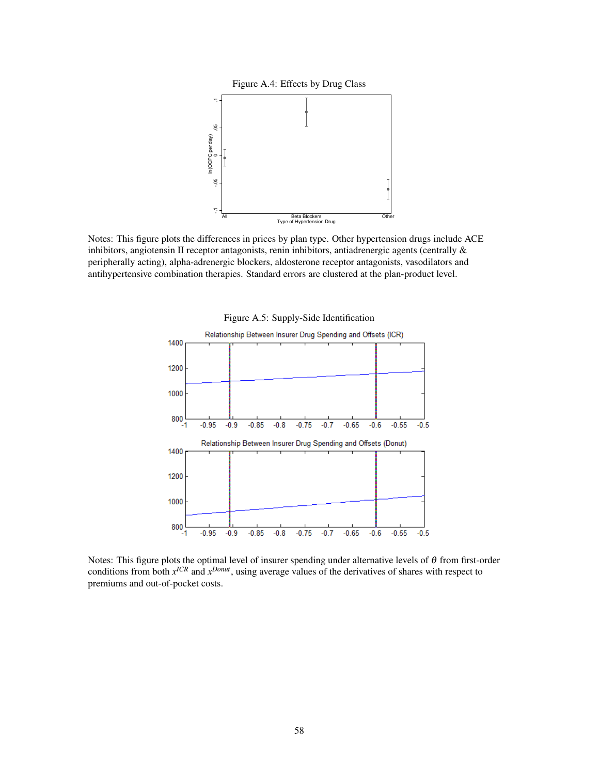



Notes: This figure plots the differences in prices by plan type. Other hypertension drugs include ACE inhibitors, angiotensin II receptor antagonists, renin inhibitors, antiadrenergic agents (centrally & peripherally acting), alpha-adrenergic blockers, aldosterone receptor antagonists, vasodilators and antihypertensive combination therapies. Standard errors are clustered at the plan-product level.



Notes: This figure plots the optimal level of insurer spending under alternative levels of θ from first-order conditions from both  $x^{ICR}$  and  $x^{Donut}$ , using average values of the derivatives of shares with respect to premiums and out-of-pocket costs.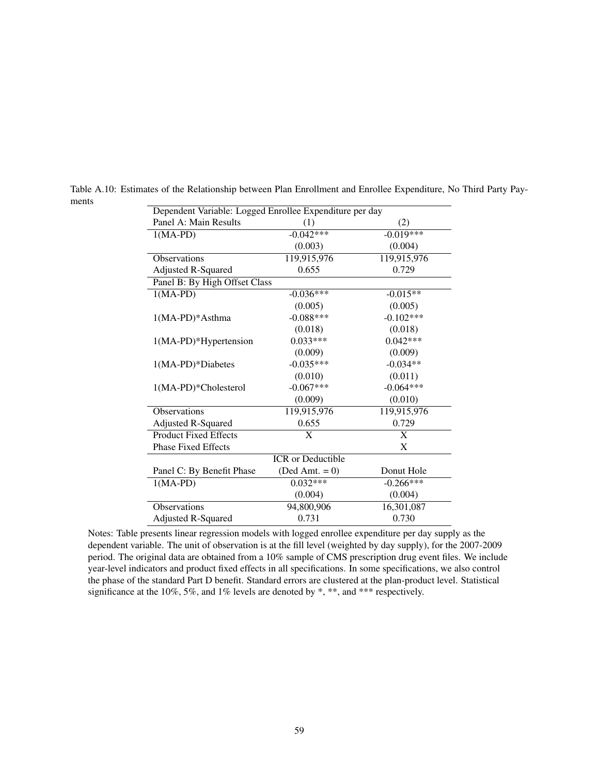| Dependent Variable: Logged Enrollee Expenditure per day |                          |             |
|---------------------------------------------------------|--------------------------|-------------|
| Panel A: Main Results                                   | (1)                      | (2)         |
| $1(MA-PD)$                                              | $-0.042***$              | $-0.019***$ |
|                                                         | (0.003)                  | (0.004)     |
| <b>Observations</b>                                     | 119,915,976              | 119,915,976 |
| <b>Adjusted R-Squared</b>                               | 0.655                    | 0.729       |
| Panel B: By High Offset Class                           |                          |             |
| $1(MA-PD)$                                              | $-0.036***$              | $-0.015**$  |
|                                                         | (0.005)                  | (0.005)     |
| $1(MA-PD)*Asthma$                                       | $-0.088***$              | $-0.102***$ |
|                                                         | (0.018)                  | (0.018)     |
| $1(MA-PD)*Hypertension$                                 | $0.033***$               | $0.042***$  |
|                                                         | (0.009)                  | (0.009)     |
| $1(MA-PD)*Diabetes$                                     | $-0.035***$              | $-0.034**$  |
|                                                         | (0.010)                  | (0.011)     |
| 1(MA-PD)*Cholesterol                                    | $-0.067***$              | $-0.064***$ |
|                                                         | (0.009)                  | (0.010)     |
| <b>Observations</b>                                     | 119,915,976              | 119,915,976 |
| <b>Adjusted R-Squared</b>                               | 0.655                    | 0.729       |
| <b>Product Fixed Effects</b>                            | $\mathbf{X}$             | X           |
| <b>Phase Fixed Effects</b>                              |                          | X           |
|                                                         | <b>ICR</b> or Deductible |             |
| Panel C: By Benefit Phase                               | $(Ded Amt. = 0)$         | Donut Hole  |
| $1(MA-PD)$                                              | $0.032***$               | $-0.266***$ |
|                                                         | (0.004)                  | (0.004)     |
| <b>Observations</b>                                     | 94,800,906               | 16,301,087  |
| <b>Adjusted R-Squared</b>                               | 0.731                    | 0.730       |

Table A.10: Estimates of the Relationship between Plan Enrollment and Enrollee Expenditure, No Third Party Payments

Notes: Table presents linear regression models with logged enrollee expenditure per day supply as the dependent variable. The unit of observation is at the fill level (weighted by day supply), for the 2007-2009 period. The original data are obtained from a 10% sample of CMS prescription drug event files. We include year-level indicators and product fixed effects in all specifications. In some specifications, we also control the phase of the standard Part D benefit. Standard errors are clustered at the plan-product level. Statistical significance at the 10%, 5%, and 1% levels are denoted by \*, \*\*, and \*\*\* respectively.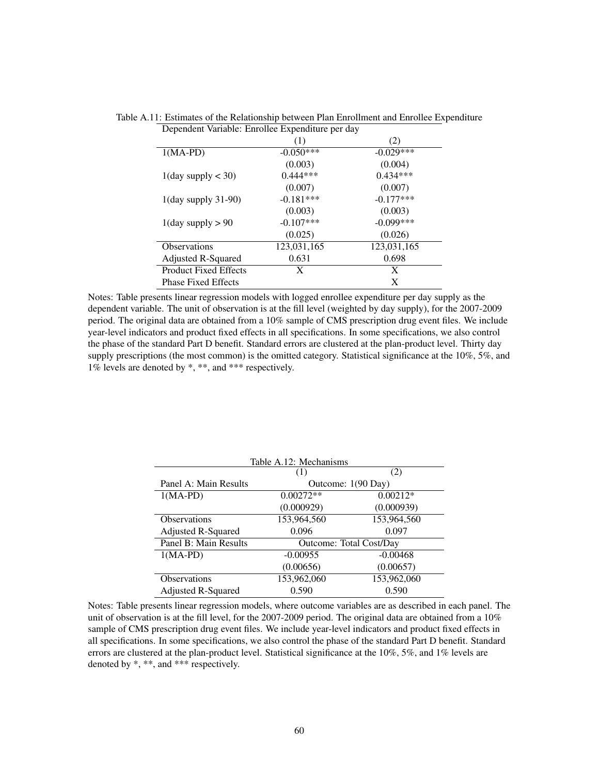| Dependent Variable: Enrollee Expenditure per day |              |             |
|--------------------------------------------------|--------------|-------------|
|                                                  | (1)          | (2)         |
| $1(MA-PD)$                                       | $-0.050***$  | $-0.029***$ |
|                                                  | (0.003)      | (0.004)     |
| $1$ (day supply $<$ 30)                          | $0.444***$   | $0.434***$  |
|                                                  | (0.007)      | (0.007)     |
| $1$ (day supply 31-90)                           | $-0.181***$  | $-0.177***$ |
|                                                  | (0.003)      | (0.003)     |
| $1$ (day supply $> 90$                           | $-0.107$ *** | $-0.099***$ |
|                                                  | (0.025)      | (0.026)     |
| <b>Observations</b>                              | 123,031,165  | 123,031,165 |
| Adjusted R-Squared                               | 0.631        | 0.698       |
| <b>Product Fixed Effects</b>                     | X            | X           |
| <b>Phase Fixed Effects</b>                       |              | X           |

Table A.11: Estimates of the Relationship between Plan Enrollment and Enrollee Expenditure

Notes: Table presents linear regression models with logged enrollee expenditure per day supply as the dependent variable. The unit of observation is at the fill level (weighted by day supply), for the 2007-2009 period. The original data are obtained from a 10% sample of CMS prescription drug event files. We include year-level indicators and product fixed effects in all specifications. In some specifications, we also control the phase of the standard Part D benefit. Standard errors are clustered at the plan-product level. Thirty day supply prescriptions (the most common) is the omitted category. Statistical significance at the 10%, 5%, and 1% levels are denoted by \*, \*\*, and \*\*\* respectively.

|                       | Table A.12: Mechanisms |                                |
|-----------------------|------------------------|--------------------------------|
|                       | (1)                    | (2)                            |
| Panel A: Main Results |                        | Outcome: 1(90 Day)             |
| $1(MA-PD)$            | $0.00272**$            | $0.00212*$                     |
|                       | (0.000929)             | (0.000939)                     |
| <b>Observations</b>   | 153,964,560            | 153,964,560                    |
| Adjusted R-Squared    | 0.096                  | 0.097                          |
| Panel B: Main Results |                        | <b>Outcome: Total Cost/Day</b> |
| $1(MA-PD)$            | $-0.00955$             | $-0.00468$                     |
|                       | (0.00656)              | (0.00657)                      |
| <b>Observations</b>   | 153,962,060            | 153,962,060                    |
| Adjusted R-Squared    | 0.590                  | 0.590                          |

Notes: Table presents linear regression models, where outcome variables are as described in each panel. The unit of observation is at the fill level, for the 2007-2009 period. The original data are obtained from a 10% sample of CMS prescription drug event files. We include year-level indicators and product fixed effects in all specifications. In some specifications, we also control the phase of the standard Part D benefit. Standard errors are clustered at the plan-product level. Statistical significance at the 10%, 5%, and 1% levels are denoted by \*, \*\*, and \*\*\* respectively.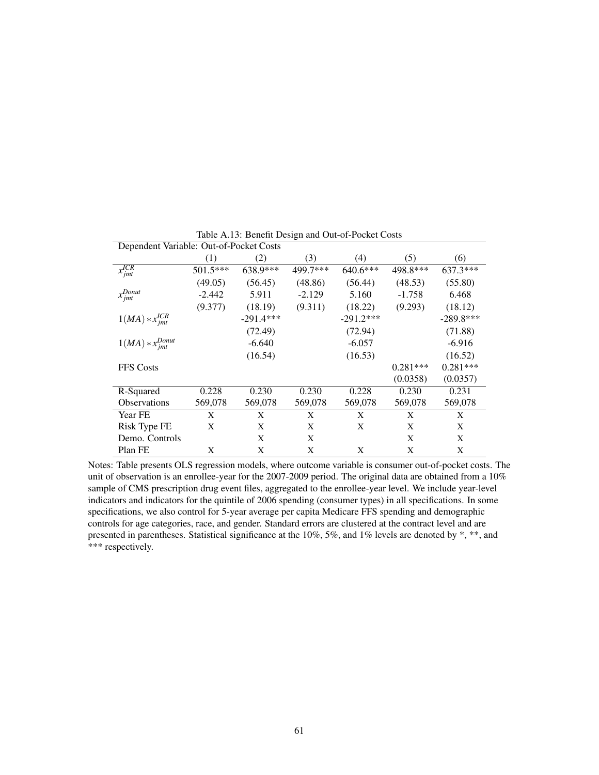| Dependent Variable: Out-of-Pocket Costs |          |             |          |             |            |             |
|-----------------------------------------|----------|-------------|----------|-------------|------------|-------------|
|                                         | (1)      | (2)         | (3)      | (4)         | (5)        | (6)         |
| $x_{jmt}^{ICR}$                         | 501.5*** | $638.9***$  | 499.7*** | $640.6***$  | 498.8***   | $637.3***$  |
|                                         | (49.05)  | (56.45)     | (48.86)  | (56.44)     | (48.53)    | (55.80)     |
| $x^{Donut}$<br>$\cdot$ jmt              | $-2.442$ | 5.911       | $-2.129$ | 5.160       | $-1.758$   | 6.468       |
|                                         | (9.377)  | (18.19)     | (9.311)  | (18.22)     | (9.293)    | (18.12)     |
| $1(MA) * x^{ICR}_{imt}$                 |          | $-291.4***$ |          | $-291.2***$ |            | $-289.8***$ |
|                                         |          | (72.49)     |          | (72.94)     |            | (71.88)     |
| $1(MA) * x_{jmt}^{Donut}$               |          | $-6.640$    |          | $-6.057$    |            | $-6.916$    |
|                                         |          | (16.54)     |          | (16.53)     |            | (16.52)     |
| <b>FFS</b> Costs                        |          |             |          |             | $0.281***$ | $0.281***$  |
|                                         |          |             |          |             | (0.0358)   | (0.0357)    |
| R-Squared                               | 0.228    | 0.230       | 0.230    | 0.228       | 0.230      | 0.231       |
| <b>Observations</b>                     | 569,078  | 569,078     | 569,078  | 569,078     | 569,078    | 569,078     |
| Year FE                                 | X        | X           | X        | X           | X          | X           |
| Risk Type FE                            | X        | X           | X        | X           | X          | X           |
| Demo. Controls                          |          | X           | X        |             | X          | X           |
| Plan FE                                 | X        | X           | X        | X           | X          | X           |

Table A.13: Benefit Design and Out-of-Pocket Costs

Notes: Table presents OLS regression models, where outcome variable is consumer out-of-pocket costs. The unit of observation is an enrollee-year for the 2007-2009 period. The original data are obtained from a 10% sample of CMS prescription drug event files, aggregated to the enrollee-year level. We include year-level indicators and indicators for the quintile of 2006 spending (consumer types) in all specifications. In some specifications, we also control for 5-year average per capita Medicare FFS spending and demographic controls for age categories, race, and gender. Standard errors are clustered at the contract level and are presented in parentheses. Statistical significance at the 10%, 5%, and 1% levels are denoted by \*, \*\*, and \*\*\* respectively.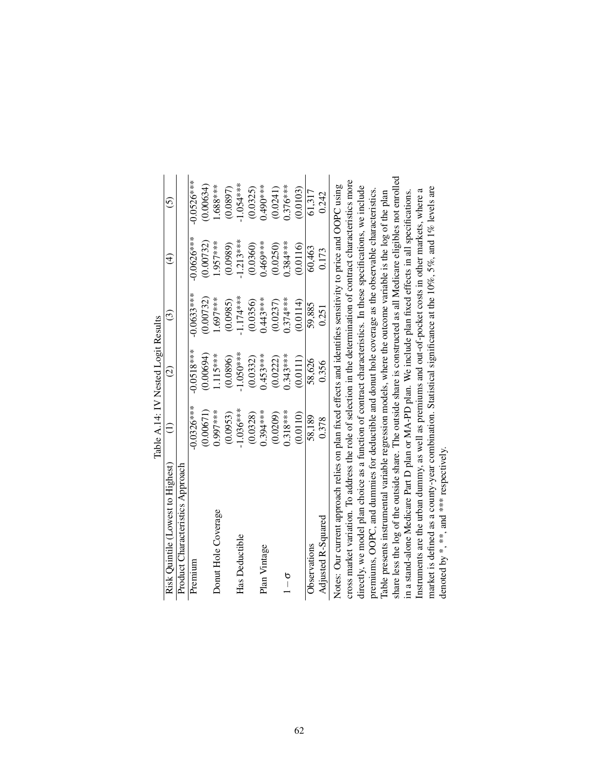|                                                                                                                       | Table A.14: IV Nested Logit Results |                    |              |                        |               |
|-----------------------------------------------------------------------------------------------------------------------|-------------------------------------|--------------------|--------------|------------------------|---------------|
| Risk Quintile (Lowest to Highest)                                                                                     |                                     | $\widehat{\infty}$ | $\odot$      | $\widehat{\mathrm{d}}$ | $\widehat{c}$ |
| Product Characteristics Approach                                                                                      |                                     |                    |              |                        |               |
| Premium                                                                                                               | $-0.0326***$                        | $-0.0518***$       | $-0.0633***$ | $-0.0626***$           | $-0.0526***$  |
|                                                                                                                       | (0.00671)                           | (0.00694)          | (0.00732)    | (0.00732)              | (0.00634)     |
| Donut Hole Coverage                                                                                                   | 1.997****                           | $115***$           | $1.697***$   | 1.957****              | $-688***$     |
|                                                                                                                       | (0.0953)                            | (0.0896)           | (0.0985)     | (0.0989)               | (0.0897)      |
| Has Deductible                                                                                                        | $-1.036***$                         | $-1.050***$        | $-1.174***$  | $-1.213***$            | $-1.054***$   |
|                                                                                                                       | (0.0328)                            | (0.0332)           | (0.0356)     | (0.0360)               | (0.0325)      |
| Plan Vintage                                                                                                          | 1.394****                           | $0.453***$         | 0.443****    | 0.469****              | $0.490***$    |
|                                                                                                                       | (0.0209)                            | (0.0222)           | (0.0237)     | (0.0250)               | (0.0241)      |
| $\frac{6}{1}$                                                                                                         | $0.318***$                          | 0.343****          | $0.374***$   | $0.384***$             | $0.376***$    |
|                                                                                                                       | (0.0110)                            | (0.0111)           | (0.0114)     | (0.0116)               | (0.0103)      |
| Observations                                                                                                          | 58,189                              | 58,626             | 59,885       | 60,463                 | 61,317        |
| Adjusted R-Squared                                                                                                    | 0.378                               | 0.356              | 0.251        | 0.173                  | 0.242         |
| Notes: Our current approach relies on plan fixed effects and identifies sensitivity to price and OOPC using           |                                     |                    |              |                        |               |
| cross market variation. To address the role of selection in the determination of contract characteristics more        |                                     |                    |              |                        |               |
| directly, we model plan choice as a function of contract characteristics. In these specifications, we include         |                                     |                    |              |                        |               |
| premiums, OOPC, and dummies for deductible and donut hole coverage as the observable characteristics.                 |                                     |                    |              |                        |               |
| Table presents instrumental variable regression models, where the outcome variable is the log of the plan             |                                     |                    |              |                        |               |
| share less the log of the outside share. The outside share is constructed as all Medicare eligibles not enrolled      |                                     |                    |              |                        |               |
| in a stand-alone Medicare Part D plan or MA-PD plan. We include plan fixed effects in all specifications.             |                                     |                    |              |                        |               |
| Instruments are the urban dummy, as well as premiums and out-of-pocket costs in other markets, where a                |                                     |                    |              |                        |               |
| market is defined as a county-year combination. Statistical significance at the $10\%$ , $5\%$ , and $1\%$ levels are |                                     |                    |              |                        |               |
| denoted by *, ***, and *** respectively.                                                                              |                                     |                    |              |                        |               |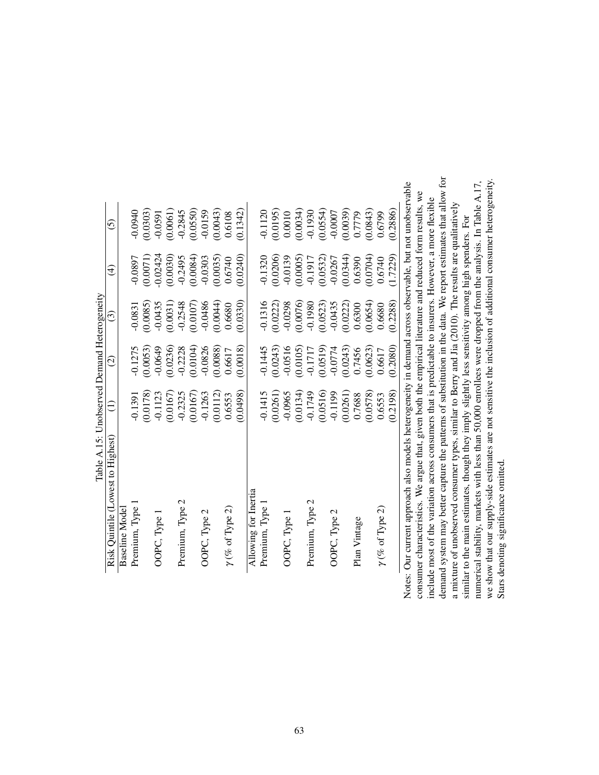| Table A.15: Unobserved Demand Heterogeneity<br>Risk Quintile (Lowest to Highest)                          | Ξ         | $\widehat{\circ}$ | ⊙         | $\widehat{\mathfrak{t}}$ | $\widehat{c}$ |
|-----------------------------------------------------------------------------------------------------------|-----------|-------------------|-----------|--------------------------|---------------|
| <b>Baseline Model</b>                                                                                     |           |                   |           |                          |               |
| Premium, Type                                                                                             | $-0.1391$ | $-0.1275$         | $-0.0831$ | $-0.0897$                | 0.0940        |
|                                                                                                           | (0.0178)  | (0.0053)          | (0.0085)  | (0.0071)                 | (0.0303)      |
| OOPC, Type 1                                                                                              | $-0.1123$ | $-0.0649$         | $-0.0435$ | $-0.02424$               | $-0.0591$     |
|                                                                                                           | (0.0167)  | (0.0236)          | (0.0031)  | (0.0030)                 | (0.0061)      |
| Premium, Type 2                                                                                           | $-0.2325$ | $-0.2228$         | $-0.2548$ | $-0.2495$                | $-0.2845$     |
|                                                                                                           | (0.0167)  | (0.0104)          | (0.0107)  | (0.0084)                 | (0.0550)      |
| OOPC, Type 2                                                                                              | $-0.1263$ | $-0.0826$         | $-0.0486$ | $-0.0303$                | $-0.0159$     |
|                                                                                                           | (0.0112)  | (0.0088)          | (0.0044)  | (0.0035)                 | (0.0043)      |
| $\gamma$ (% of Type 2)                                                                                    | 0.6553    | 0.6617            | 0.6680    | 0.6740                   | 0.6108        |
|                                                                                                           | (0.0498)  | (0.0018)          | (0.0330)  | (0.0240)                 | (0.1342)      |
| Allowing for Inertia                                                                                      |           |                   |           |                          |               |
| Premium, Type                                                                                             | $-0.1415$ | $-0.1445$         | $-0.1316$ | $-0.1320$                | $-0.1120$     |
|                                                                                                           | (0.0261)  | (0.0243)          | (0.0222)  | (0.0206)                 | (0.0195)      |
| OOPC, Type 1                                                                                              | $-0.0965$ | $-0.0516$         | $-0.0298$ | $-0.0139$                | 0.0010        |
|                                                                                                           | (0.0134)  | (0.0105)          | (0.0076)  | (0.0005)                 | (0.0034)      |
| Premium, Type 2                                                                                           | $-0.1749$ | $-0.1717$         | $-0.1980$ | $-0.1917$                | $-0.1930$     |
|                                                                                                           | (0.0516)  | (0.0519)          | (0.0523)  | (0.0532)                 | (0.0554)      |
| OOPC, Type 2                                                                                              | $-0.1199$ | $-0.0774$         | $-0.0435$ | $-0.0267$                | $-0.0007$     |
|                                                                                                           | (0.0261)  | (0.0243)          | (0.0222)  | (0.0344)                 | (0.0039)      |
| Plan Vintage                                                                                              | 0.7688    | 0.7456            | 0.6300    | 0.6390                   | 0.7779        |
|                                                                                                           | (0.0578)  | (0.0623)          | (0.0654)  | (0.0704)                 | (0.0843)      |
| $\gamma$ (% of Type 2)                                                                                    | 0.6553    | 0.6617            | 0.6680    | 0.6740                   | 0.6799        |
|                                                                                                           | (0.2198)  | (0.2080)          | (0.2288)  | (1.7229)                 | (0.2886)      |
| Notes: Our current approach also models heterogeneity in demand across observable, but not unobservable   |           |                   |           |                          |               |
| consumer characteristics. We argue that, given both the empirical literature and reduced form results, we |           |                   |           |                          |               |
|                                                                                                           |           |                   |           |                          |               |

include most of the variation across consumers that is predictable to insurers. However, a more flexible include most of the variation across consumers that is predictable to insurers. However, a more flexible  $\overline{1}$ Notes: consum

demand system may better capture the patterns of substitution in the data. We report estimates that allow for a mixture of unobserved consumer types, similar to Berry and Jia (2010). The results are qualitatively similar to the main estimates, though they imply slightly less sensitivity among high spenders. For

a mixture of unobserved consumer types, similar to Berry and Jia (2010). The results are qualitatively similar to the main estimates, though they imply slightly less sensitivity among high spenders. For

demand system may better capture the patterns of substitution in the data. We report estimates that allow for

numerical stability, markets with less than 50,000 enrollees were dropped from the analysis. In Table A.17, we show that our supply-side estimates are not sensitive the inclusion of additional consumer heterogeneity.

numerical stability, markets with less than 50,000 enrollees were dropped from the analysis. In Table A.17,

we show that our supply-side estimates are not sensitive the inclusion of additional consumer heterogeneity.<br>Stars denoting significance omitted.

Stars denoting significance omitted.